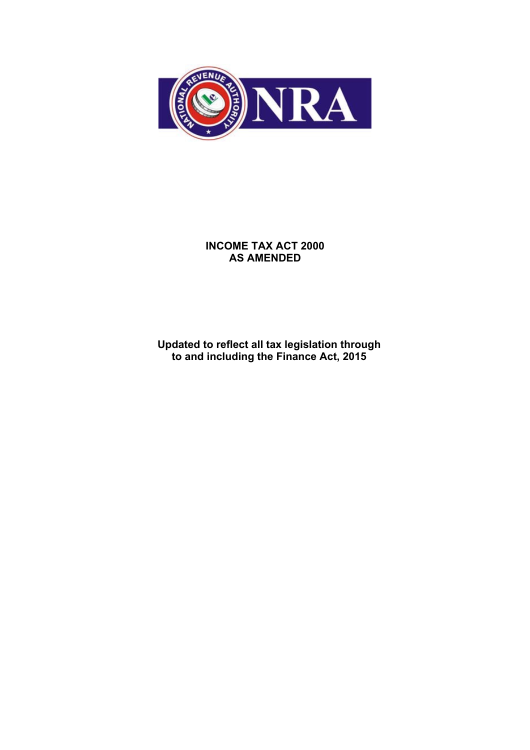

## **INCOME TAX ACT 2000 AS AMENDED**

**Updated to reflect all tax legislation through to and including the Finance Act, 2015**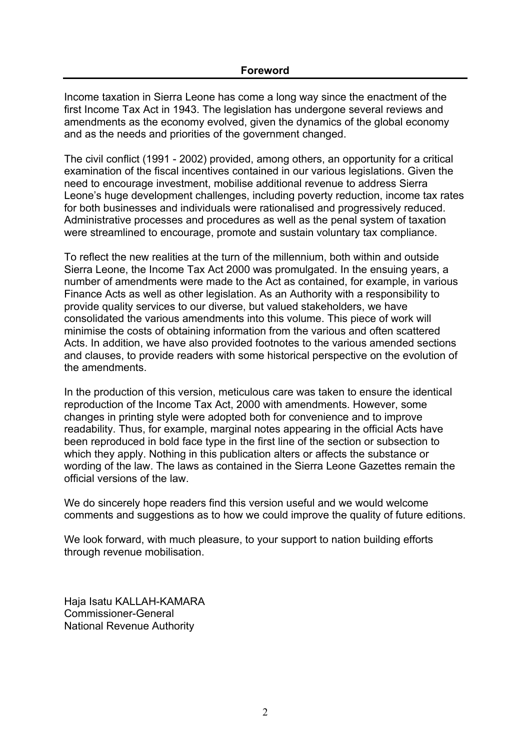Income taxation in Sierra Leone has come a long way since the enactment of the first Income Tax Act in 1943. The legislation has undergone several reviews and amendments as the economy evolved, given the dynamics of the global economy and as the needs and priorities of the government changed.

The civil conflict (1991 - 2002) provided, among others, an opportunity for a critical examination of the fiscal incentives contained in our various legislations. Given the need to encourage investment, mobilise additional revenue to address Sierra Leone's huge development challenges, including poverty reduction, income tax rates for both businesses and individuals were rationalised and progressively reduced. Administrative processes and procedures as well as the penal system of taxation were streamlined to encourage, promote and sustain voluntary tax compliance.

To reflect the new realities at the turn of the millennium, both within and outside Sierra Leone, the Income Tax Act 2000 was promulgated. In the ensuing years, a number of amendments were made to the Act as contained, for example, in various Finance Acts as well as other legislation. As an Authority with a responsibility to provide quality services to our diverse, but valued stakeholders, we have consolidated the various amendments into this volume. This piece of work will minimise the costs of obtaining information from the various and often scattered Acts. In addition, we have also provided footnotes to the various amended sections and clauses, to provide readers with some historical perspective on the evolution of the amendments.

In the production of this version, meticulous care was taken to ensure the identical reproduction of the Income Tax Act, 2000 with amendments. However, some changes in printing style were adopted both for convenience and to improve readability. Thus, for example, marginal notes appearing in the official Acts have been reproduced in bold face type in the first line of the section or subsection to which they apply. Nothing in this publication alters or affects the substance or wording of the law. The laws as contained in the Sierra Leone Gazettes remain the official versions of the law.

We do sincerely hope readers find this version useful and we would welcome comments and suggestions as to how we could improve the quality of future editions.

We look forward, with much pleasure, to your support to nation building efforts through revenue mobilisation.

Haja Isatu KALLAH-KAMARA Commissioner-General National Revenue Authority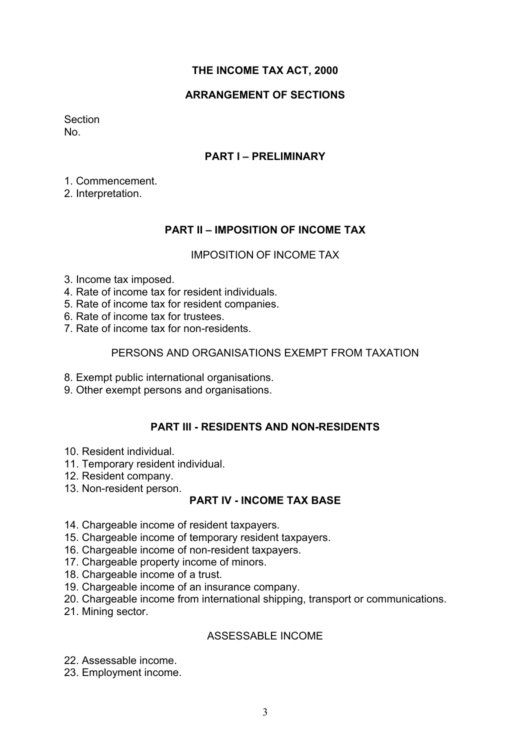## **THE INCOME TAX ACT, 2000**

## **ARRANGEMENT OF SECTIONS**

Section No.

## **PART I – PRELIMINARY**

1. Commencement.

2. Interpretation.

## **PART II – IMPOSITION OF INCOME TAX**

#### IMPOSITION OF INCOME TAX

- 3. Income tax imposed.
- 4. Rate of income tax for resident individuals.
- 5. Rate of income tax for resident companies.
- 6. Rate of income tax for trustees.
- 7. Rate of income tax for non-residents.

#### PERSONS AND ORGANISATIONS EXEMPT FROM TAXATION

- 8. Exempt public international organisations.
- 9. Other exempt persons and organisations.

## **PART III - RESIDENTS AND NON-RESIDENTS**

- 10. Resident individual.
- 11. Temporary resident individual.
- 12. Resident company.
- 13. Non-resident person.

## **PART IV - INCOME TAX BASE**

- 14. Chargeable income of resident taxpayers.
- 15. Chargeable income of temporary resident taxpayers.
- 16. Chargeable income of non-resident taxpayers.
- 17. Chargeable property income of minors.
- 18. Chargeable income of a trust.
- 19. Chargeable income of an insurance company.
- 20. Chargeable income from international shipping, transport or communications.
- 21. Mining sector.

## ASSESSABLE INCOME

- 22. Assessable income.
- 23. Employment income.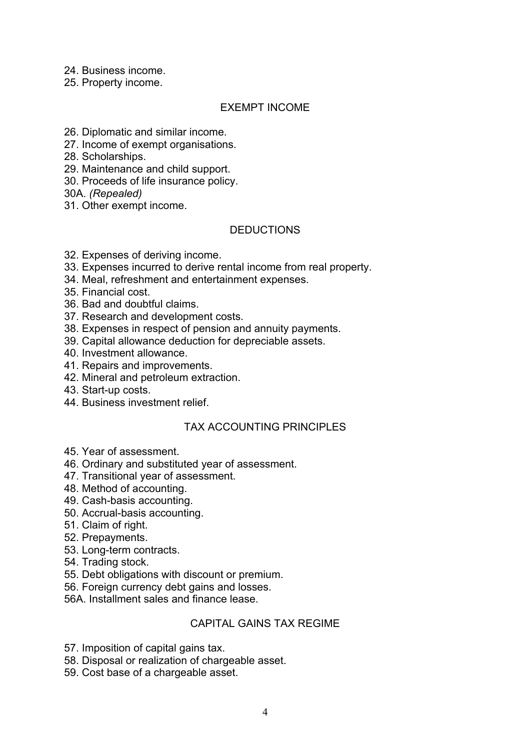24. Business income.

25. Property income.

## EXEMPT INCOME

26. Diplomatic and similar income.

- 27. Income of exempt organisations.
- 28. Scholarships.
- 29. Maintenance and child support.
- 30. Proceeds of life insurance policy.

30A. *(Repealed)*

31. Other exempt income.

## **DEDUCTIONS**

- 32. Expenses of deriving income.
- 33. Expenses incurred to derive rental income from real property.
- 34. Meal, refreshment and entertainment expenses.
- 35. Financial cost.
- 36. Bad and doubtful claims.
- 37. Research and development costs.
- 38. Expenses in respect of pension and annuity payments.
- 39. Capital allowance deduction for depreciable assets.
- 40. Investment allowance.
- 41. Repairs and improvements.
- 42. Mineral and petroleum extraction.
- 43. Start-up costs.
- 44. Business investment relief.

## TAX ACCOUNTING PRINCIPLES

- 45. Year of assessment.
- 46. Ordinary and substituted year of assessment.
- 47. Transitional year of assessment.
- 48. Method of accounting.
- 49. Cash-basis accounting.
- 50. Accrual-basis accounting.
- 51. Claim of right.
- 52. Prepayments.
- 53. Long-term contracts.
- 54. Trading stock.
- 55. Debt obligations with discount or premium.
- 56. Foreign currency debt gains and losses.
- 56A. Installment sales and finance lease.

#### CAPITAL GAINS TAX REGIME

- 57. Imposition of capital gains tax.
- 58. Disposal or realization of chargeable asset.
- 59. Cost base of a chargeable asset.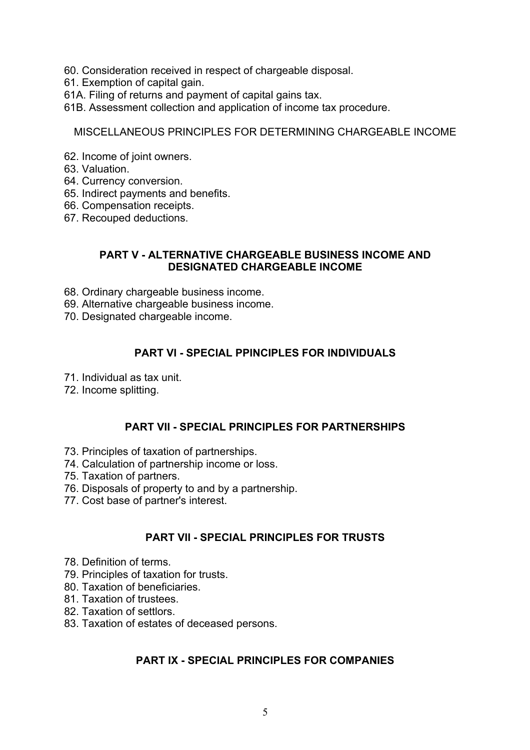- 60. Consideration received in respect of chargeable disposal.
- 61. Exemption of capital gain.
- 61A. Filing of returns and payment of capital gains tax.
- 61B. Assessment collection and application of income tax procedure.

MISCELLANEOUS PRINCIPLES FOR DETERMINING CHARGEABLE INCOME

- 62. Income of joint owners.
- 63. Valuation.
- 64. Currency conversion.
- 65. Indirect payments and benefits.
- 66. Compensation receipts.
- 67. Recouped deductions.

#### **PART V - ALTERNATIVE CHARGEABLE BUSINESS INCOME AND DESIGNATED CHARGEABLE INCOME**

- 68. Ordinary chargeable business income.
- 69. Alternative chargeable business income.
- 70. Designated chargeable income.

## **PART VI - SPECIAL PPINCIPLES FOR INDIVIDUALS**

- 71. Individual as tax unit.
- 72. Income splitting.

## **PART VII - SPECIAL PRINCIPLES FOR PARTNERSHIPS**

- 73. Principles of taxation of partnerships.
- 74. Calculation of partnership income or loss.
- 75. Taxation of partners.
- 76. Disposals of property to and by a partnership.
- 77. Cost base of partner's interest.

## **PART VII - SPECIAL PRINCIPLES FOR TRUSTS**

- 78. Definition of terms.
- 79. Principles of taxation for trusts.
- 80. Taxation of beneficiaries.
- 81. Taxation of trustees.
- 82. Taxation of settlors.
- 83. Taxation of estates of deceased persons.

## **PART IX - SPECIAL PRINCIPLES FOR COMPANIES**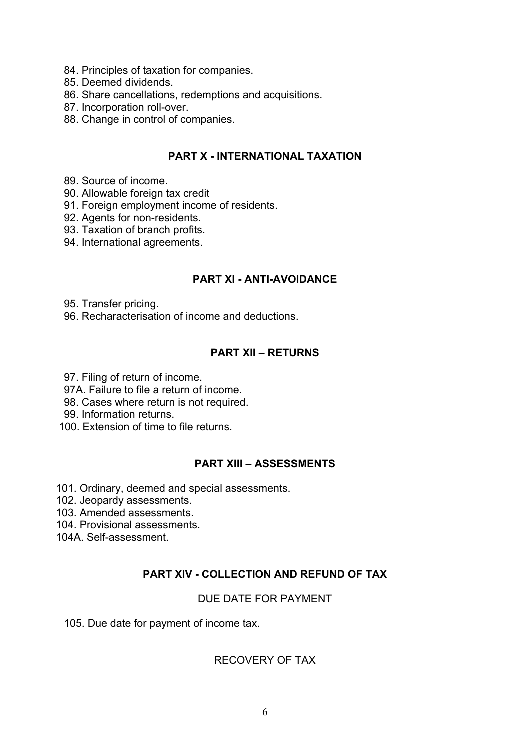- 84. Principles of taxation for companies.
- 85. Deemed dividends.
- 86. Share cancellations, redemptions and acquisitions.
- 87. Incorporation roll-over.
- 88. Change in control of companies.

## **PART X - INTERNATIONAL TAXATION**

- 89. Source of income.
- 90. Allowable foreign tax credit
- 91. Foreign employment income of residents.
- 92. Agents for non-residents.
- 93. Taxation of branch profits.
- 94. International agreements.

## **PART XI - ANTI-AVOIDANCE**

- 95. Transfer pricing.
- 96. Recharacterisation of income and deductions.

## **PART XII – RETURNS**

- 97. Filing of return of income.
- 97A. Failure to file a return of income.
- 98. Cases where return is not required.
- 99. Information returns.
- 100. Extension of time to file returns.

## **PART XIII – ASSESSMENTS**

- 101. Ordinary, deemed and special assessments.
- 102. Jeopardy assessments.
- 103. Amended assessments.
- 104. Provisional assessments.
- 104A. Self-assessment.

## **PART XIV - COLLECTION AND REFUND OF TAX**

## DUE DATE FOR PAYMENT

105. Due date for payment of income tax.

## RECOVERY OF TAX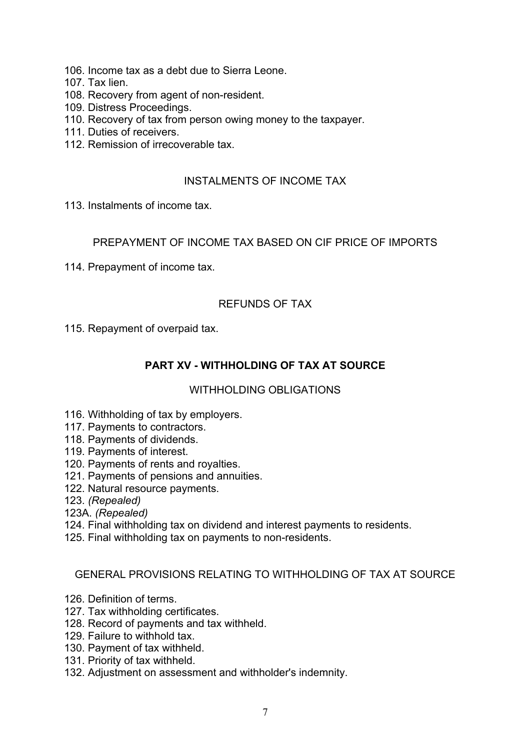- 106. Income tax as a debt due to Sierra Leone.
- 107. Tax lien.
- 108. Recovery from agent of non-resident.
- 109. Distress Proceedings.
- 110. Recovery of tax from person owing money to the taxpayer.
- 111. Duties of receivers.
- 112. Remission of irrecoverable tax.

## INSTALMENTS OF INCOME TAX

113. Instalments of income tax.

## PREPAYMENT OF INCOME TAX BASED ON CIF PRICE OF IMPORTS

114. Prepayment of income tax.

## REFUNDS OF TAX

115. Repayment of overpaid tax.

## **PART XV - WITHHOLDING OF TAX AT SOURCE**

## WITHHOLDING OBLIGATIONS

- 116. Withholding of tax by employers.
- 117. Payments to contractors.
- 118. Payments of dividends.
- 119. Payments of interest.
- 120. Payments of rents and royalties.
- 121. Payments of pensions and annuities.
- 122. Natural resource payments.
- 123. *(Repealed)*
- 123A. *(Repealed)*
- 124. Final withholding tax on dividend and interest payments to residents.
- 125. Final withholding tax on payments to non-residents.

#### GENERAL PROVISIONS RELATING TO WITHHOLDING OF TAX AT SOURCE

- 126. Definition of terms.
- 127. Tax withholding certificates.
- 128. Record of payments and tax withheld.
- 129. Failure to withhold tax.
- 130. Payment of tax withheld.
- 131. Priority of tax withheld.
- 132. Adjustment on assessment and withholder's indemnity.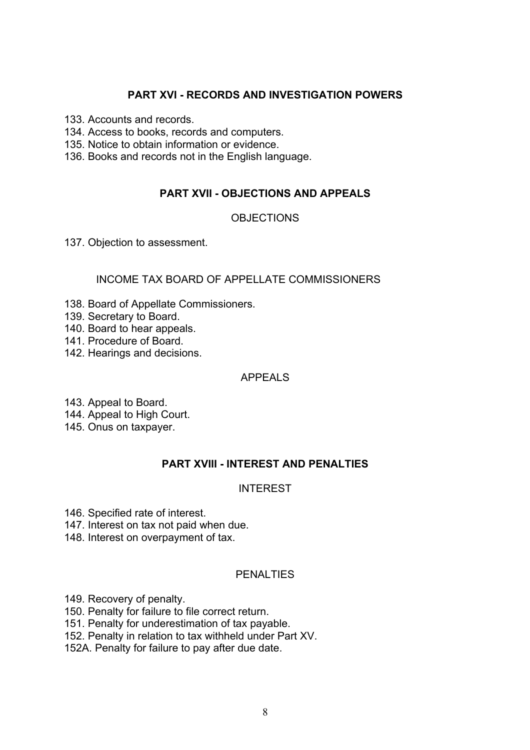## **PART XVI - RECORDS AND INVESTIGATION POWERS**

133. Accounts and records.

134. Access to books, records and computers.

135. Notice to obtain information or evidence.

136. Books and records not in the English language.

## **PART XVII - OBJECTIONS AND APPEALS**

## **OBJECTIONS**

137. Objection to assessment.

## INCOME TAX BOARD OF APPELLATE COMMISSIONERS

- 138. Board of Appellate Commissioners.
- 139. Secretary to Board.
- 140. Board to hear appeals.
- 141. Procedure of Board.
- 142. Hearings and decisions.

## APPEALS

- 143. Appeal to Board.
- 144. Appeal to High Court.
- 145. Onus on taxpayer.

## **PART XVIII - INTEREST AND PENALTIES**

## INTEREST

- 146. Specified rate of interest.
- 147. Interest on tax not paid when due.
- 148. Interest on overpayment of tax.

#### PENALTIES

- 149. Recovery of penalty.
- 150. Penalty for failure to file correct return.
- 151. Penalty for underestimation of tax payable.
- 152. Penalty in relation to tax withheld under Part XV.
- 152A. Penalty for failure to pay after due date.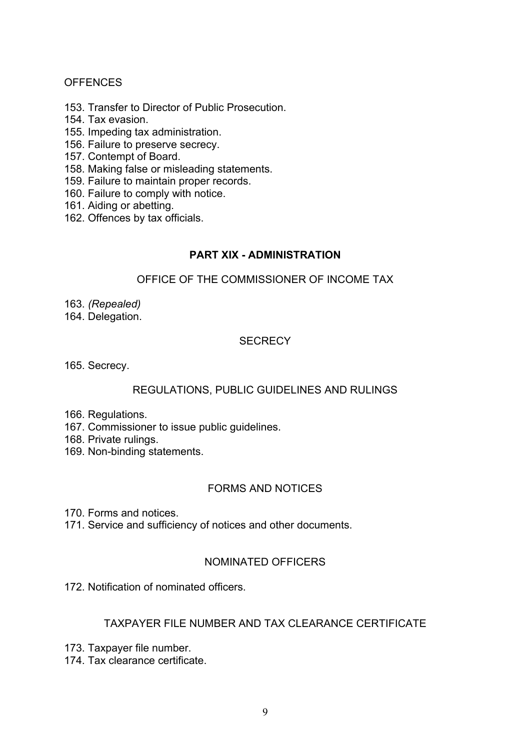## **OFFENCES**

- 153. Transfer to Director of Public Prosecution.
- 154. Tax evasion.
- 155. Impeding tax administration.
- 156. Failure to preserve secrecy.
- 157. Contempt of Board.
- 158. Making false or misleading statements.
- 159. Failure to maintain proper records.
- 160. Failure to comply with notice.
- 161. Aiding or abetting.
- 162. Offences by tax officials.

## **PART XIX - ADMINISTRATION**

#### OFFICE OF THE COMMISSIONER OF INCOME TAX

- 163. *(Repealed)*
- 164. Delegation.

## **SECRECY**

165. Secrecy.

## REGULATIONS, PUBLIC GUIDELINES AND RULINGS

- 166. Regulations.
- 167. Commissioner to issue public guidelines.
- 168. Private rulings.
- 169. Non-binding statements.

## FORMS AND NOTICES

170. Forms and notices.

171. Service and sufficiency of notices and other documents.

## NOMINATED OFFICERS

172. Notification of nominated officers.

#### TAXPAYER FILE NUMBER AND TAX CLEARANCE CERTIFICATE

- 173. Taxpayer file number.
- 174. Tax clearance certificate.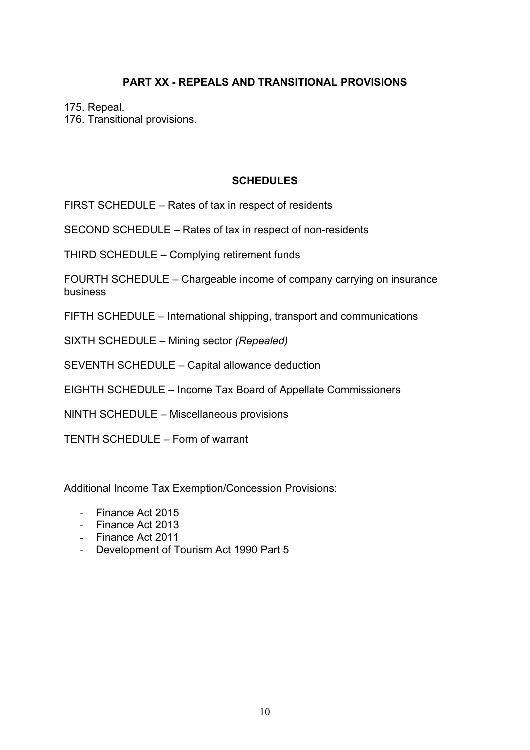# **PART XX - REPEALS AND TRANSITIONAL PROVISIONS**

175. Repeal.

176. Transitional provisions.

## **SCHEDULES**

FIRST SCHEDULE – Rates of tax in respect of residents

SECOND SCHEDULE – Rates of tax in respect of non-residents

THIRD SCHEDULE – Complying retirement funds

FOURTH SCHEDULE – Chargeable income of company carrying on insurance business

FIFTH SCHEDULE – International shipping, transport and communications

SIXTH SCHEDULE – Mining sector *(Repealed)*

SEVENTH SCHEDULE – Capital allowance deduction

EIGHTH SCHEDULE – Income Tax Board of Appellate Commissioners

NINTH SCHEDULE – Miscellaneous provisions

TENTH SCHEDULE – Form of warrant

Additional Income Tax Exemption/Concession Provisions:

- Finance Act 2015
- Finance Act 2013
- Finance Act 2011
- Development of Tourism Act 1990 Part 5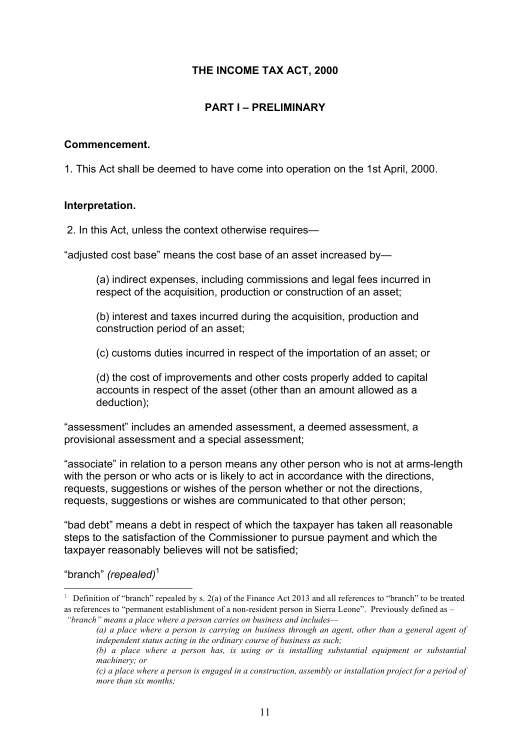## **THE INCOME TAX ACT, 2000**

## **PART I – PRELIMINARY**

#### **Commencement.**

1. This Act shall be deemed to have come into operation on the 1st April, 2000.

#### **Interpretation.**

2. In this Act, unless the context otherwise requires—

"adjusted cost base" means the cost base of an asset increased by—

(a) indirect expenses, including commissions and legal fees incurred in respect of the acquisition, production or construction of an asset;

(b) interest and taxes incurred during the acquisition, production and construction period of an asset;

(c) customs duties incurred in respect of the importation of an asset; or

(d) the cost of improvements and other costs properly added to capital accounts in respect of the asset (other than an amount allowed as a deduction);

"assessment" includes an amended assessment, a deemed assessment, a provisional assessment and a special assessment;

"associate" in relation to a person means any other person who is not at arms-length with the person or who acts or is likely to act in accordance with the directions, requests, suggestions or wishes of the person whether or not the directions, requests, suggestions or wishes are communicated to that other person;

"bad debt" means a debt in respect of which the taxpayer has taken all reasonable steps to the satisfaction of the Commissioner to pursue payment and which the taxpayer reasonably believes will not be satisfied;

"branch" *(repealed)*<sup>1</sup>

 $\overline{a}$ 

<sup>&</sup>lt;sup>1</sup> Definition of "branch" repealed by s. 2(a) of the Finance Act 2013 and all references to "branch" to be treated as references to "permanent establishment of a non-resident person in Sierra Leone". Previously defined as –

*<sup>&</sup>quot;branch" means a place where a person carries on business and includes—*

*<sup>(</sup>a) a place where a person is carrying on business through an agent, other than a general agent of independent status acting in the ordinary course of business as such;* 

*<sup>(</sup>b) a place where a person has, is using or is installing substantial equipment or substantial machinery; or* 

*<sup>(</sup>c) a place where a person is engaged in a construction, assembly or installation project for a period of more than six months;*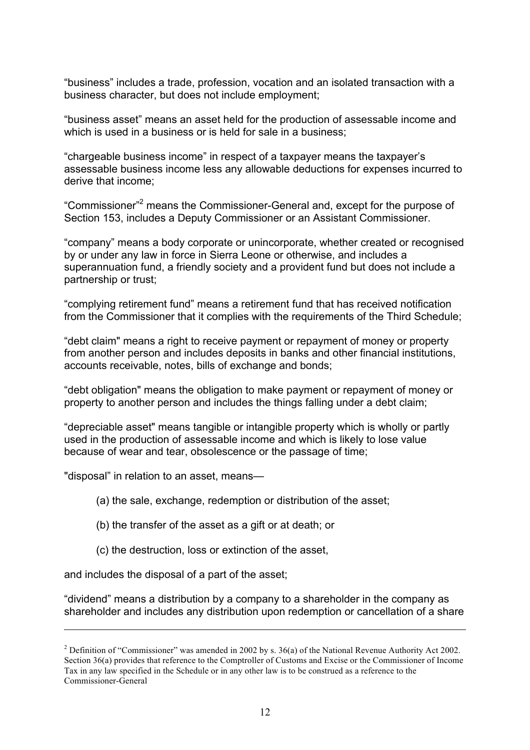"business" includes a trade, profession, vocation and an isolated transaction with a business character, but does not include employment;

"business asset" means an asset held for the production of assessable income and which is used in a business or is held for sale in a business;

"chargeable business income" in respect of a taxpayer means the taxpayer's assessable business income less any allowable deductions for expenses incurred to derive that income;

"Commissioner"<sup>2</sup> means the Commissioner-General and, except for the purpose of Section 153, includes a Deputy Commissioner or an Assistant Commissioner.

"company" means a body corporate or unincorporate, whether created or recognised by or under any law in force in Sierra Leone or otherwise, and includes a superannuation fund, a friendly society and a provident fund but does not include a partnership or trust;

"complying retirement fund" means a retirement fund that has received notification from the Commissioner that it complies with the requirements of the Third Schedule;

"debt claim" means a right to receive payment or repayment of money or property from another person and includes deposits in banks and other financial institutions, accounts receivable, notes, bills of exchange and bonds;

"debt obligation" means the obligation to make payment or repayment of money or property to another person and includes the things falling under a debt claim;

"depreciable asset" means tangible or intangible property which is wholly or partly used in the production of assessable income and which is likely to lose value because of wear and tear, obsolescence or the passage of time;

"disposal" in relation to an asset, means—

(a) the sale, exchange, redemption or distribution of the asset;

- (b) the transfer of the asset as a gift or at death; or
- (c) the destruction, loss or extinction of the asset,

and includes the disposal of a part of the asset;

 $\overline{a}$ 

"dividend" means a distribution by a company to a shareholder in the company as shareholder and includes any distribution upon redemption or cancellation of a share

<sup>&</sup>lt;sup>2</sup> Definition of "Commissioner" was amended in 2002 by s. 36(a) of the National Revenue Authority Act 2002. Section 36(a) provides that reference to the Comptroller of Customs and Excise or the Commissioner of Income Tax in any law specified in the Schedule or in any other law is to be construed as a reference to the Commissioner-General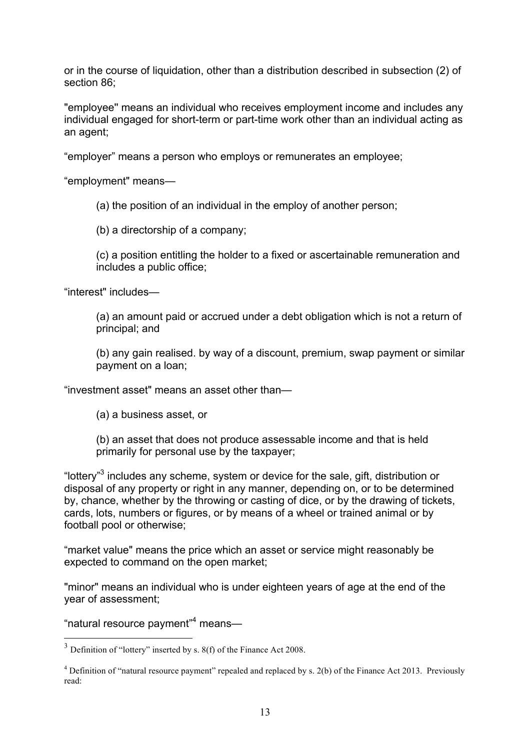or in the course of liquidation, other than a distribution described in subsection (2) of section 86;

"employee'' means an individual who receives employment income and includes any individual engaged for short-term or part-time work other than an individual acting as an agent;

"employer" means a person who employs or remunerates an employee;

"employment" means—

(a) the position of an individual in the employ of another person;

(b) a directorship of a company;

(c) a position entitling the holder to a fixed or ascertainable remuneration and includes a public office;

"interest" includes—

(a) an amount paid or accrued under a debt obligation which is not a return of principal; and

(b) any gain realised. by way of a discount, premium, swap payment or similar payment on a loan;

"investment asset" means an asset other than—

(a) a business asset, or

(b) an asset that does not produce assessable income and that is held primarily for personal use by the taxpayer;

"lottery"<sup>3</sup> includes any scheme, system or device for the sale, gift, distribution or disposal of any property or right in any manner, depending on, or to be determined by, chance, whether by the throwing or casting of dice, or by the drawing of tickets, cards, lots, numbers or figures, or by means of a wheel or trained animal or by football pool or otherwise;

"market value" means the price which an asset or service might reasonably be expected to command on the open market;

"minor" means an individual who is under eighteen years of age at the end of the year of assessment;

"natural resource payment"<sup>4</sup> means-

 <sup>3</sup> Definition of "lottery" inserted by s. 8(f) of the Finance Act 2008.

<sup>&</sup>lt;sup>4</sup> Definition of "natural resource payment" repealed and replaced by s. 2(b) of the Finance Act 2013. Previously read: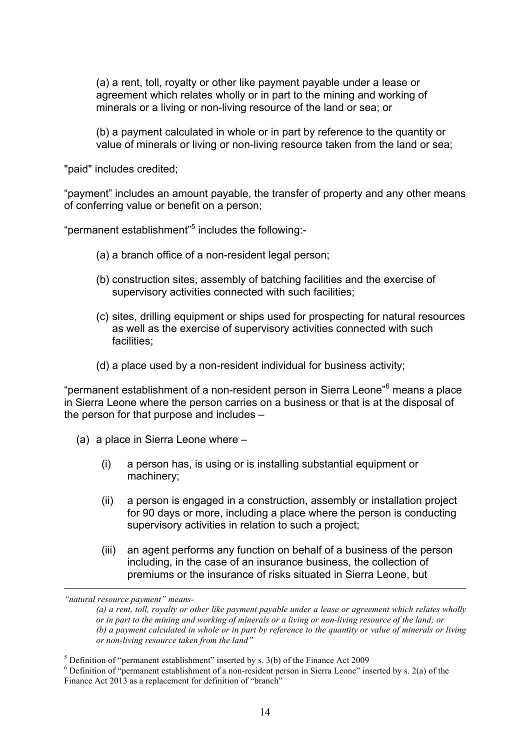(a) a rent, toll, royalty or other like payment payable under a lease or agreement which relates wholly or in part to the mining and working of minerals or a living or non-living resource of the land or sea; or

(b) a payment calculated in whole or in part by reference to the quantity or value of minerals or living or non-living resource taken from the land or sea;

"paid" includes credited;

"payment" includes an amount payable, the transfer of property and any other means of conferring value or benefit on a person;

"permanent establishment"<sup>5</sup> includes the following:-

- (a) a branch office of a non-resident legal person;
- (b) construction sites, assembly of batching facilities and the exercise of supervisory activities connected with such facilities;
- (c) sites, drilling equipment or ships used for prospecting for natural resources as well as the exercise of supervisory activities connected with such facilities;
- (d) a place used by a non-resident individual for business activity;

"permanent establishment of a non-resident person in Sierra Leone"<sup>6</sup> means a place in Sierra Leone where the person carries on a business or that is at the disposal of the person for that purpose and includes –

- (a) a place in Sierra Leone where
	- (i) a person has, is using or is installing substantial equipment or machinery;
	- (ii) a person is engaged in a construction, assembly or installation project for 90 days or more, including a place where the person is conducting supervisory activities in relation to such a project;
	- (iii) an agent performs any function on behalf of a business of the person including, in the case of an insurance business, the collection of premiums or the insurance of risks situated in Sierra Leone, but

 $\overline{a}$ 

*<sup>&</sup>quot;natural resource payment" means-*

*<sup>(</sup>a) a rent, toll, royalty or other like payment payable under a lease or agreement which relates wholly or in part to the mining and working of minerals or a living or non-living resource of the land; or (b) a payment calculated in whole or in part by reference to the quantity or value of minerals or living or non-living resource taken from the land"*

<sup>&</sup>lt;sup>5</sup> Definition of "permanent establishment" inserted by s. 3(b) of the Finance Act 2009 **6** Definition of "permanent establishment of a non-resident person in Sierra Leone" inserted by s. 2(a) of the Finance Act 2013 as a replacement for definition of "branch"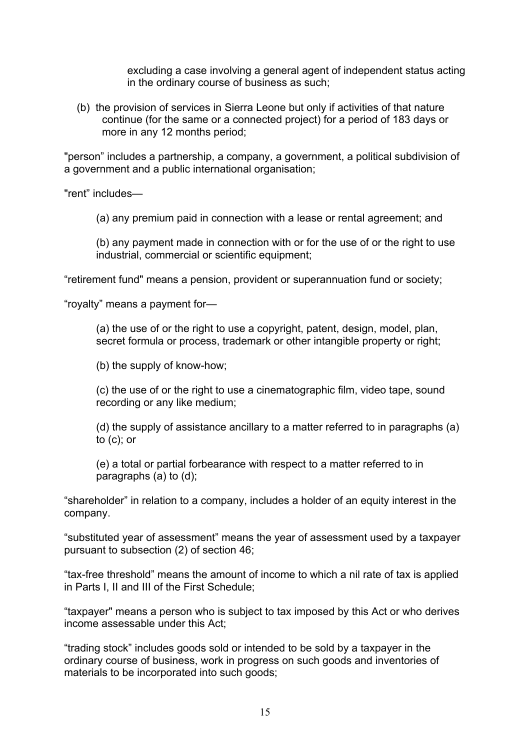excluding a case involving a general agent of independent status acting in the ordinary course of business as such;

(b) the provision of services in Sierra Leone but only if activities of that nature continue (for the same or a connected project) for a period of 183 days or more in any 12 months period;

"person" includes a partnership, a company, a government, a political subdivision of a government and a public international organisation;

"rent" includes—

(a) any premium paid in connection with a lease or rental agreement; and

(b) any payment made in connection with or for the use of or the right to use industrial, commercial or scientific equipment;

"retirement fund" means a pension, provident or superannuation fund or society;

"royalty" means a payment for—

(a) the use of or the right to use a copyright, patent, design, model, plan, secret formula or process, trademark or other intangible property or right;

(b) the supply of know-how;

(c) the use of or the right to use a cinematographic film, video tape, sound recording or any like medium;

(d) the supply of assistance ancillary to a matter referred to in paragraphs (a) to (c); or

(e) a total or partial forbearance with respect to a matter referred to in paragraphs (a) to (d);

"shareholder" in relation to a company, includes a holder of an equity interest in the company.

"substituted year of assessment" means the year of assessment used by a taxpayer pursuant to subsection (2) of section 46;

"tax-free threshold" means the amount of income to which a nil rate of tax is applied in Parts I, II and III of the First Schedule;

"taxpayer" means a person who is subject to tax imposed by this Act or who derives income assessable under this Act;

"trading stock" includes goods sold or intended to be sold by a taxpayer in the ordinary course of business, work in progress on such goods and inventories of materials to be incorporated into such goods;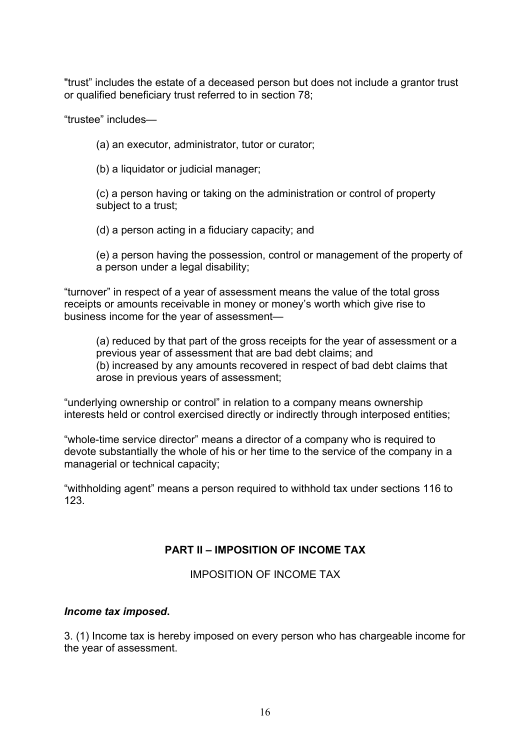"trust" includes the estate of a deceased person but does not include a grantor trust or qualified beneficiary trust referred to in section 78;

"trustee" includes—

(a) an executor, administrator, tutor or curator;

(b) a liquidator or judicial manager;

(c) a person having or taking on the administration or control of property subject to a trust;

(d) a person acting in a fiduciary capacity; and

(e) a person having the possession, control or management of the property of a person under a legal disability;

"turnover" in respect of a year of assessment means the value of the total gross receipts or amounts receivable in money or money's worth which give rise to business income for the year of assessment—

(a) reduced by that part of the gross receipts for the year of assessment or a previous year of assessment that are bad debt claims; and (b) increased by any amounts recovered in respect of bad debt claims that arose in previous years of assessment;

"underlying ownership or control" in relation to a company means ownership interests held or control exercised directly or indirectly through interposed entities;

"whole-time service director" means a director of a company who is required to devote substantially the whole of his or her time to the service of the company in a managerial or technical capacity;

"withholding agent" means a person required to withhold tax under sections 116 to 123.

## **PART II – IMPOSITION OF INCOME TAX**

IMPOSITION OF INCOME TAX

## *Income tax imposed***.**

3. (1) Income tax is hereby imposed on every person who has chargeable income for the year of assessment.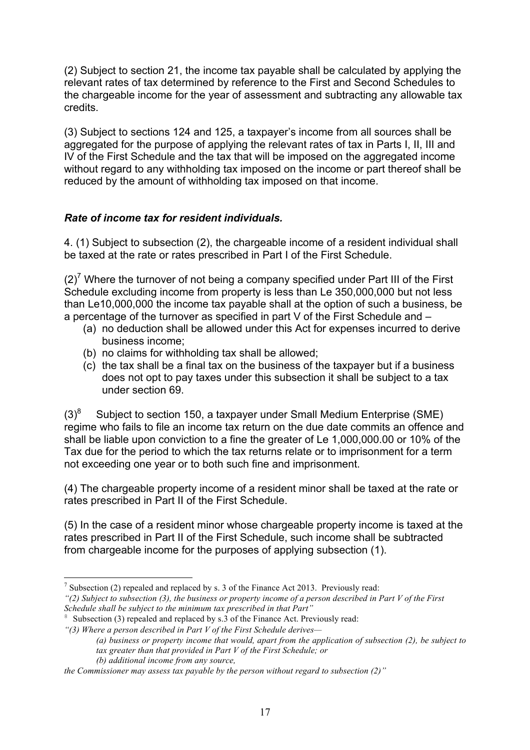(2) Subject to section 21, the income tax payable shall be calculated by applying the relevant rates of tax determined by reference to the First and Second Schedules to the chargeable income for the year of assessment and subtracting any allowable tax credits.

(3) Subject to sections 124 and 125, a taxpayer's income from all sources shall be aggregated for the purpose of applying the relevant rates of tax in Parts I, II, III and IV of the First Schedule and the tax that will be imposed on the aggregated income without regard to any withholding tax imposed on the income or part thereof shall be reduced by the amount of withholding tax imposed on that income.

## *Rate of income tax for resident individuals.*

4. (1) Subject to subsection (2), the chargeable income of a resident individual shall be taxed at the rate or rates prescribed in Part I of the First Schedule.

 $(2)^7$  Where the turnover of not being a company specified under Part III of the First Schedule excluding income from property is less than Le 350,000,000 but not less than Le10,000,000 the income tax payable shall at the option of such a business, be a percentage of the turnover as specified in part V of the First Schedule and –

- (a) no deduction shall be allowed under this Act for expenses incurred to derive business income;
- (b) no claims for withholding tax shall be allowed;
- (c) the tax shall be a final tax on the business of the taxpayer but if a business does not opt to pay taxes under this subsection it shall be subject to a tax under section 69.

 $(3)^8$  Subject to section 150, a taxpayer under Small Medium Enterprise (SME) regime who fails to file an income tax return on the due date commits an offence and shall be liable upon conviction to a fine the greater of Le 1,000,000.00 or 10% of the Tax due for the period to which the tax returns relate or to imprisonment for a term not exceeding one year or to both such fine and imprisonment.

(4) The chargeable property income of a resident minor shall be taxed at the rate or rates prescribed in Part II of the First Schedule.

(5) In the case of a resident minor whose chargeable property income is taxed at the rates prescribed in Part II of the First Schedule, such income shall be subtracted from chargeable income for the purposes of applying subsection (1).

 $<sup>7</sup>$  Subsection (2) repealed and replaced by s. 3 of the Finance Act 2013. Previously read:</sup>

*<sup>&</sup>quot;(2) Subject to subsection (3), the business or property income of a person described in Part V of the First Schedule shall be subject to the minimum tax prescribed in that Part"*

<sup>&</sup>lt;sup>8</sup> Subsection (3) repealed and replaced by s.3 of the Finance Act. Previously read:

*<sup>&</sup>quot;(3) Where a person described in Part V of the First Schedule derives—*

*<sup>(</sup>a) business or property income that would, apart from the application of subsection (2), be subject to tax greater than that provided in Part V of the First Schedule; or* 

*<sup>(</sup>b) additional income from any source,* 

*the Commissioner may assess tax payable by the person without regard to subsection (2)"*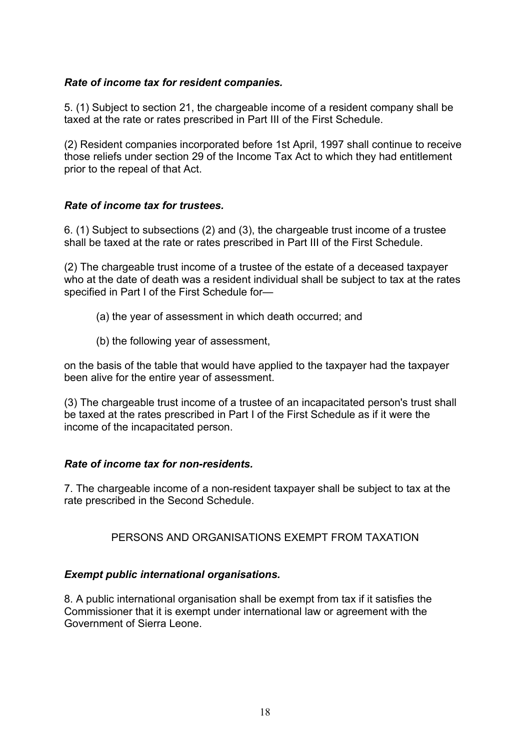## *Rate of income tax for resident companies.*

5. (1) Subject to section 21, the chargeable income of a resident company shall be taxed at the rate or rates prescribed in Part III of the First Schedule.

(2) Resident companies incorporated before 1st April, 1997 shall continue to receive those reliefs under section 29 of the Income Tax Act to which they had entitlement prior to the repeal of that Act.

## *Rate of income tax for trustees.*

6. (1) Subject to subsections (2) and (3), the chargeable trust income of a trustee shall be taxed at the rate or rates prescribed in Part III of the First Schedule.

(2) The chargeable trust income of a trustee of the estate of a deceased taxpayer who at the date of death was a resident individual shall be subject to tax at the rates specified in Part I of the First Schedule for—

- (a) the year of assessment in which death occurred; and
- (b) the following year of assessment,

on the basis of the table that would have applied to the taxpayer had the taxpayer been alive for the entire year of assessment.

(3) The chargeable trust income of a trustee of an incapacitated person's trust shall be taxed at the rates prescribed in Part I of the First Schedule as if it were the income of the incapacitated person.

## *Rate of income tax for non-residents.*

7. The chargeable income of a non-resident taxpayer shall be subject to tax at the rate prescribed in the Second Schedule.

## PERSONS AND ORGANISATIONS EXEMPT FROM TAXATION

## *Exempt public international organisations.*

8. A public international organisation shall be exempt from tax if it satisfies the Commissioner that it is exempt under international law or agreement with the Government of Sierra Leone.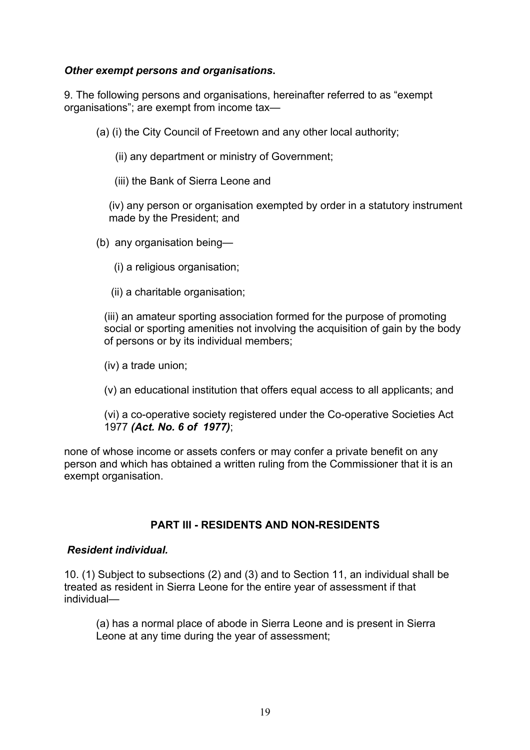## *Other exempt persons and organisations***.**

9. The following persons and organisations, hereinafter referred to as "exempt organisations"; are exempt from income tax—

(a) (i) the City Council of Freetown and any other local authority;

(ii) any department or ministry of Government;

(iii) the Bank of Sierra Leone and

(iv) any person or organisation exempted by order in a statutory instrument made by the President; and

- (b) any organisation being—
	- (i) a religious organisation;
	- (ii) a charitable organisation;

(iii) an amateur sporting association formed for the purpose of promoting social or sporting amenities not involving the acquisition of gain by the body of persons or by its individual members;

- (iv) a trade union;
- (v) an educational institution that offers equal access to all applicants; and

(vi) a co-operative society registered under the Co-operative Societies Act 1977 *(Act. No. 6 of 1977)*;

none of whose income or assets confers or may confer a private benefit on any person and which has obtained a written ruling from the Commissioner that it is an exempt organisation.

## **PART III - RESIDENTS AND NON-RESIDENTS**

#### *Resident individual.*

10. (1) Subject to subsections (2) and (3) and to Section 11, an individual shall be treated as resident in Sierra Leone for the entire year of assessment if that individual—

(a) has a normal place of abode in Sierra Leone and is present in Sierra Leone at any time during the year of assessment;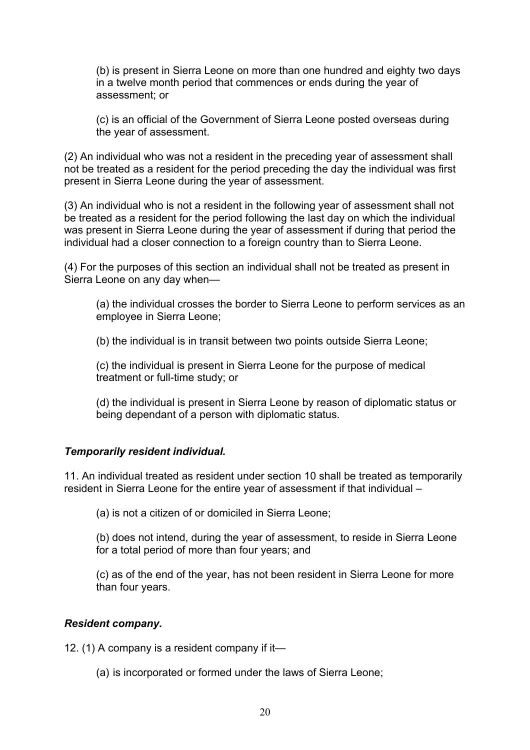(b) is present in Sierra Leone on more than one hundred and eighty two days in a twelve month period that commences or ends during the year of assessment; or

(c) is an official of the Government of Sierra Leone posted overseas during the year of assessment.

(2) An individual who was not a resident in the preceding year of assessment shall not be treated as a resident for the period preceding the day the individual was first present in Sierra Leone during the year of assessment.

(3) An individual who is not a resident in the following year of assessment shall not be treated as a resident for the period following the last day on which the individual was present in Sierra Leone during the year of assessment if during that period the individual had a closer connection to a foreign country than to Sierra Leone.

(4) For the purposes of this section an individual shall not be treated as present in Sierra Leone on any day when—

(a) the individual crosses the border to Sierra Leone to perform services as an employee in Sierra Leone;

(b) the individual is in transit between two points outside Sierra Leone;

(c) the individual is present in Sierra Leone for the purpose of medical treatment or full-time study; or

(d) the individual is present in Sierra Leone by reason of diplomatic status or being dependant of a person with diplomatic status.

## *Temporarily resident individual.*

11. An individual treated as resident under section 10 shall be treated as temporarily resident in Sierra Leone for the entire year of assessment if that individual –

(a) is not a citizen of or domiciled in Sierra Leone;

(b) does not intend, during the year of assessment, to reside in Sierra Leone for a total period of more than four years; and

(c) as of the end of the year, has not been resident in Sierra Leone for more than four years.

#### *Resident company.*

12. (1) A company is a resident company if it—

(a) is incorporated or formed under the laws of Sierra Leone;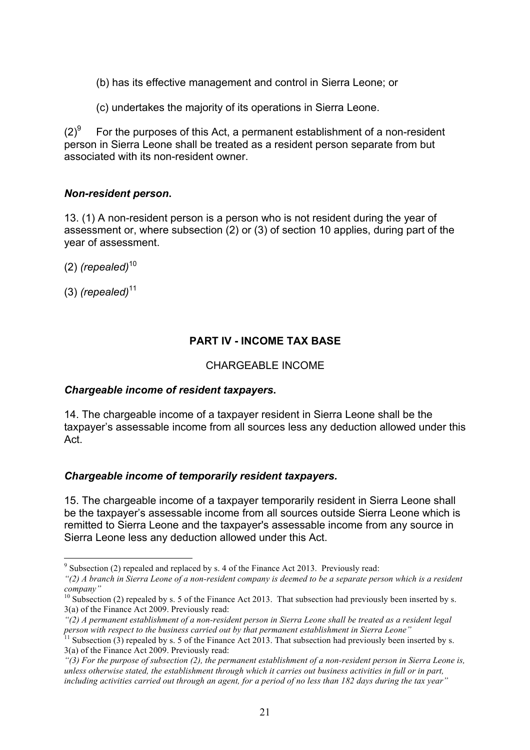- (b) has its effective management and control in Sierra Leone; or
- (c) undertakes the majority of its operations in Sierra Leone.

 $(2)^9$  For the purposes of this Act, a permanent establishment of a non-resident person in Sierra Leone shall be treated as a resident person separate from but associated with its non-resident owner.

## *Non-resident person***.**

13. (1) A non-resident person is a person who is not resident during the year of assessment or, where subsection (2) or (3) of section 10 applies, during part of the year of assessment.

- (2) *(repealed)*<sup>10</sup>
- (3) *(repealed)*<sup>11</sup>

# **PART IV - INCOME TAX BASE**

## CHARGEABLE INCOME

## *Chargeable income of resident taxpayers***.**

14. The chargeable income of a taxpayer resident in Sierra Leone shall be the taxpayer's assessable income from all sources less any deduction allowed under this Act.

## *Chargeable income of temporarily resident taxpayers.*

15. The chargeable income of a taxpayer temporarily resident in Sierra Leone shall be the taxpayer's assessable income from all sources outside Sierra Leone which is remitted to Sierra Leone and the taxpayer's assessable income from any source in Sierra Leone less any deduction allowed under this Act.

 <sup>9</sup> Subsection (2) repealed and replaced by s. 4 of the Finance Act 2013. Previously read:

*<sup>&</sup>quot;(2) A branch in Sierra Leone of a non-resident company is deemed to be a separate person which is a resident company"*

 $10$  Subsection (2) repealed by s. 5 of the Finance Act 2013. That subsection had previously been inserted by s. 3(a) of the Finance Act 2009. Previously read:

*<sup>&</sup>quot;(2) A permanent establishment of a non-resident person in Sierra Leone shall be treated as a resident legal person with respect to the business carried out by that permanent establishment in Sierra Leone"*<br><sup>11</sup> Subsection (3) repealed by s. 5 of the Finance Act 2013. That subsection had previously been inserted by s.

<sup>3(</sup>a) of the Finance Act 2009. Previously read:

*<sup>&</sup>quot;(3) For the purpose of subsection (2), the permanent establishment of a non-resident person in Sierra Leone is, unless otherwise stated, the establishment through which it carries out business activities in full or in part, including activities carried out through an agent, for a period of no less than 182 days during the tax year"*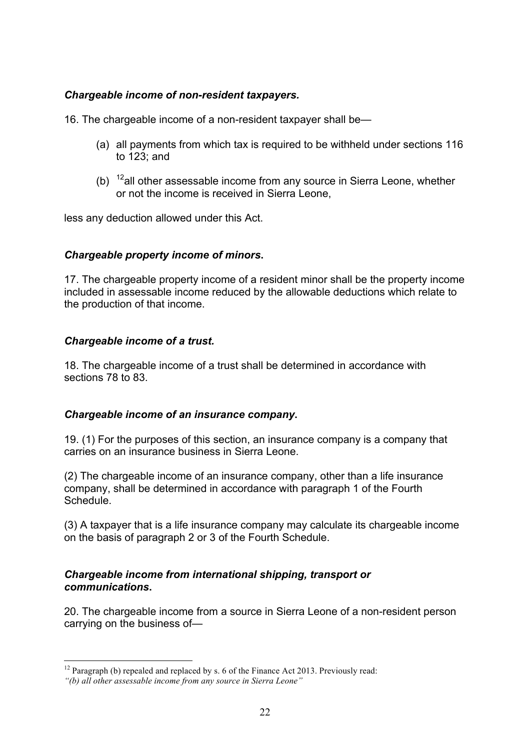## *Chargeable income of non-resident taxpayers.*

16. The chargeable income of a non-resident taxpayer shall be—

- (a) all payments from which tax is required to be withheld under sections 116 to 123; and
- (b)  $12$ all other assessable income from any source in Sierra Leone, whether or not the income is received in Sierra Leone,

less any deduction allowed under this Act.

## *Chargeable property income of minors***.**

17. The chargeable property income of a resident minor shall be the property income included in assessable income reduced by the allowable deductions which relate to the production of that income.

## *Chargeable income of a trust.*

18. The chargeable income of a trust shall be determined in accordance with sections 78 to 83.

## *Chargeable income of an insurance company***.**

19. (1) For the purposes of this section, an insurance company is a company that carries on an insurance business in Sierra Leone.

(2) The chargeable income of an insurance company, other than a life insurance company, shall be determined in accordance with paragraph 1 of the Fourth Schedule.

(3) A taxpayer that is a life insurance company may calculate its chargeable income on the basis of paragraph 2 or 3 of the Fourth Schedule.

## *Chargeable income from international shipping, transport or communications***.**

20. The chargeable income from a source in Sierra Leone of a non-resident person carrying on the business of—

 $12$  Paragraph (b) repealed and replaced by s. 6 of the Finance Act 2013. Previously read:

*<sup>&</sup>quot;(b) all other assessable income from any source in Sierra Leone"*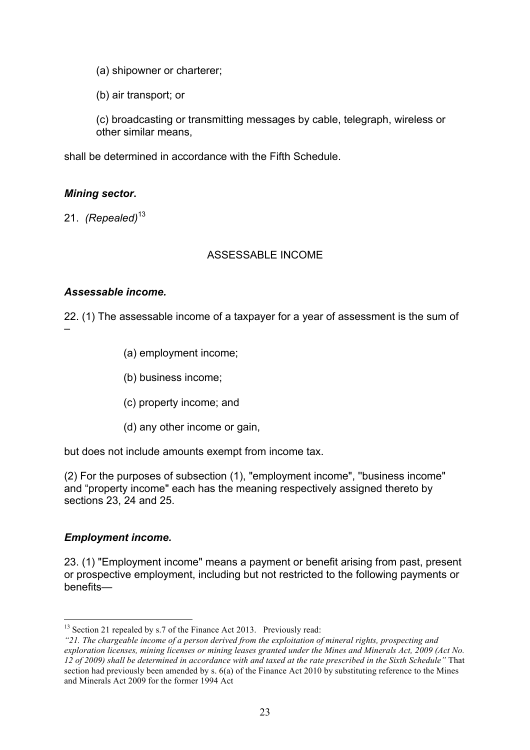- (a) shipowner or charterer;
- (b) air transport; or

(c) broadcasting or transmitting messages by cable, telegraph, wireless or other similar means,

shall be determined in accordance with the Fifth Schedule.

## *Mining sector***.**

21. *(Repealed)*<sup>13</sup>

## ASSESSABLE INCOME

## *Assessable income.*

22. (1) The assessable income of a taxpayer for a year of assessment is the sum of –

- (a) employment income;
- (b) business income;
- (c) property income; and
- (d) any other income or gain,

but does not include amounts exempt from income tax.

(2) For the purposes of subsection (1), "employment income", ''business income" and "property income" each has the meaning respectively assigned thereto by sections 23, 24 and 25.

## *Employment income.*

23. (1) "Employment income" means a payment or benefit arising from past, present or prospective employment, including but not restricted to the following payments or benefits—

 $13$  Section 21 repealed by s.7 of the Finance Act 2013. Previously read:

*<sup>&</sup>quot;21. The chargeable income of a person derived from the exploitation of mineral rights, prospecting and exploration licenses, mining licenses or mining leases granted under the Mines and Minerals Act, 2009 (Act No. 12 of 2009) shall be determined in accordance with and taxed at the rate prescribed in the Sixth Schedule"* That section had previously been amended by s. 6(a) of the Finance Act 2010 by substituting reference to the Mines and Minerals Act 2009 for the former 1994 Act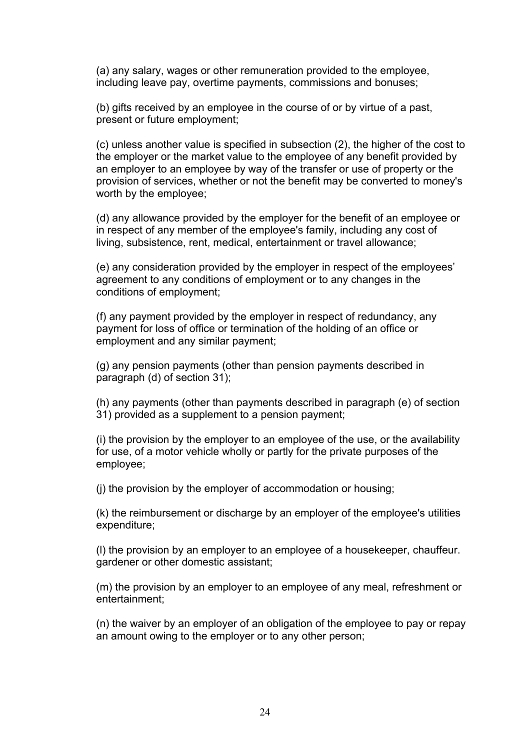(a) any salary, wages or other remuneration provided to the employee, including leave pay, overtime payments, commissions and bonuses;

(b) gifts received by an employee in the course of or by virtue of a past, present or future employment;

(c) unless another value is specified in subsection (2), the higher of the cost to the employer or the market value to the employee of any benefit provided by an employer to an employee by way of the transfer or use of property or the provision of services, whether or not the benefit may be converted to money's worth by the employee;

(d) any allowance provided by the employer for the benefit of an employee or in respect of any member of the employee's family, including any cost of living, subsistence, rent, medical, entertainment or travel allowance;

(e) any consideration provided by the employer in respect of the employees' agreement to any conditions of employment or to any changes in the conditions of employment;

(f) any payment provided by the employer in respect of redundancy, any payment for loss of office or termination of the holding of an office or employment and any similar payment;

(g) any pension payments (other than pension payments described in paragraph (d) of section 31);

(h) any payments (other than payments described in paragraph (e) of section 31) provided as a supplement to a pension payment;

(i) the provision by the employer to an employee of the use, or the availability for use, of a motor vehicle wholly or partly for the private purposes of the employee;

(j) the provision by the employer of accommodation or housing;

(k) the reimbursement or discharge by an employer of the employee's utilities expenditure;

(l) the provision by an employer to an employee of a housekeeper, chauffeur. gardener or other domestic assistant;

(m) the provision by an employer to an employee of any meal, refreshment or entertainment;

(n) the waiver by an employer of an obligation of the employee to pay or repay an amount owing to the employer or to any other person;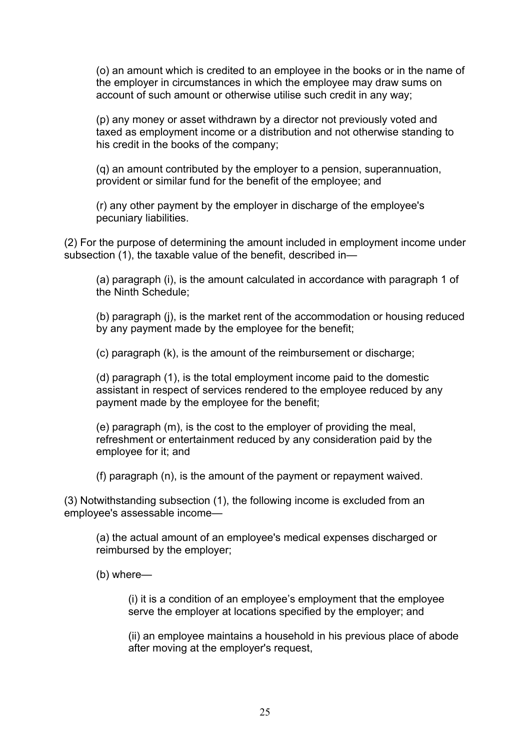(o) an amount which is credited to an employee in the books or in the name of the employer in circumstances in which the employee may draw sums on account of such amount or otherwise utilise such credit in any way;

(p) any money or asset withdrawn by a director not previously voted and taxed as employment income or a distribution and not otherwise standing to his credit in the books of the company;

(q) an amount contributed by the employer to a pension, superannuation, provident or similar fund for the benefit of the employee; and

(r) any other payment by the employer in discharge of the employee's pecuniary liabilities.

(2) For the purpose of determining the amount included in employment income under subsection (1), the taxable value of the benefit, described in—

(a) paragraph (i), is the amount calculated in accordance with paragraph 1 of the Ninth Schedule;

(b) paragraph (j), is the market rent of the accommodation or housing reduced by any payment made by the employee for the benefit;

(c) paragraph (k), is the amount of the reimbursement or discharge;

(d) paragraph (1), is the total employment income paid to the domestic assistant in respect of services rendered to the employee reduced by any payment made by the employee for the benefit;

(e) paragraph (m), is the cost to the employer of providing the meal, refreshment or entertainment reduced by any consideration paid by the employee for it; and

(f) paragraph (n), is the amount of the payment or repayment waived.

(3) Notwithstanding subsection (1), the following income is excluded from an employee's assessable income—

(a) the actual amount of an employee's medical expenses discharged or reimbursed by the employer;

(b) where—

(i) it is a condition of an employee's employment that the employee serve the employer at locations specified by the employer; and

(ii) an employee maintains a household in his previous place of abode after moving at the employer's request,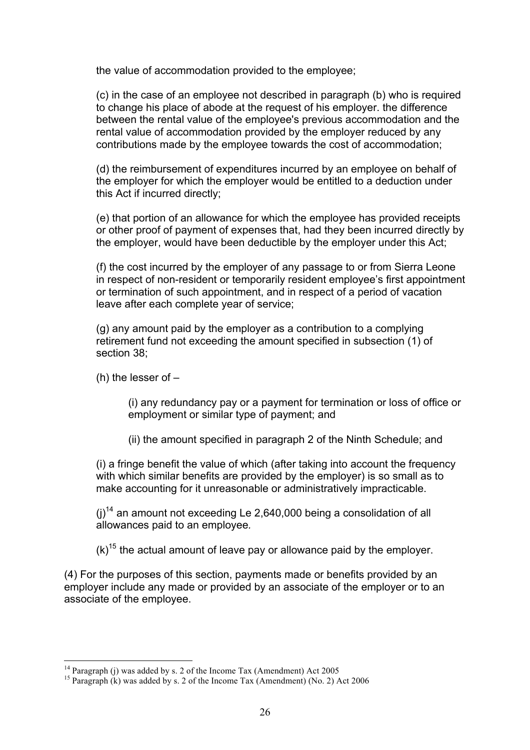the value of accommodation provided to the employee;

(c) in the case of an employee not described in paragraph (b) who is required to change his place of abode at the request of his employer. the difference between the rental value of the employee's previous accommodation and the rental value of accommodation provided by the employer reduced by any contributions made by the employee towards the cost of accommodation;

(d) the reimbursement of expenditures incurred by an employee on behalf of the employer for which the employer would be entitled to a deduction under this Act if incurred directly;

(e) that portion of an allowance for which the employee has provided receipts or other proof of payment of expenses that, had they been incurred directly by the employer, would have been deductible by the employer under this Act;

(f) the cost incurred by the employer of any passage to or from Sierra Leone in respect of non-resident or temporarily resident employee's first appointment or termination of such appointment, and in respect of a period of vacation leave after each complete year of service;

(g) any amount paid by the employer as a contribution to a complying retirement fund not exceeding the amount specified in subsection (1) of section 38;

(h) the lesser of  $-$ 

(i) any redundancy pay or a payment for termination or loss of office or employment or similar type of payment; and

(ii) the amount specified in paragraph 2 of the Ninth Schedule; and

(i) a fringe benefit the value of which (after taking into account the frequency with which similar benefits are provided by the employer) is so small as to make accounting for it unreasonable or administratively impracticable.

 $(i)$ <sup>14</sup> an amount not exceeding Le 2,640,000 being a consolidation of all allowances paid to an employee*.*

 $(k)$ <sup>15</sup> the actual amount of leave pay or allowance paid by the employer.

(4) For the purposes of this section, payments made or benefits provided by an employer include any made or provided by an associate of the employer or to an associate of the employee.

<sup>&</sup>lt;sup>14</sup> Paragraph (j) was added by s. 2 of the Income Tax (Amendment) Act 2005<br><sup>15</sup> Paragraph (k) was added by s. 2 of the Income Tax (Amendment) (No. 2) Act 2006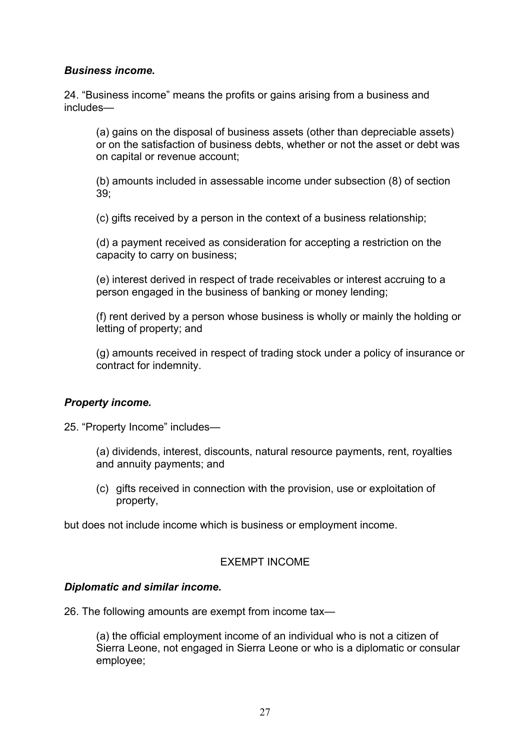## *Business income.*

24. "Business income" means the profits or gains arising from a business and includes—

(a) gains on the disposal of business assets (other than depreciable assets) or on the satisfaction of business debts, whether or not the asset or debt was on capital or revenue account;

(b) amounts included in assessable income under subsection (8) of section 39;

(c) gifts received by a person in the context of a business relationship;

(d) a payment received as consideration for accepting a restriction on the capacity to carry on business;

(e) interest derived in respect of trade receivables or interest accruing to a person engaged in the business of banking or money lending;

(f) rent derived by a person whose business is wholly or mainly the holding or letting of property; and

(g) amounts received in respect of trading stock under a policy of insurance or contract for indemnity.

## *Property income.*

25. "Property Income" includes—

(a) dividends, interest, discounts, natural resource payments, rent, royalties and annuity payments; and

(c) gifts received in connection with the provision, use or exploitation of property,

but does not include income which is business or employment income.

## EXEMPT INCOME

## *Diplomatic and similar income.*

26. The following amounts are exempt from income tax—

(a) the official employment income of an individual who is not a citizen of Sierra Leone, not engaged in Sierra Leone or who is a diplomatic or consular employee;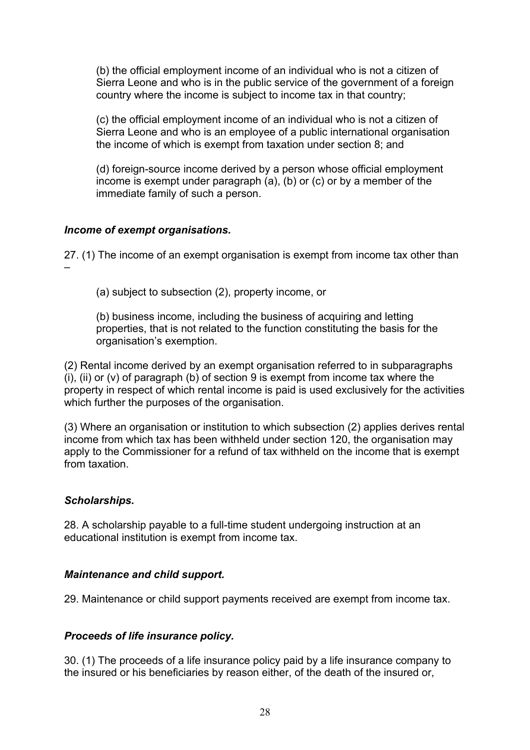(b) the official employment income of an individual who is not a citizen of Sierra Leone and who is in the public service of the government of a foreign country where the income is subject to income tax in that country;

(c) the official employment income of an individual who is not a citizen of Sierra Leone and who is an employee of a public international organisation the income of which is exempt from taxation under section 8; and

(d) foreign-source income derived by a person whose official employment income is exempt under paragraph (a), (b) or (c) or by a member of the immediate family of such a person.

## *Income of exempt organisations.*

27. (1) The income of an exempt organisation is exempt from income tax other than –

(a) subject to subsection (2), property income, or

(b) business income, including the business of acquiring and letting properties, that is not related to the function constituting the basis for the organisation's exemption.

(2) Rental income derived by an exempt organisation referred to in subparagraphs (i), (ii) or  $(v)$  of paragraph (b) of section 9 is exempt from income tax where the property in respect of which rental income is paid is used exclusively for the activities which further the purposes of the organisation.

(3) Where an organisation or institution to which subsection (2) applies derives rental income from which tax has been withheld under section 120, the organisation may apply to the Commissioner for a refund of tax withheld on the income that is exempt from taxation.

## *Scholarships.*

28. A scholarship payable to a full-time student undergoing instruction at an educational institution is exempt from income tax.

## *Maintenance and child support.*

29. Maintenance or child support payments received are exempt from income tax.

## *Proceeds of life insurance policy.*

30. (1) The proceeds of a life insurance policy paid by a life insurance company to the insured or his beneficiaries by reason either, of the death of the insured or,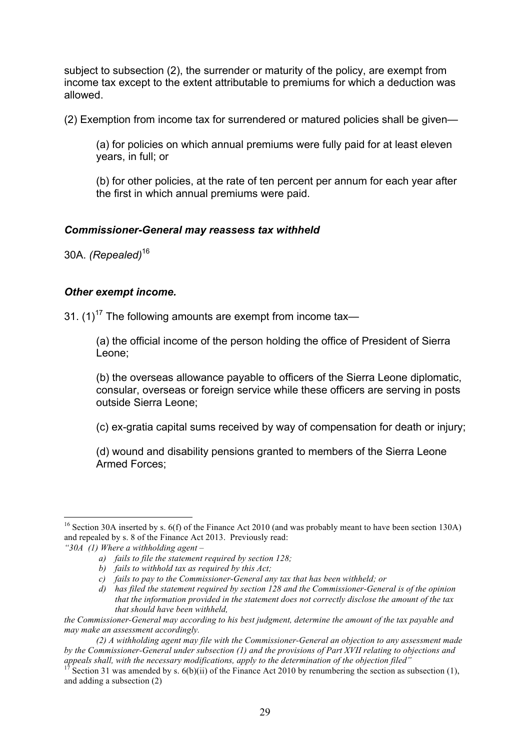subject to subsection (2), the surrender or maturity of the policy, are exempt from income tax except to the extent attributable to premiums for which a deduction was allowed.

(2) Exemption from income tax for surrendered or matured policies shall be given—

(a) for policies on which annual premiums were fully paid for at least eleven years, in full; or

(b) for other policies, at the rate of ten percent per annum for each year after the first in which annual premiums were paid.

## *Commissioner-General may reassess tax withheld*

30A. *(Repealed)*<sup>16</sup>

#### *Other exempt income.*

31.  $(1)^{17}$  The following amounts are exempt from income tax—

(a) the official income of the person holding the office of President of Sierra Leone;

(b) the overseas allowance payable to officers of the Sierra Leone diplomatic, consular, overseas or foreign service while these officers are serving in posts outside Sierra Leone;

(c) ex-gratia capital sums received by way of compensation for death or injury;

(d) wound and disability pensions granted to members of the Sierra Leone Armed Forces;

<sup>&</sup>lt;sup>16</sup> Section 30A inserted by s. 6(f) of the Finance Act 2010 (and was probably meant to have been section 130A) and repealed by s. 8 of the Finance Act 2013. Previously read:

*<sup>&</sup>quot;30A (1) Where a withholding agent –*

*a) fails to file the statement required by section 128;*

*b) fails to withhold tax as required by this Act;*

*c) fails to pay to the Commissioner-General any tax that has been withheld; or*

*d) has filed the statement required by section 128 and the Commissioner-General is of the opinion that the information provided in the statement does not correctly disclose the amount of the tax that should have been withheld,*

*the Commissioner-General may according to his best judgment, determine the amount of the tax payable and may make an assessment accordingly.*

*<sup>(2)</sup> A withholding agent may file with the Commissioner-General an objection to any assessment made by the Commissioner-General under subsection (1) and the provisions of Part XVII relating to objections and appeals shall, with the necessary modifications, apply to the determination of the objection filed"*<br><sup>17</sup> Section 31 was amended by s. 6(b)(ii) of the Finance Act 2010 by renumbering the section as subsection (1),

and adding a subsection (2)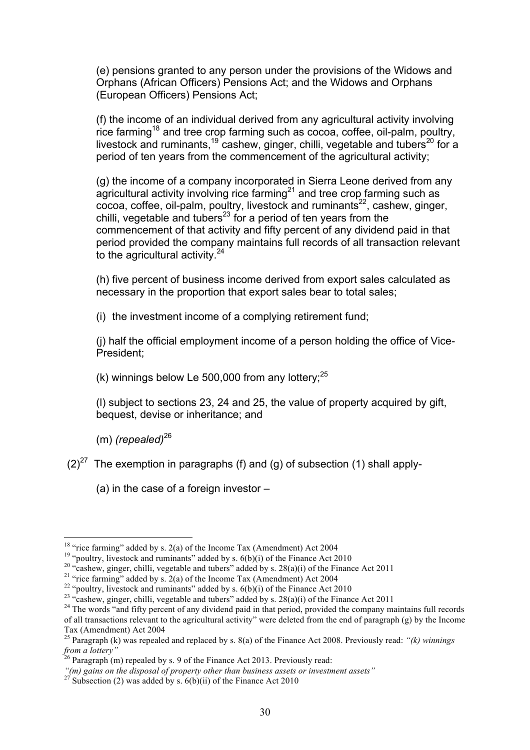(e) pensions granted to any person under the provisions of the Widows and Orphans (African Officers) Pensions Act; and the Widows and Orphans (European Officers) Pensions Act;

(f) the income of an individual derived from any agricultural activity involving rice farming<sup>18</sup> and tree crop farming such as cocoa, coffee, oil-palm, poultry, livestock and ruminants,<sup>19</sup> cashew, ginger, chilli, vegetable and tubers<sup>20</sup> for a period of ten years from the commencement of the agricultural activity;

(g) the income of a company incorporated in Sierra Leone derived from any agricultural activity involving rice farming<sup>21</sup> and tree crop farming such as cocoa, coffee, oil-palm, poultry, livestock and ruminants<sup>22</sup>, cashew, ginger, chilli, vegetable and tubers $^{23}$  for a period of ten years from the commencement of that activity and fifty percent of any dividend paid in that period provided the company maintains full records of all transaction relevant to the agricultural activity. $24$ 

(h) five percent of business income derived from export sales calculated as necessary in the proportion that export sales bear to total sales;

(i) the investment income of a complying retirement fund;

(j) half the official employment income of a person holding the office of Vice-President;

(k) winnings below Le 500,000 from any lottery;  $25$ 

(l) subject to sections 23, 24 and 25, the value of property acquired by gift, bequest, devise or inheritance; and

(m) *(repealed)*<sup>26</sup>

 $(2)^{27}$  The exemption in paragraphs (f) and (g) of subsection (1) shall apply-

(a) in the case of a foreign investor –

<sup>&</sup>lt;sup>18</sup> "rice farming" added by s. 2(a) of the Income Tax (Amendment) Act 2004<br><sup>19</sup> "poultry, livestock and ruminants" added by s. 6(b)(i) of the Finance Act 2010<br><sup>20</sup> "cashew, ginger, chilli, vegetable and tubers" added by of all transactions relevant to the agricultural activity" were deleted from the end of paragraph (g) by the Income Tax (Amendment) Act 2004

<sup>25</sup> Paragraph (k) was repealed and replaced by s. 8(a) of the Finance Act 2008. Previously read: *"(k) winnings from a lottery"*<br><sup>26</sup> Paragraph (m) repealed by s. 9 of the Finance Act 2013. Previously read:

*<sup>&</sup>quot;(m) gains on the disposal of property other than business assets or investment assets"* <sup>27</sup> Subsection (2) was added by s. 6(b)(ii) of the Finance Act 2010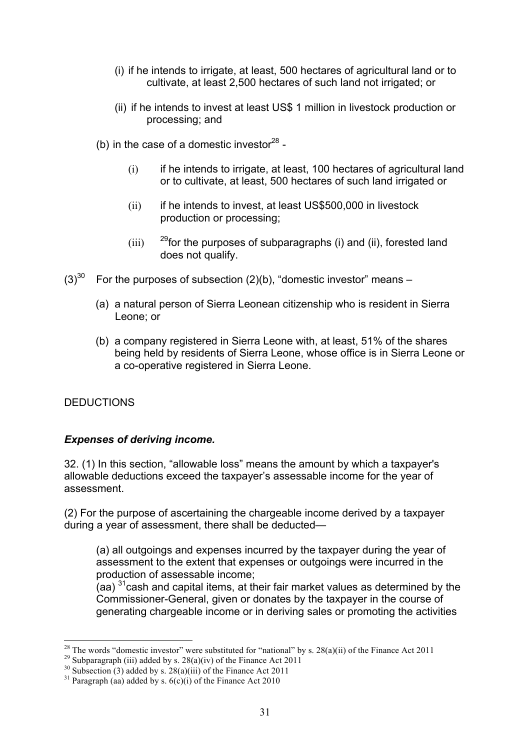- (i) if he intends to irrigate, at least, 500 hectares of agricultural land or to cultivate, at least 2,500 hectares of such land not irrigated; or
- (ii) if he intends to invest at least US\$ 1 million in livestock production or processing; and
- (b) in the case of a domestic investor $^{28}$  -
	- (i) if he intends to irrigate, at least, 100 hectares of agricultural land or to cultivate, at least, 500 hectares of such land irrigated or
	- (ii) if he intends to invest, at least US\$500,000 in livestock production or processing;
	- (iii)  $^{29}$  for the purposes of subparagraphs (i) and (ii), forested land does not qualify.
- $(3)^{30}$  For the purposes of subsection (2)(b), "domestic investor" means
	- (a) a natural person of Sierra Leonean citizenship who is resident in Sierra Leone; or
	- (b) a company registered in Sierra Leone with, at least, 51% of the shares being held by residents of Sierra Leone, whose office is in Sierra Leone or a co-operative registered in Sierra Leone.

## DEDUCTIONS

## *Expenses of deriving income.*

32. (1) In this section, "allowable loss" means the amount by which a taxpayer's allowable deductions exceed the taxpayer's assessable income for the year of assessment.

(2) For the purpose of ascertaining the chargeable income derived by a taxpayer during a year of assessment, there shall be deducted—

(a) all outgoings and expenses incurred by the taxpayer during the year of assessment to the extent that expenses or outgoings were incurred in the production of assessable income;

 $($ aa)  $^{31}$ cash and capital items, at their fair market values as determined by the Commissioner-General, given or donates by the taxpayer in the course of generating chargeable income or in deriving sales or promoting the activities

<sup>&</sup>lt;sup>28</sup> The words "domestic investor" were substituted for "national" by s. 28(a)(ii) of the Finance Act 2011<br><sup>29</sup> Subparagraph (iii) added by s. 28(a)(iv) of the Finance Act 2011<br><sup>30</sup> Subsection (3) added by s. 28(a)(iii) o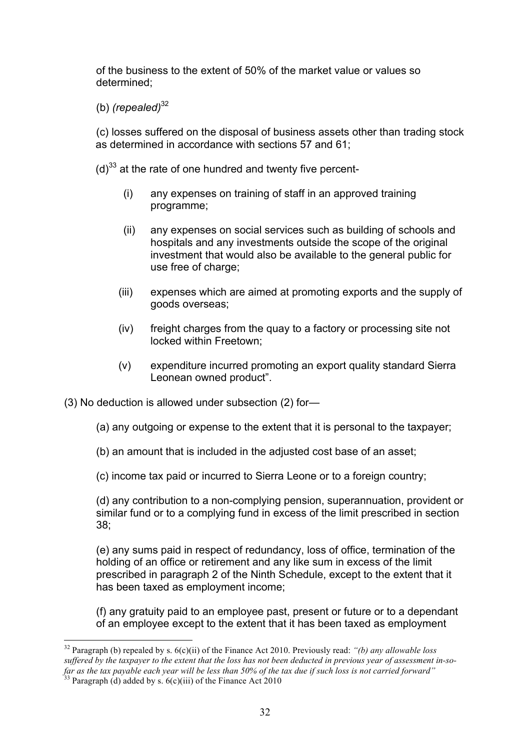of the business to the extent of 50% of the market value or values so determined;

(b) *(repealed)*<sup>32</sup>

(c) losses suffered on the disposal of business assets other than trading stock as determined in accordance with sections 57 and 61;

- $(d)^{33}$  at the rate of one hundred and twenty five percent-
	- (i) any expenses on training of staff in an approved training programme;
	- (ii) any expenses on social services such as building of schools and hospitals and any investments outside the scope of the original investment that would also be available to the general public for use free of charge;
	- (iii) expenses which are aimed at promoting exports and the supply of goods overseas;
	- (iv) freight charges from the quay to a factory or processing site not locked within Freetown;
	- (v) expenditure incurred promoting an export quality standard Sierra Leonean owned product".

(3) No deduction is allowed under subsection (2) for—

- (a) any outgoing or expense to the extent that it is personal to the taxpayer;
- (b) an amount that is included in the adjusted cost base of an asset;
- (c) income tax paid or incurred to Sierra Leone or to a foreign country;

(d) any contribution to a non-complying pension, superannuation, provident or similar fund or to a complying fund in excess of the limit prescribed in section 38;

(e) any sums paid in respect of redundancy, loss of office, termination of the holding of an office or retirement and any like sum in excess of the limit prescribed in paragraph 2 of the Ninth Schedule, except to the extent that it has been taxed as employment income;

(f) any gratuity paid to an employee past, present or future or to a dependant of an employee except to the extent that it has been taxed as employment

 <sup>32</sup> Paragraph (b) repealed by s. 6(c)(ii) of the Finance Act 2010. Previously read: *"(b) any allowable loss suffered by the taxpayer to the extent that the loss has not been deducted in previous year of assessment in-sofar as the tax payable each year will be less than 50% of the tax due if such loss is not carried forward"* 

<sup>&</sup>lt;sup>33</sup> Paragraph (d) added by s.  $6(c)$ (iii) of the Finance Act 2010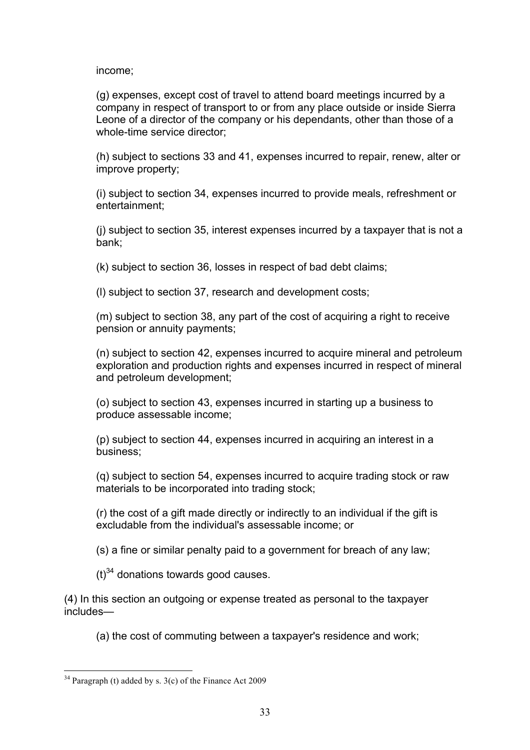income;

(g) expenses, except cost of travel to attend board meetings incurred by a company in respect of transport to or from any place outside or inside Sierra Leone of a director of the company or his dependants, other than those of a whole-time service director;

(h) subject to sections 33 and 41, expenses incurred to repair, renew, alter or improve property;

(i) subject to section 34, expenses incurred to provide meals, refreshment or entertainment;

(j) subject to section 35, interest expenses incurred by a taxpayer that is not a bank;

(k) subject to section 36, losses in respect of bad debt claims;

(l) subject to section 37, research and development costs;

(m) subject to section 38, any part of the cost of acquiring a right to receive pension or annuity payments;

(n) subject to section 42, expenses incurred to acquire mineral and petroleum exploration and production rights and expenses incurred in respect of mineral and petroleum development;

(o) subject to section 43, expenses incurred in starting up a business to produce assessable income;

(p) subject to section 44, expenses incurred in acquiring an interest in a business;

(q) subject to section 54, expenses incurred to acquire trading stock or raw materials to be incorporated into trading stock;

(r) the cost of a gift made directly or indirectly to an individual if the gift is excludable from the individual's assessable income; or

(s) a fine or similar penalty paid to a government for breach of any law;

 $(t)^{34}$  donations towards good causes.

(4) In this section an outgoing or expense treated as personal to the taxpayer includes—

(a) the cost of commuting between a taxpayer's residence and work;

 $34$  Paragraph (t) added by s. 3(c) of the Finance Act 2009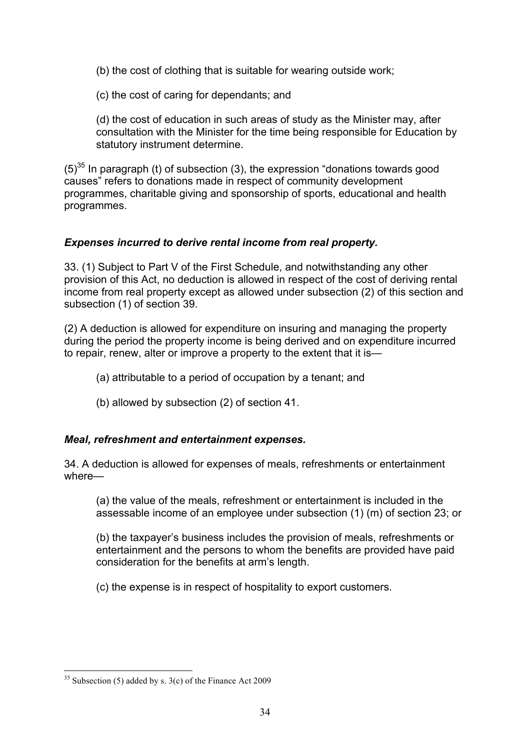(b) the cost of clothing that is suitable for wearing outside work;

(c) the cost of caring for dependants; and

(d) the cost of education in such areas of study as the Minister may, after consultation with the Minister for the time being responsible for Education by statutory instrument determine.

 $(5)^{35}$  In paragraph (t) of subsection (3), the expression "donations towards good causes" refers to donations made in respect of community development programmes, charitable giving and sponsorship of sports, educational and health programmes.

## *Expenses incurred to derive rental income from real property.*

33. (1) Subject to Part V of the First Schedule, and notwithstanding any other provision of this Act, no deduction is allowed in respect of the cost of deriving rental income from real property except as allowed under subsection (2) of this section and subsection (1) of section 39.

(2) A deduction is allowed for expenditure on insuring and managing the property during the period the property income is being derived and on expenditure incurred to repair, renew, alter or improve a property to the extent that it is—

- (a) attributable to a period of occupation by a tenant; and
- (b) allowed by subsection (2) of section 41.

## *Meal, refreshment and entertainment expenses.*

34. A deduction is allowed for expenses of meals, refreshments or entertainment where—

(a) the value of the meals, refreshment or entertainment is included in the assessable income of an employee under subsection (1) (m) of section 23; or

(b) the taxpayer's business includes the provision of meals, refreshments or entertainment and the persons to whom the benefits are provided have paid consideration for the benefits at arm's length.

(c) the expense is in respect of hospitality to export customers.

<sup>&</sup>lt;sup>35</sup> Subsection (5) added by s.  $3(c)$  of the Finance Act 2009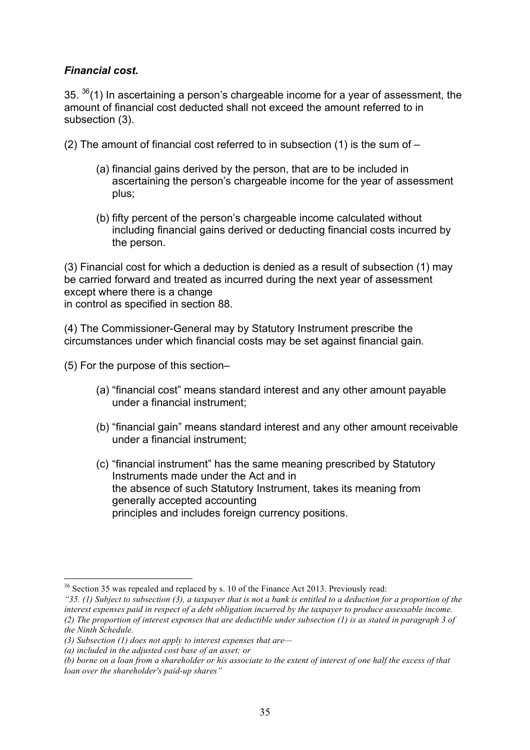## *Financial cost.*

 $35.$   $36(1)$  In ascertaining a person's chargeable income for a year of assessment, the amount of financial cost deducted shall not exceed the amount referred to in subsection (3).

(2) The amount of financial cost referred to in subsection (1) is the sum of  $-$ 

- (a) financial gains derived by the person, that are to be included in ascertaining the person's chargeable income for the year of assessment plus;
- (b) fifty percent of the person's chargeable income calculated without including financial gains derived or deducting financial costs incurred by the person.

(3) Financial cost for which a deduction is denied as a result of subsection (1) may be carried forward and treated as incurred during the next year of assessment except where there is a change in control as specified in section 88.

(4) The Commissioner-General may by Statutory Instrument prescribe the circumstances under which financial costs may be set against financial gain.

(5) For the purpose of this section–

- (a) "financial cost" means standard interest and any other amount payable under a financial instrument;
- (b) "financial gain" means standard interest and any other amount receivable under a financial instrument;
- (c) "financial instrument" has the same meaning prescribed by Statutory Instruments made under the Act and in the absence of such Statutory Instrument, takes its meaning from generally accepted accounting principles and includes foreign currency positions.

<sup>&</sup>lt;sup>36</sup> Section 35 was repealed and replaced by s. 10 of the Finance Act 2013. Previously read:

*<sup>&</sup>quot;35. (1) Subject to subsection (3), a taxpayer that is not a bank is entitled to a deduction for a proportion of the interest expenses paid in respect of a debt obligation incurred by the taxpayer to produce assessable income. (2) The proportion of interest expenses that are deductible under subsection (1) is as stated in paragraph 3 of the Ninth Schedule.* 

*<sup>(3)</sup> Subsection (1) does not apply to interest expenses that are—*

*<sup>(</sup>a) included in the adjusted cost base of an asset; or* 

*<sup>(</sup>b) borne on a loan from a shareholder or his associate to the extent of interest of one half the excess of that loan over the shareholder's paid-up shares"*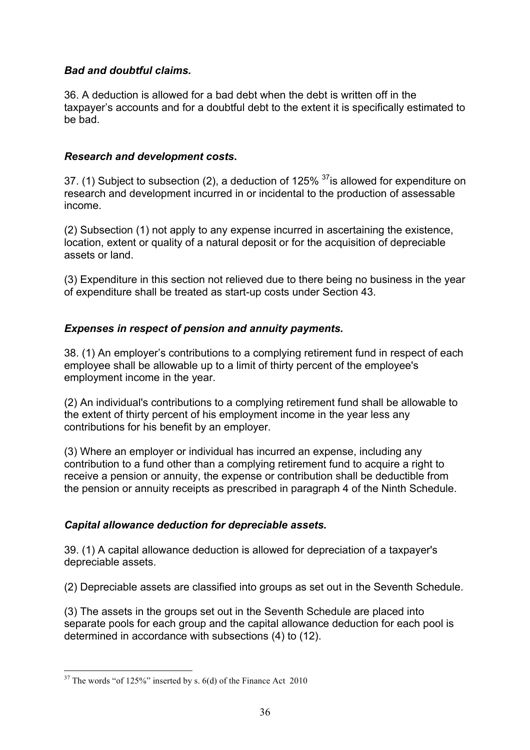## *Bad and doubtful claims.*

36. A deduction is allowed for a bad debt when the debt is written off in the taxpayer's accounts and for a doubtful debt to the extent it is specifically estimated to be bad.

## *Research and development costs***.**

37. (1) Subject to subsection (2), a deduction of 125% <sup>37</sup>is allowed for expenditure on research and development incurred in or incidental to the production of assessable income.

(2) Subsection (1) not apply to any expense incurred in ascertaining the existence, location, extent or quality of a natural deposit or for the acquisition of depreciable assets or land.

(3) Expenditure in this section not relieved due to there being no business in the year of expenditure shall be treated as start-up costs under Section 43.

# *Expenses in respect of pension and annuity payments.*

38. (1) An employer's contributions to a complying retirement fund in respect of each employee shall be allowable up to a limit of thirty percent of the employee's employment income in the year.

(2) An individual's contributions to a complying retirement fund shall be allowable to the extent of thirty percent of his employment income in the year less any contributions for his benefit by an employer.

(3) Where an employer or individual has incurred an expense, including any contribution to a fund other than a complying retirement fund to acquire a right to receive a pension or annuity, the expense or contribution shall be deductible from the pension or annuity receipts as prescribed in paragraph 4 of the Ninth Schedule.

# *Capital allowance deduction for depreciable assets.*

39. (1) A capital allowance deduction is allowed for depreciation of a taxpayer's depreciable assets.

(2) Depreciable assets are classified into groups as set out in the Seventh Schedule.

(3) The assets in the groups set out in the Seventh Schedule are placed into separate pools for each group and the capital allowance deduction for each pool is determined in accordance with subsections (4) to (12).

 $37$  The words "of 125%" inserted by s. 6(d) of the Finance Act 2010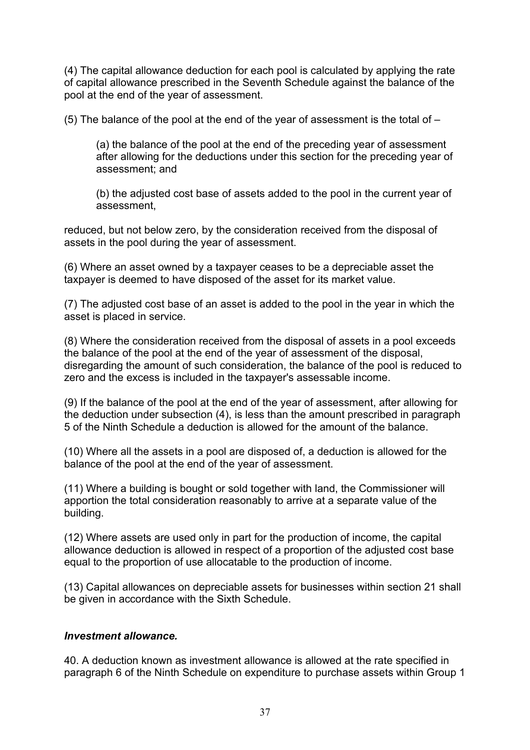(4) The capital allowance deduction for each pool is calculated by applying the rate of capital allowance prescribed in the Seventh Schedule against the balance of the pool at the end of the year of assessment.

(5) The balance of the pool at the end of the year of assessment is the total of –

(a) the balance of the pool at the end of the preceding year of assessment after allowing for the deductions under this section for the preceding year of assessment; and

(b) the adjusted cost base of assets added to the pool in the current year of assessment,

reduced, but not below zero, by the consideration received from the disposal of assets in the pool during the year of assessment.

(6) Where an asset owned by a taxpayer ceases to be a depreciable asset the taxpayer is deemed to have disposed of the asset for its market value.

(7) The adjusted cost base of an asset is added to the pool in the year in which the asset is placed in service.

(8) Where the consideration received from the disposal of assets in a pool exceeds the balance of the pool at the end of the year of assessment of the disposal, disregarding the amount of such consideration, the balance of the pool is reduced to zero and the excess is included in the taxpayer's assessable income.

(9) If the balance of the pool at the end of the year of assessment, after allowing for the deduction under subsection (4), is less than the amount prescribed in paragraph 5 of the Ninth Schedule a deduction is allowed for the amount of the balance.

(10) Where all the assets in a pool are disposed of, a deduction is allowed for the balance of the pool at the end of the year of assessment.

(11) Where a building is bought or sold together with land, the Commissioner will apportion the total consideration reasonably to arrive at a separate value of the building.

(12) Where assets are used only in part for the production of income, the capital allowance deduction is allowed in respect of a proportion of the adjusted cost base equal to the proportion of use allocatable to the production of income.

(13) Capital allowances on depreciable assets for businesses within section 21 shall be given in accordance with the Sixth Schedule.

### *Investment allowance.*

40. A deduction known as investment allowance is allowed at the rate specified in paragraph 6 of the Ninth Schedule on expenditure to purchase assets within Group 1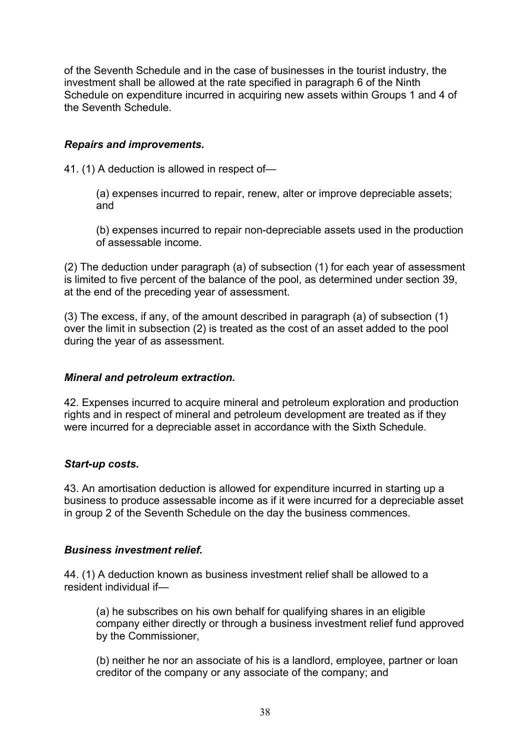of the Seventh Schedule and in the case of businesses in the tourist industry, the investment shall be allowed at the rate specified in paragraph 6 of the Ninth Schedule on expenditure incurred in acquiring new assets within Groups 1 and 4 of the Seventh Schedule.

## *Repairs and improvements***.**

41. (1) A deduction is allowed in respect of—

(a) expenses incurred to repair, renew, alter or improve depreciable assets; and

(b) expenses incurred to repair non-depreciable assets used in the production of assessable income.

(2) The deduction under paragraph (a) of subsection (1) for each year of assessment is limited to five percent of the balance of the pool, as determined under section 39, at the end of the preceding year of assessment.

(3) The excess, if any, of the amount described in paragraph (a) of subsection (1) over the limit in subsection (2) is treated as the cost of an asset added to the pool during the year of as assessment.

#### *Mineral and petroleum extraction.*

42. Expenses incurred to acquire mineral and petroleum exploration and production rights and in respect of mineral and petroleum development are treated as if they were incurred for a depreciable asset in accordance with the Sixth Schedule.

### *Start-up costs***.**

43. An amortisation deduction is allowed for expenditure incurred in starting up a business to produce assessable income as if it were incurred for a depreciable asset in group 2 of the Seventh Schedule on the day the business commences.

### *Business investment relief.*

44. (1) A deduction known as business investment relief shall be allowed to a resident individual if—

(a) he subscribes on his own behalf for qualifying shares in an eligible company either directly or through a business investment relief fund approved by the Commissioner,

(b) neither he nor an associate of his is a landlord, employee, partner or loan creditor of the company or any associate of the company; and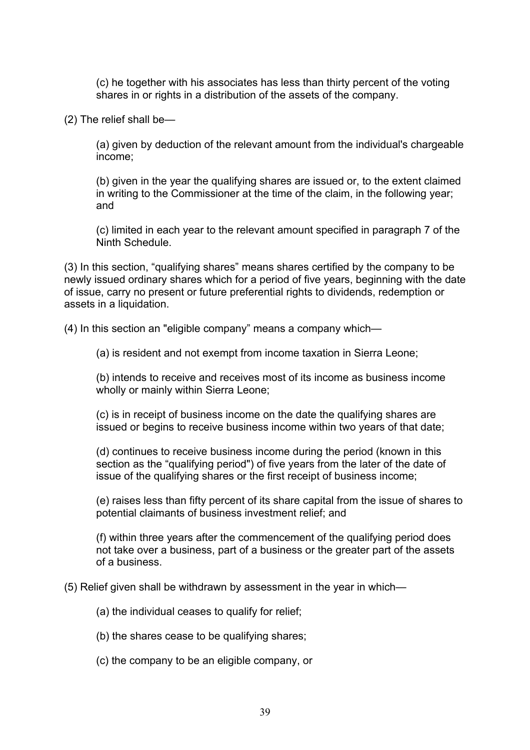(c) he together with his associates has less than thirty percent of the voting shares in or rights in a distribution of the assets of the company.

(2) The relief shall be—

(a) given by deduction of the relevant amount from the individual's chargeable income;

(b) given in the year the qualifying shares are issued or, to the extent claimed in writing to the Commissioner at the time of the claim, in the following year; and

(c) limited in each year to the relevant amount specified in paragraph 7 of the Ninth Schedule.

(3) In this section, "qualifying shares" means shares certified by the company to be newly issued ordinary shares which for a period of five years, beginning with the date of issue, carry no present or future preferential rights to dividends, redemption or assets in a liquidation.

(4) In this section an "eligible company" means a company which—

(a) is resident and not exempt from income taxation in Sierra Leone;

(b) intends to receive and receives most of its income as business income wholly or mainly within Sierra Leone;

(c) is in receipt of business income on the date the qualifying shares are issued or begins to receive business income within two years of that date;

(d) continues to receive business income during the period (known in this section as the "qualifying period") of five years from the later of the date of issue of the qualifying shares or the first receipt of business income;

(e) raises less than fifty percent of its share capital from the issue of shares to potential claimants of business investment relief; and

(f) within three years after the commencement of the qualifying period does not take over a business, part of a business or the greater part of the assets of a business.

(5) Relief given shall be withdrawn by assessment in the year in which—

(a) the individual ceases to qualify for relief;

(b) the shares cease to be qualifying shares;

(c) the company to be an eligible company, or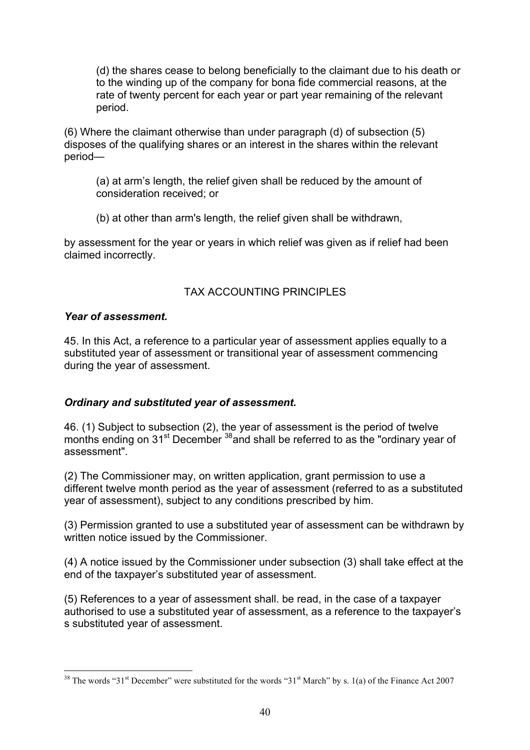(d) the shares cease to belong beneficially to the claimant due to his death or to the winding up of the company for bona fide commercial reasons, at the rate of twenty percent for each year or part year remaining of the relevant period.

(6) Where the claimant otherwise than under paragraph (d) of subsection (5) disposes of the qualifying shares or an interest in the shares within the relevant period—

(a) at arm's length, the relief given shall be reduced by the amount of consideration received; or

(b) at other than arm's length, the relief given shall be withdrawn,

by assessment for the year or years in which relief was given as if relief had been claimed incorrectly.

## TAX ACCOUNTING PRINCIPLES

### *Year of assessment.*

45. In this Act, a reference to a particular year of assessment applies equally to a substituted year of assessment or transitional year of assessment commencing during the year of assessment.

## *Ordinary and substituted year of assessment.*

46. (1) Subject to subsection (2), the year of assessment is the period of twelve months ending on 31<sup>st</sup> December<sup>38</sup> and shall be referred to as the "ordinary year of assessment".

(2) The Commissioner may, on written application, grant permission to use a different twelve month period as the year of assessment (referred to as a substituted year of assessment), subject to any conditions prescribed by him.

(3) Permission granted to use a substituted year of assessment can be withdrawn by written notice issued by the Commissioner.

(4) A notice issued by the Commissioner under subsection (3) shall take effect at the end of the taxpayer's substituted year of assessment.

(5) References to a year of assessment shall. be read, in the case of a taxpayer authorised to use a substituted year of assessment, as a reference to the taxpayer's s substituted year of assessment.

<sup>&</sup>lt;sup>38</sup> The words "31<sup>st</sup> December" were substituted for the words "31<sup>st</sup> March" by s. 1(a) of the Finance Act 2007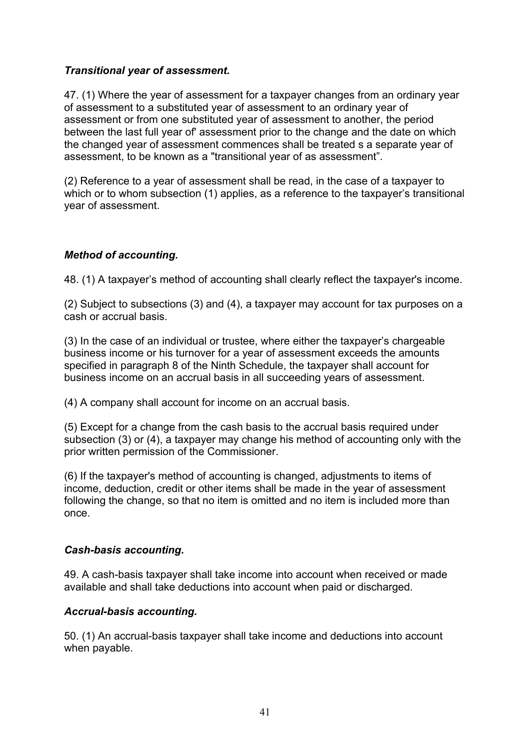## *Transitional year of assessment.*

47. (1) Where the year of assessment for a taxpayer changes from an ordinary year of assessment to a substituted year of assessment to an ordinary year of assessment or from one substituted year of assessment to another, the period between the last full year of' assessment prior to the change and the date on which the changed year of assessment commences shall be treated s a separate year of assessment, to be known as a "transitional year of as assessment".

(2) Reference to a year of assessment shall be read, in the case of a taxpayer to which or to whom subsection (1) applies, as a reference to the taxpayer's transitional year of assessment.

### *Method of accounting.*

48. (1) A taxpayer's method of accounting shall clearly reflect the taxpayer's income.

(2) Subject to subsections (3) and (4), a taxpayer may account for tax purposes on a cash or accrual basis.

(3) In the case of an individual or trustee, where either the taxpayer's chargeable business income or his turnover for a year of assessment exceeds the amounts specified in paragraph 8 of the Ninth Schedule, the taxpayer shall account for business income on an accrual basis in all succeeding years of assessment.

(4) A company shall account for income on an accrual basis.

(5) Except for a change from the cash basis to the accrual basis required under subsection (3) or (4), a taxpayer may change his method of accounting only with the prior written permission of the Commissioner.

(6) If the taxpayer's method of accounting is changed, adjustments to items of income, deduction, credit or other items shall be made in the year of assessment following the change, so that no item is omitted and no item is included more than once.

### *Cash-basis accounting.*

49. A cash-basis taxpayer shall take income into account when received or made available and shall take deductions into account when paid or discharged.

### *Accrual-basis accounting.*

50. (1) An accrual-basis taxpayer shall take income and deductions into account when payable.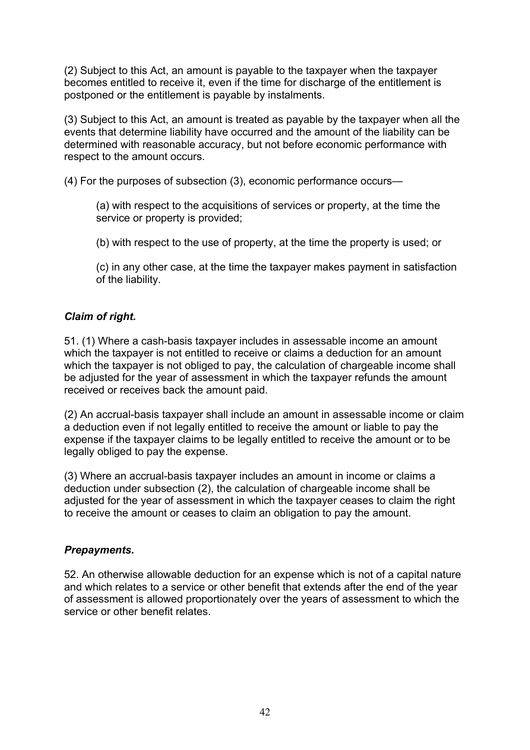(2) Subject to this Act, an amount is payable to the taxpayer when the taxpayer becomes entitled to receive it, even if the time for discharge of the entitlement is postponed or the entitlement is payable by instalments.

(3) Subject to this Act, an amount is treated as payable by the taxpayer when all the events that determine liability have occurred and the amount of the liability can be determined with reasonable accuracy, but not before economic performance with respect to the amount occurs.

(4) For the purposes of subsection (3), economic performance occurs—

(a) with respect to the acquisitions of services or property, at the time the service or property is provided;

(b) with respect to the use of property, at the time the property is used; or

(c) in any other case, at the time the taxpayer makes payment in satisfaction of the liability.

### *Claim of right.*

51. (1) Where a cash-basis taxpayer includes in assessable income an amount which the taxpayer is not entitled to receive or claims a deduction for an amount which the taxpayer is not obliged to pay, the calculation of chargeable income shall be adjusted for the year of assessment in which the taxpayer refunds the amount received or receives back the amount paid.

(2) An accrual-basis taxpayer shall include an amount in assessable income or claim a deduction even if not legally entitled to receive the amount or liable to pay the expense if the taxpayer claims to be legally entitled to receive the amount or to be legally obliged to pay the expense.

(3) Where an accrual-basis taxpayer includes an amount in income or claims a deduction under subsection (2), the calculation of chargeable income shall be adjusted for the year of assessment in which the taxpayer ceases to claim the right to receive the amount or ceases to claim an obligation to pay the amount.

## *Prepayments.*

52. An otherwise allowable deduction for an expense which is not of a capital nature and which relates to a service or other benefit that extends after the end of the year of assessment is allowed proportionately over the years of assessment to which the service or other benefit relates.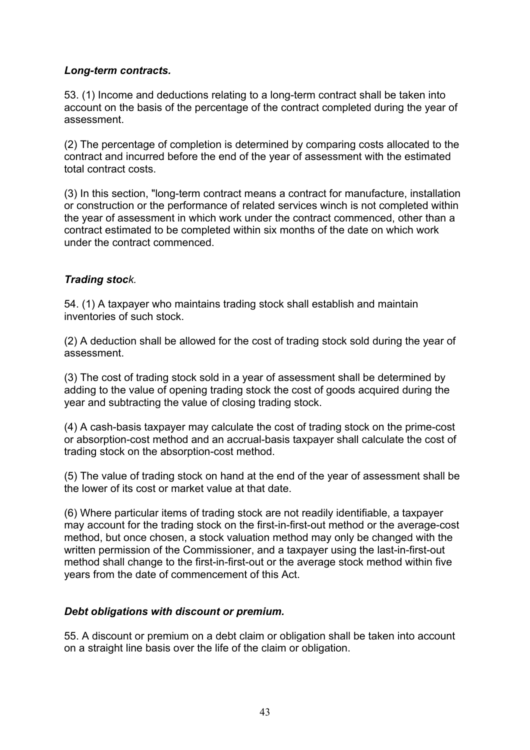## *Long-term contracts.*

53. (1) Income and deductions relating to a long-term contract shall be taken into account on the basis of the percentage of the contract completed during the year of assessment.

(2) The percentage of completion is determined by comparing costs allocated to the contract and incurred before the end of the year of assessment with the estimated total contract costs.

(3) In this section, "long-term contract means a contract for manufacture, installation or construction or the performance of related services winch is not completed within the year of assessment in which work under the contract commenced, other than a contract estimated to be completed within six months of the date on which work under the contract commenced.

### *Trading stock.*

54. (1) A taxpayer who maintains trading stock shall establish and maintain inventories of such stock.

(2) A deduction shall be allowed for the cost of trading stock sold during the year of assessment.

(3) The cost of trading stock sold in a year of assessment shall be determined by adding to the value of opening trading stock the cost of goods acquired during the year and subtracting the value of closing trading stock.

(4) A cash-basis taxpayer may calculate the cost of trading stock on the prime-cost or absorption-cost method and an accrual-basis taxpayer shall calculate the cost of trading stock on the absorption-cost method.

(5) The value of trading stock on hand at the end of the year of assessment shall be the lower of its cost or market value at that date.

(6) Where particular items of trading stock are not readily identifiable, a taxpayer may account for the trading stock on the first-in-first-out method or the average-cost method, but once chosen, a stock valuation method may only be changed with the written permission of the Commissioner, and a taxpayer using the last-in-first-out method shall change to the first-in-first-out or the average stock method within five years from the date of commencement of this Act.

### *Debt obligations with discount or premium.*

55. A discount or premium on a debt claim or obligation shall be taken into account on a straight line basis over the life of the claim or obligation.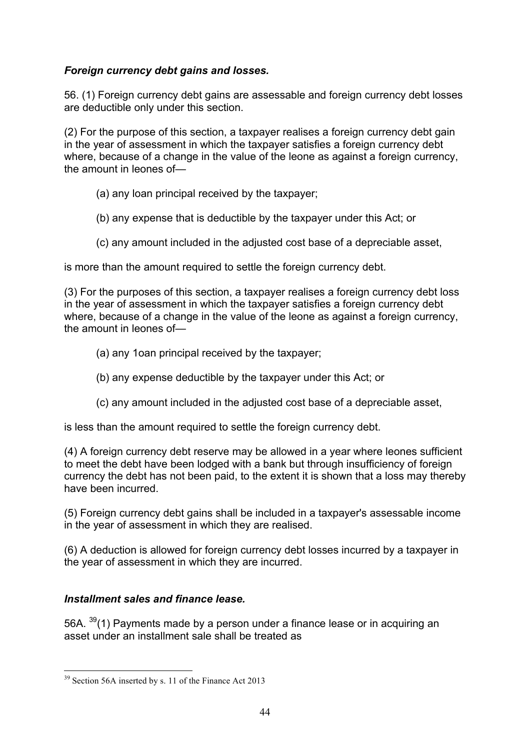## *Foreign currency debt gains and losses.*

56. (1) Foreign currency debt gains are assessable and foreign currency debt losses are deductible only under this section.

(2) For the purpose of this section, a taxpayer realises a foreign currency debt gain in the year of assessment in which the taxpayer satisfies a foreign currency debt where, because of a change in the value of the leone as against a foreign currency, the amount in leones of—

- (a) any loan principal received by the taxpayer;
- (b) any expense that is deductible by the taxpayer under this Act; or
- (c) any amount included in the adjusted cost base of a depreciable asset,

is more than the amount required to settle the foreign currency debt.

(3) For the purposes of this section, a taxpayer realises a foreign currency debt loss in the year of assessment in which the taxpayer satisfies a foreign currency debt where, because of a change in the value of the leone as against a foreign currency, the amount in leones of—

- (a) any 1oan principal received by the taxpayer;
- (b) any expense deductible by the taxpayer under this Act; or
- (c) any amount included in the adjusted cost base of a depreciable asset,

is less than the amount required to settle the foreign currency debt.

(4) A foreign currency debt reserve may be allowed in a year where leones sufficient to meet the debt have been lodged with a bank but through insufficiency of foreign currency the debt has not been paid, to the extent it is shown that a loss may thereby have been incurred.

(5) Foreign currency debt gains shall be included in a taxpayer's assessable income in the year of assessment in which they are realised.

(6) A deduction is allowed for foreign currency debt losses incurred by a taxpayer in the year of assessment in which they are incurred.

## *Installment sales and finance lease.*

56A. <sup>39</sup>(1) Payments made by a person under a finance lease or in acquiring an asset under an installment sale shall be treated as

 <sup>39</sup> Section 56A inserted by s. 11 of the Finance Act 2013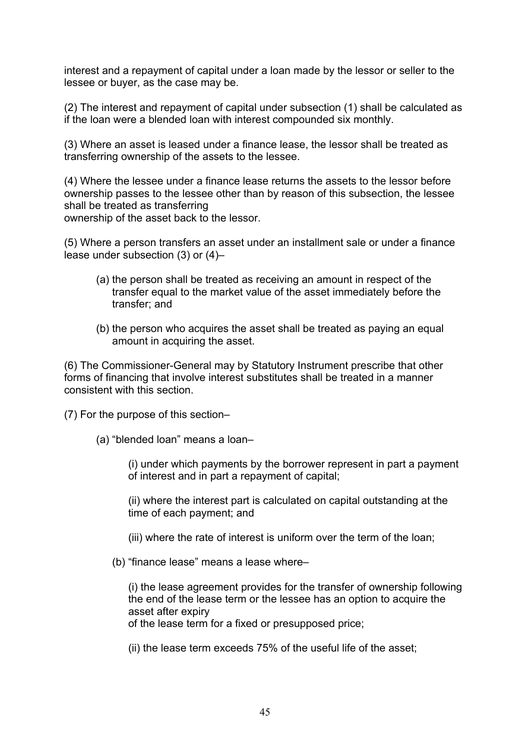interest and a repayment of capital under a loan made by the lessor or seller to the lessee or buyer, as the case may be.

(2) The interest and repayment of capital under subsection (1) shall be calculated as if the loan were a blended loan with interest compounded six monthly.

(3) Where an asset is leased under a finance lease, the lessor shall be treated as transferring ownership of the assets to the lessee.

(4) Where the lessee under a finance lease returns the assets to the lessor before ownership passes to the lessee other than by reason of this subsection, the lessee shall be treated as transferring

ownership of the asset back to the lessor.

(5) Where a person transfers an asset under an installment sale or under a finance lease under subsection (3) or (4)–

- (a) the person shall be treated as receiving an amount in respect of the transfer equal to the market value of the asset immediately before the transfer; and
- (b) the person who acquires the asset shall be treated as paying an equal amount in acquiring the asset.

(6) The Commissioner-General may by Statutory Instrument prescribe that other forms of financing that involve interest substitutes shall be treated in a manner consistent with this section.

(7) For the purpose of this section–

(a) "blended loan" means a loan–

(i) under which payments by the borrower represent in part a payment of interest and in part a repayment of capital;

(ii) where the interest part is calculated on capital outstanding at the time of each payment; and

(iii) where the rate of interest is uniform over the term of the loan;

(b) "finance lease" means a lease where–

(i) the lease agreement provides for the transfer of ownership following the end of the lease term or the lessee has an option to acquire the asset after expiry

of the lease term for a fixed or presupposed price;

(ii) the lease term exceeds 75% of the useful life of the asset;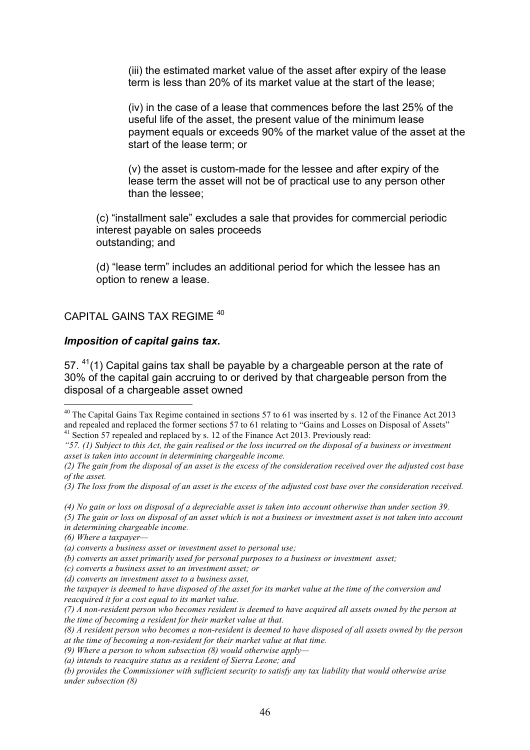(iii) the estimated market value of the asset after expiry of the lease term is less than 20% of its market value at the start of the lease;

(iv) in the case of a lease that commences before the last 25% of the useful life of the asset, the present value of the minimum lease payment equals or exceeds 90% of the market value of the asset at the start of the lease term; or

(v) the asset is custom-made for the lessee and after expiry of the lease term the asset will not be of practical use to any person other than the lessee;

(c) "installment sale" excludes a sale that provides for commercial periodic interest payable on sales proceeds outstanding; and

(d) "lease term" includes an additional period for which the lessee has an option to renew a lease.

#### CAPITAL GAINS TAX REGIME 40

#### *Imposition of capital gains tax***.**

57.  $41(1)$  Capital gains tax shall be payable by a chargeable person at the rate of 30% of the capital gain accruing to or derived by that chargeable person from the disposal of a chargeable asset owned

*(4) No gain or loss on disposal of a depreciable asset is taken into account otherwise than under section 39.* 

*(c) converts a business asset to an investment asset; or* 

<sup>&</sup>lt;sup>40</sup> The Capital Gains Tax Regime contained in sections 57 to 61 was inserted by s. 12 of the Finance Act 2013 and repealed and replaced the former sections 57 to 61 relating to "Gains and Losses on Disposal of Assets" <sup>41</sup> Section 57 repealed and replaced by s. 12 of the Finance Act 2013. Previously read:

*<sup>&</sup>quot;57. (1) Subject to this Act, the gain realised or the loss incurred on the disposal of a business or investment asset is taken into account in determining chargeable income.* 

*<sup>(2)</sup> The gain from the disposal of an asset is the excess of the consideration received over the adjusted cost base of the asset.* 

*<sup>(3)</sup> The loss from the disposal of an asset is the excess of the adjusted cost base over the consideration received.* 

*<sup>(5)</sup> The gain or loss on disposal of an asset which is not a business or investment asset is not taken into account in determining chargeable income.* 

*<sup>(6)</sup> Where a taxpayer—*

*<sup>(</sup>a) converts a business asset or investment asset to personal use;* 

*<sup>(</sup>b) converts an asset primarily used for personal purposes to a business or investment asset;* 

*<sup>(</sup>d) converts an investment asset to a business asset,* 

*the taxpayer is deemed to have disposed of the asset for its market value at the time of the conversion and reacquired it for a cost equal to its market value.* 

*<sup>(7)</sup> A non-resident person who becomes resident is deemed to have acquired all assets owned by the person at the time of becoming a resident for their market value at that.* 

*<sup>(8)</sup> A resident person who becomes a non-resident is deemed to have disposed of all assets owned by the person at the time of becoming a non-resident for their market value at that time.* 

*<sup>(9)</sup> Where a person to whom subsection (8) would otherwise apply—*

*<sup>(</sup>a) intends to reacquire status as a resident of Sierra Leone; and* 

*<sup>(</sup>b) provides the Commissioner with sufficient security to satisfy any tax liability that would otherwise arise under subsection (8)*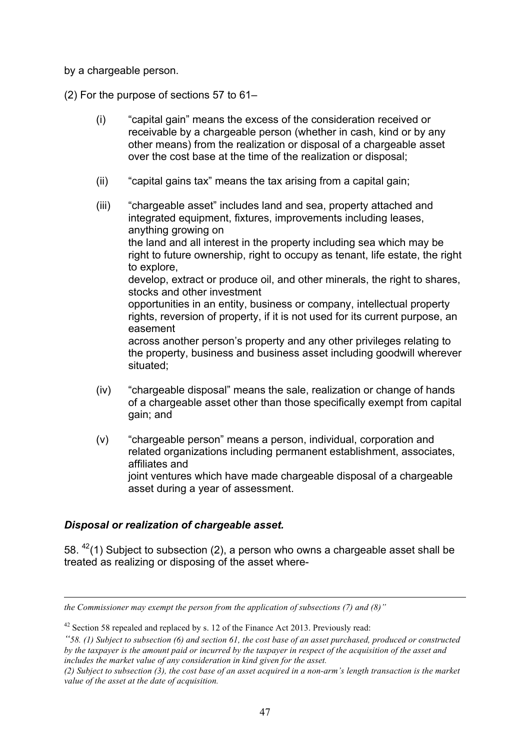by a chargeable person.

(2) For the purpose of sections 57 to 61–

- (i) "capital gain" means the excess of the consideration received or receivable by a chargeable person (whether in cash, kind or by any other means) from the realization or disposal of a chargeable asset over the cost base at the time of the realization or disposal;
- (ii) "capital gains tax" means the tax arising from a capital gain;
- (iii) "chargeable asset" includes land and sea, property attached and integrated equipment, fixtures, improvements including leases, anything growing on the land and all interest in the property including sea which may be right to future ownership, right to occupy as tenant, life estate, the right to explore, develop, extract or produce oil, and other minerals, the right to shares, stocks and other investment opportunities in an entity, business or company, intellectual property rights, reversion of property, if it is not used for its current purpose, an easement across another person's property and any other privileges relating to the property, business and business asset including goodwill wherever situated;
- (iv) "chargeable disposal" means the sale, realization or change of hands of a chargeable asset other than those specifically exempt from capital gain; and
- (v) "chargeable person" means a person, individual, corporation and related organizations including permanent establishment, associates, affiliates and joint ventures which have made chargeable disposal of a chargeable asset during a year of assessment.

## *Disposal or realization of chargeable asset.*

 $\overline{a}$ 

58.  $42(1)$  Subject to subsection (2), a person who owns a chargeable asset shall be treated as realizing or disposing of the asset where-

*the Commissioner may exempt the person from the application of subsections (7) and (8)"* 

 $42$  Section 58 repealed and replaced by s. 12 of the Finance Act 2013. Previously read:

*<sup>&</sup>quot;58. (1) Subject to subsection (6) and section 61, the cost base of an asset purchased, produced or constructed by the taxpayer is the amount paid or incurred by the taxpayer in respect of the acquisition of the asset and includes the market value of any consideration in kind given for the asset.* 

*<sup>(2)</sup> Subject to subsection (3), the cost base of an asset acquired in a non-arm's length transaction is the market value of the asset at the date of acquisition.*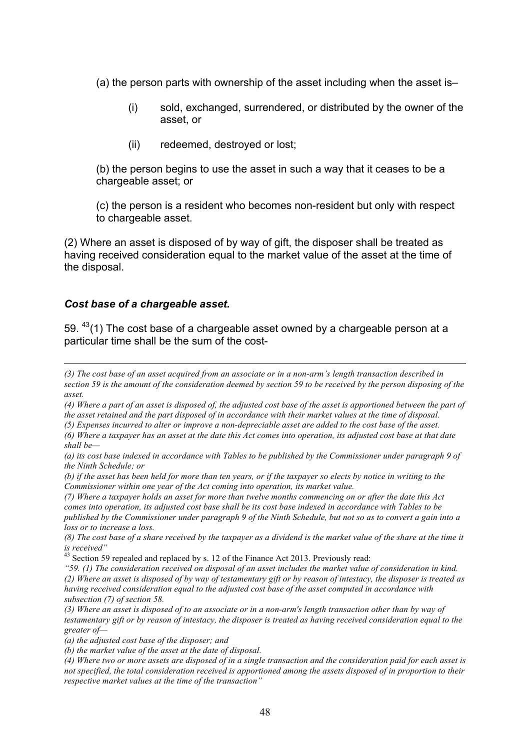(a) the person parts with ownership of the asset including when the asset is–

- (i) sold, exchanged, surrendered, or distributed by the owner of the asset, or
- (ii) redeemed, destroyed or lost;

(b) the person begins to use the asset in such a way that it ceases to be a chargeable asset; or

(c) the person is a resident who becomes non-resident but only with respect to chargeable asset.

(2) Where an asset is disposed of by way of gift, the disposer shall be treated as having received consideration equal to the market value of the asset at the time of the disposal.

#### *Cost base of a chargeable asset.*

 $\overline{a}$ 

59.  $43(1)$  The cost base of a chargeable asset owned by a chargeable person at a particular time shall be the sum of the cost-

*<sup>(3)</sup> The cost base of an asset acquired from an associate or in a non-arm's length transaction described in section 59 is the amount of the consideration deemed by section 59 to be received by the person disposing of the asset.* 

*<sup>(4)</sup> Where a part of an asset is disposed of, the adjusted cost base of the asset is apportioned between the part of the asset retained and the part disposed of in accordance with their market values at the time of disposal.* 

*<sup>(5)</sup> Expenses incurred to alter or improve a non-depreciable asset are added to the cost base of the asset.* 

*<sup>(6)</sup> Where a taxpayer has an asset at the date this Act comes into operation, its adjusted cost base at that date shall be—*

*<sup>(</sup>a) its cost base indexed in accordance with Tables to be published by the Commissioner under paragraph 9 of the Ninth Schedule; or* 

*<sup>(</sup>b) if the asset has been held for more than ten years, or if the taxpayer so elects by notice in writing to the Commissioner within one year of the Act coming into operation, its market value.* 

*<sup>(7)</sup> Where a taxpayer holds an asset for more than twelve months commencing on or after the date this Act comes into operation, its adjusted cost base shall be its cost base indexed in accordance with Tables to be published by the Commissioner under paragraph 9 of the Ninth Schedule, but not so as to convert a gain into a loss or to increase a loss.* 

*<sup>(8)</sup> The cost base of a share received by the taxpayer as a dividend is the market value of the share at the time it is received"*

<sup>&</sup>lt;sup>43</sup> Section 59 repealed and replaced by s. 12 of the Finance Act 2013. Previously read:

*<sup>&</sup>quot;59. (1) The consideration received on disposal of an asset includes the market value of consideration in kind. (2) Where an asset is disposed of by way of testamentary gift or by reason of intestacy, the disposer is treated as having received consideration equal to the adjusted cost base of the asset computed in accordance with subsection (7) of section 58.* 

*<sup>(3)</sup> Where an asset is disposed of to an associate or in a non-arm's length transaction other than by way of testamentary gift or by reason of intestacy, the disposer is treated as having received consideration equal to the greater of—*

*<sup>(</sup>a) the adjusted cost base of the disposer; and* 

*<sup>(</sup>b) the market value of the asset at the date of disposal.* 

*<sup>(4)</sup> Where two or more assets are disposed of in a single transaction and the consideration paid for each asset is not specified, the total consideration received is apportioned among the assets disposed of in proportion to their respective market values at the time of the transaction"*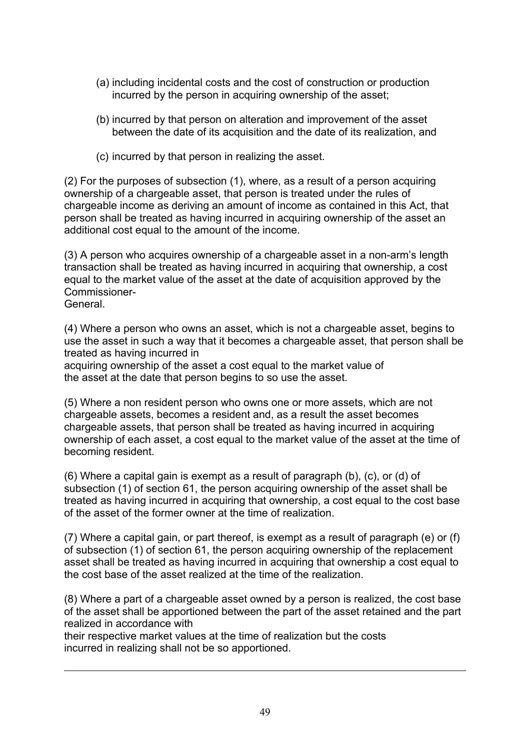- (a) including incidental costs and the cost of construction or production incurred by the person in acquiring ownership of the asset;
- (b) incurred by that person on alteration and improvement of the asset between the date of its acquisition and the date of its realization, and
- (c) incurred by that person in realizing the asset.

(2) For the purposes of subsection (1), where, as a result of a person acquiring ownership of a chargeable asset, that person is treated under the rules of chargeable income as deriving an amount of income as contained in this Act, that person shall be treated as having incurred in acquiring ownership of the asset an additional cost equal to the amount of the income.

(3) A person who acquires ownership of a chargeable asset in a non-arm's length transaction shall be treated as having incurred in acquiring that ownership, a cost equal to the market value of the asset at the date of acquisition approved by the Commissioner-

General.

 $\overline{a}$ 

(4) Where a person who owns an asset, which is not a chargeable asset, begins to use the asset in such a way that it becomes a chargeable asset, that person shall be treated as having incurred in

acquiring ownership of the asset a cost equal to the market value of the asset at the date that person begins to so use the asset.

(5) Where a non resident person who owns one or more assets, which are not chargeable assets, becomes a resident and, as a result the asset becomes chargeable assets, that person shall be treated as having incurred in acquiring ownership of each asset, a cost equal to the market value of the asset at the time of becoming resident.

(6) Where a capital gain is exempt as a result of paragraph (b), (c), or (d) of subsection (1) of section 61, the person acquiring ownership of the asset shall be treated as having incurred in acquiring that ownership, a cost equal to the cost base of the asset of the former owner at the time of realization.

(7) Where a capital gain, or part thereof, is exempt as a result of paragraph (e) or (f) of subsection (1) of section 61, the person acquiring ownership of the replacement asset shall be treated as having incurred in acquiring that ownership a cost equal to the cost base of the asset realized at the time of the realization.

(8) Where a part of a chargeable asset owned by a person is realized, the cost base of the asset shall be apportioned between the part of the asset retained and the part realized in accordance with

their respective market values at the time of realization but the costs incurred in realizing shall not be so apportioned.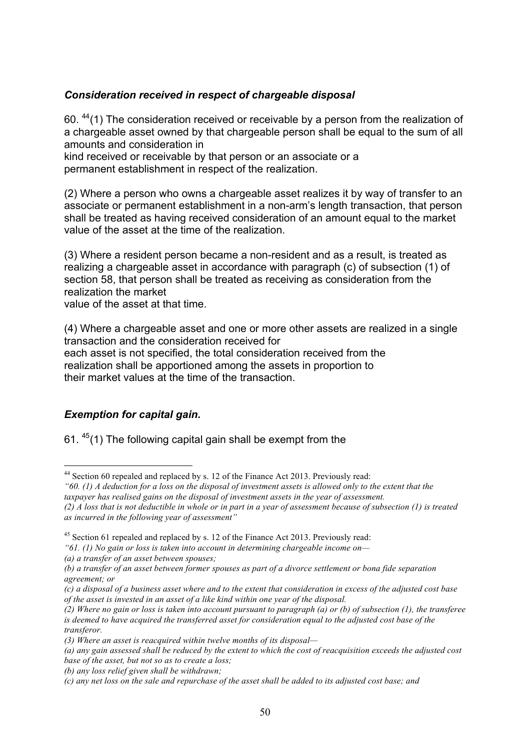### *Consideration received in respect of chargeable disposal*

60.  $44(1)$  The consideration received or receivable by a person from the realization of a chargeable asset owned by that chargeable person shall be equal to the sum of all amounts and consideration in

kind received or receivable by that person or an associate or a permanent establishment in respect of the realization.

(2) Where a person who owns a chargeable asset realizes it by way of transfer to an associate or permanent establishment in a non-arm's length transaction, that person shall be treated as having received consideration of an amount equal to the market value of the asset at the time of the realization.

(3) Where a resident person became a non-resident and as a result, is treated as realizing a chargeable asset in accordance with paragraph (c) of subsection (1) of section 58, that person shall be treated as receiving as consideration from the realization the market

value of the asset at that time.

(4) Where a chargeable asset and one or more other assets are realized in a single transaction and the consideration received for each asset is not specified, the total consideration received from the realization shall be apportioned among the assets in proportion to their market values at the time of the transaction.

## *Exemption for capital gain.*

61.  $45(1)$  The following capital gain shall be exempt from the

 <sup>44</sup> Section 60 repealed and replaced by s. 12 of the Finance Act 2013. Previously read:

*<sup>&</sup>quot;60. (1) A deduction for a loss on the disposal of investment assets is allowed only to the extent that the taxpayer has realised gains on the disposal of investment assets in the year of assessment.* 

*<sup>(2)</sup> A loss that is not deductible in whole or in part in a year of assessment because of subsection (1) is treated as incurred in the following year of assessment"*

 $45$  Section 61 repealed and replaced by s. 12 of the Finance Act 2013. Previously read:

*<sup>&</sup>quot;61. (1) No gain or loss is taken into account in determining chargeable income on—*

*<sup>(</sup>a) a transfer of an asset between spouses;* 

*<sup>(</sup>b) a transfer of an asset between former spouses as part of a divorce settlement or bona fide separation agreement; or* 

*<sup>(</sup>c) a disposal of a business asset where and to the extent that consideration in excess of the adjusted cost base of the asset is invested in an asset of a like kind within one year of the disposal.* 

*<sup>(2)</sup> Where no gain or loss is taken into account pursuant to paragraph (a) or (b) of subsection (1), the transferee is deemed to have acquired the transferred asset for consideration equal to the adjusted cost base of the transferor.* 

*<sup>(3)</sup> Where an asset is reacquired within twelve months of its disposal—*

*<sup>(</sup>a) any gain assessed shall be reduced by the extent to which the cost of reacquisition exceeds the adjusted cost base of the asset, but not so as to create a loss;* 

*<sup>(</sup>b) any loss relief given shall be withdrawn;* 

*<sup>(</sup>c) any net loss on the sale and repurchase of the asset shall be added to its adjusted cost base; and*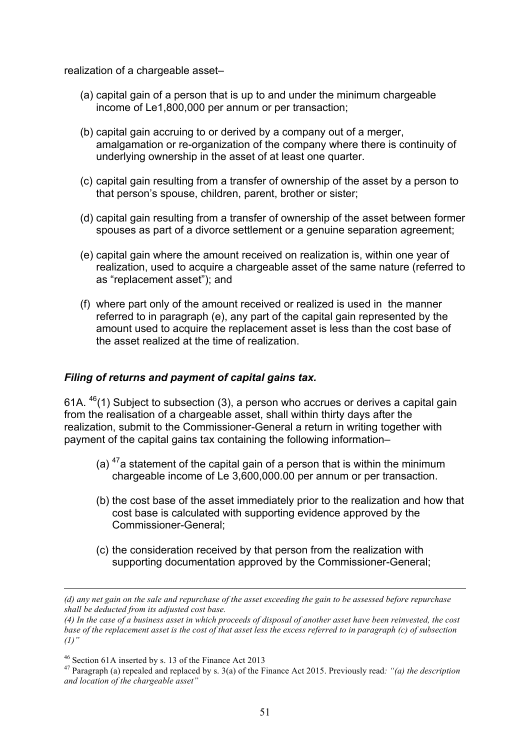realization of a chargeable asset–

- (a) capital gain of a person that is up to and under the minimum chargeable income of Le1,800,000 per annum or per transaction;
- (b) capital gain accruing to or derived by a company out of a merger, amalgamation or re-organization of the company where there is continuity of underlying ownership in the asset of at least one quarter.
- (c) capital gain resulting from a transfer of ownership of the asset by a person to that person's spouse, children, parent, brother or sister;
- (d) capital gain resulting from a transfer of ownership of the asset between former spouses as part of a divorce settlement or a genuine separation agreement;
- (e) capital gain where the amount received on realization is, within one year of realization, used to acquire a chargeable asset of the same nature (referred to as "replacement asset"); and
- (f) where part only of the amount received or realized is used in the manner referred to in paragraph (e), any part of the capital gain represented by the amount used to acquire the replacement asset is less than the cost base of the asset realized at the time of realization.

### *Filing of returns and payment of capital gains tax.*

61A.  $^{46}$ (1) Subject to subsection (3), a person who accrues or derives a capital gain from the realisation of a chargeable asset, shall within thirty days after the realization, submit to the Commissioner-General a return in writing together with payment of the capital gains tax containing the following information–

- (a)  $47a$  statement of the capital gain of a person that is within the minimum chargeable income of Le 3,600,000.00 per annum or per transaction.
- (b) the cost base of the asset immediately prior to the realization and how that cost base is calculated with supporting evidence approved by the Commissioner-General;
- (c) the consideration received by that person from the realization with supporting documentation approved by the Commissioner-General;

 $\overline{a}$ 

*<sup>(</sup>d) any net gain on the sale and repurchase of the asset exceeding the gain to be assessed before repurchase shall be deducted from its adjusted cost base.* 

*<sup>(4)</sup> In the case of a business asset in which proceeds of disposal of another asset have been reinvested, the cost base of the replacement asset is the cost of that asset less the excess referred to in paragraph (c) of subsection (1)"*

<sup>46</sup> Section 61A inserted by s. 13 of the Finance Act 2013 <sup>47</sup> Paragraph (a) repealed and replaced by s. 3(a) of the Finance Act 2015. Previously read*: "(a) the description and location of the chargeable asset"*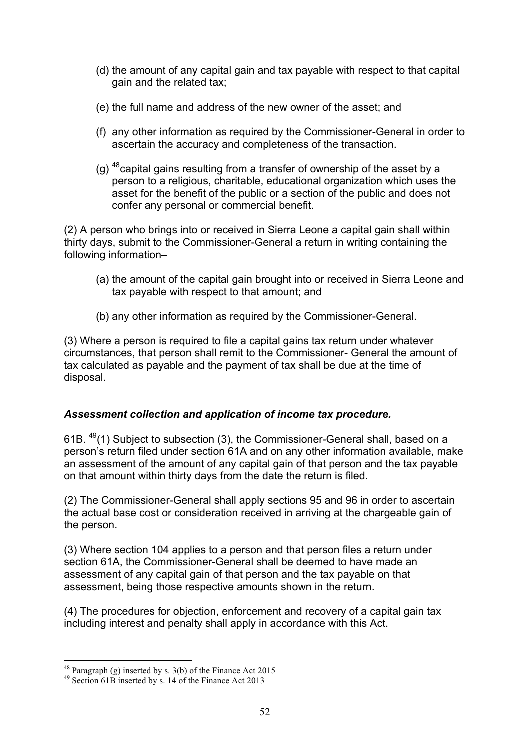- (d) the amount of any capital gain and tax payable with respect to that capital gain and the related tax;
- (e) the full name and address of the new owner of the asset; and
- (f) any other information as required by the Commissioner-General in order to ascertain the accuracy and completeness of the transaction.
- (g)  $^{48}$ capital gains resulting from a transfer of ownership of the asset by a person to a religious, charitable, educational organization which uses the asset for the benefit of the public or a section of the public and does not confer any personal or commercial benefit.

(2) A person who brings into or received in Sierra Leone a capital gain shall within thirty days, submit to the Commissioner-General a return in writing containing the following information–

- (a) the amount of the capital gain brought into or received in Sierra Leone and tax payable with respect to that amount; and
- (b) any other information as required by the Commissioner-General.

(3) Where a person is required to file a capital gains tax return under whatever circumstances, that person shall remit to the Commissioner- General the amount of tax calculated as payable and the payment of tax shall be due at the time of disposal.

## *Assessment collection and application of income tax procedure.*

61B. 49(1) Subject to subsection (3), the Commissioner-General shall, based on a person's return filed under section 61A and on any other information available, make an assessment of the amount of any capital gain of that person and the tax payable on that amount within thirty days from the date the return is filed.

(2) The Commissioner-General shall apply sections 95 and 96 in order to ascertain the actual base cost or consideration received in arriving at the chargeable gain of the person.

(3) Where section 104 applies to a person and that person files a return under section 61A, the Commissioner-General shall be deemed to have made an assessment of any capital gain of that person and the tax payable on that assessment, being those respective amounts shown in the return.

(4) The procedures for objection, enforcement and recovery of a capital gain tax including interest and penalty shall apply in accordance with this Act.

<sup>&</sup>lt;sup>48</sup> Paragraph (g) inserted by s. 3(b) of the Finance Act 2015<br><sup>49</sup> Section 61B inserted by s. 14 of the Finance Act 2013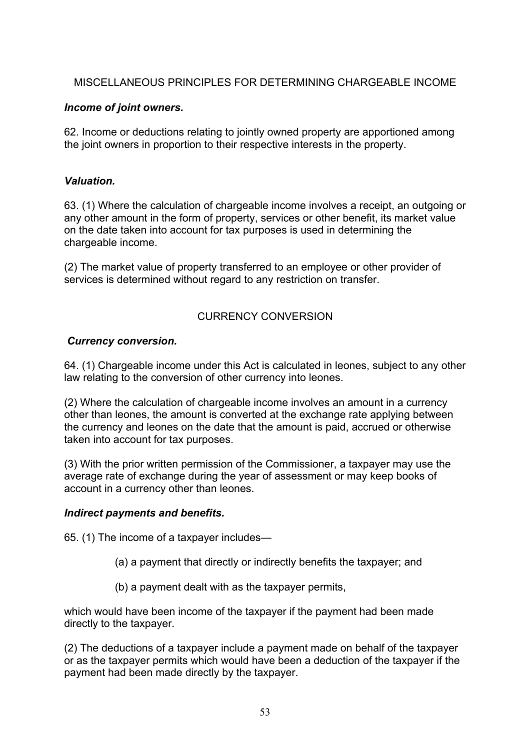## MISCELLANEOUS PRINCIPLES FOR DETERMINING CHARGEABLE INCOME

## *Income of joint owners.*

62. Income or deductions relating to jointly owned property are apportioned among the joint owners in proportion to their respective interests in the property.

### *Valuation.*

63. (1) Where the calculation of chargeable income involves a receipt, an outgoing or any other amount in the form of property, services or other benefit, its market value on the date taken into account for tax purposes is used in determining the chargeable income.

(2) The market value of property transferred to an employee or other provider of services is determined without regard to any restriction on transfer.

## CURRENCY CONVERSION

### *Currency conversion.*

64. (1) Chargeable income under this Act is calculated in leones, subject to any other law relating to the conversion of other currency into leones.

(2) Where the calculation of chargeable income involves an amount in a currency other than leones, the amount is converted at the exchange rate applying between the currency and leones on the date that the amount is paid, accrued or otherwise taken into account for tax purposes.

(3) With the prior written permission of the Commissioner, a taxpayer may use the average rate of exchange during the year of assessment or may keep books of account in a currency other than leones.

### *Indirect payments and benefits.*

65. (1) The income of a taxpayer includes—

- (a) a payment that directly or indirectly benefits the taxpayer; and
- (b) a payment dealt with as the taxpayer permits,

which would have been income of the taxpayer if the payment had been made directly to the taxpayer.

(2) The deductions of a taxpayer include a payment made on behalf of the taxpayer or as the taxpayer permits which would have been a deduction of the taxpayer if the payment had been made directly by the taxpayer.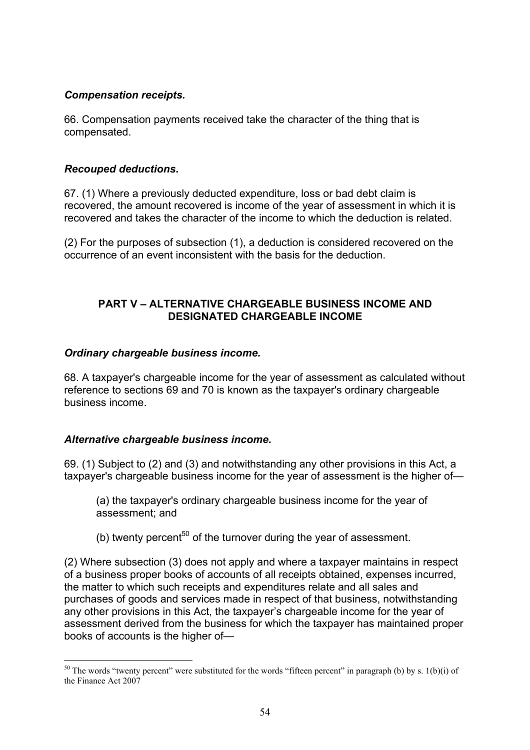### *Compensation receipts.*

66. Compensation payments received take the character of the thing that is compensated.

### *Recouped deductions.*

67. (1) Where a previously deducted expenditure, loss or bad debt claim is recovered, the amount recovered is income of the year of assessment in which it is recovered and takes the character of the income to which the deduction is related.

(2) For the purposes of subsection (1), a deduction is considered recovered on the occurrence of an event inconsistent with the basis for the deduction.

## **PART V – ALTERNATIVE CHARGEABLE BUSINESS INCOME AND DESIGNATED CHARGEABLE INCOME**

### *Ordinary chargeable business income.*

68. A taxpayer's chargeable income for the year of assessment as calculated without reference to sections 69 and 70 is known as the taxpayer's ordinary chargeable business income.

### *Alternative chargeable business income***.**

69. (1) Subject to (2) and (3) and notwithstanding any other provisions in this Act, a taxpayer's chargeable business income for the year of assessment is the higher of—

(a) the taxpayer's ordinary chargeable business income for the year of assessment; and

(b) twenty percent<sup>50</sup> of the turnover during the year of assessment.

(2) Where subsection (3) does not apply and where a taxpayer maintains in respect of a business proper books of accounts of all receipts obtained, expenses incurred, the matter to which such receipts and expenditures relate and all sales and purchases of goods and services made in respect of that business, notwithstanding any other provisions in this Act, the taxpayer's chargeable income for the year of assessment derived from the business for which the taxpayer has maintained proper books of accounts is the higher of—

 $50$  The words "twenty percent" were substituted for the words "fifteen percent" in paragraph (b) by s. 1(b)(i) of the Finance Act 2007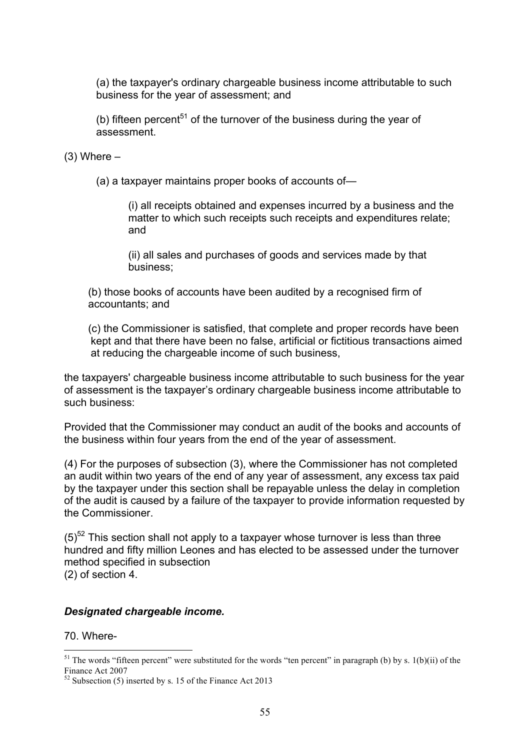(a) the taxpayer's ordinary chargeable business income attributable to such business for the year of assessment; and

(b) fifteen percent<sup>51</sup> of the turnover of the business during the year of assessment.

 $(3)$  Where  $-$ 

(a) a taxpayer maintains proper books of accounts of—

(i) all receipts obtained and expenses incurred by a business and the matter to which such receipts such receipts and expenditures relate; and

(ii) all sales and purchases of goods and services made by that business;

(b) those books of accounts have been audited by a recognised firm of accountants; and

(c) the Commissioner is satisfied, that complete and proper records have been kept and that there have been no false, artificial or fictitious transactions aimed at reducing the chargeable income of such business,

the taxpayers' chargeable business income attributable to such business for the year of assessment is the taxpayer's ordinary chargeable business income attributable to such business:

Provided that the Commissioner may conduct an audit of the books and accounts of the business within four years from the end of the year of assessment.

(4) For the purposes of subsection (3), where the Commissioner has not completed an audit within two years of the end of any year of assessment, any excess tax paid by the taxpayer under this section shall be repayable unless the delay in completion of the audit is caused by a failure of the taxpayer to provide information requested by the Commissioner.

 $(5)^{52}$  This section shall not apply to a taxpayer whose turnover is less than three hundred and fifty million Leones and has elected to be assessed under the turnover method specified in subsection (2) of section 4.

### *Designated chargeable income.*

70. Where-

 $51$  The words "fifteen percent" were substituted for the words "ten percent" in paragraph (b) by s. 1(b)(ii) of the Finance Act 2007<br> $52$  Subsection (5) inserted by s. 15 of the Finance Act 2013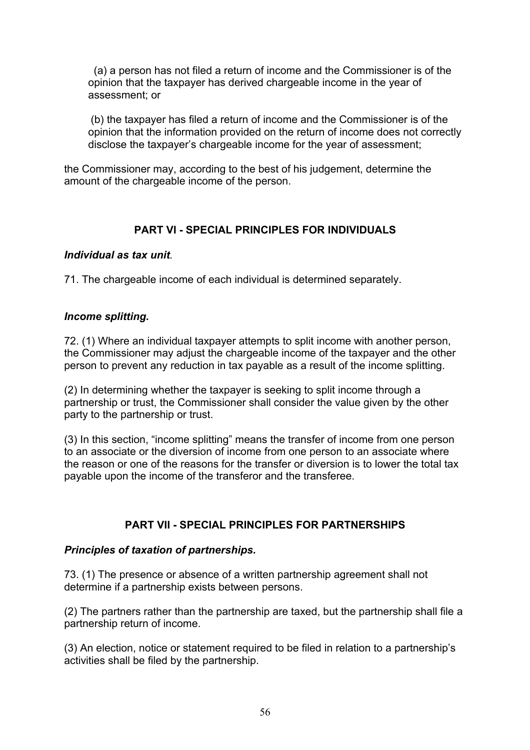(a) a person has not filed a return of income and the Commissioner is of the opinion that the taxpayer has derived chargeable income in the year of assessment; or

(b) the taxpayer has filed a return of income and the Commissioner is of the opinion that the information provided on the return of income does not correctly disclose the taxpayer's chargeable income for the year of assessment;

the Commissioner may, according to the best of his judgement, determine the amount of the chargeable income of the person.

## **PART VI - SPECIAL PRINCIPLES FOR INDIVIDUALS**

#### *Individual as tax unit.*

71. The chargeable income of each individual is determined separately.

### *Income splitting.*

72. (1) Where an individual taxpayer attempts to split income with another person, the Commissioner may adjust the chargeable income of the taxpayer and the other person to prevent any reduction in tax payable as a result of the income splitting.

(2) In determining whether the taxpayer is seeking to split income through a partnership or trust, the Commissioner shall consider the value given by the other party to the partnership or trust.

(3) In this section, "income splitting" means the transfer of income from one person to an associate or the diversion of income from one person to an associate where the reason or one of the reasons for the transfer or diversion is to lower the total tax payable upon the income of the transferor and the transferee.

### **PART VII - SPECIAL PRINCIPLES FOR PARTNERSHIPS**

### *Principles of taxation of partnerships.*

73. (1) The presence or absence of a written partnership agreement shall not determine if a partnership exists between persons.

(2) The partners rather than the partnership are taxed, but the partnership shall file a partnership return of income.

(3) An election, notice or statement required to be filed in relation to a partnership's activities shall be filed by the partnership.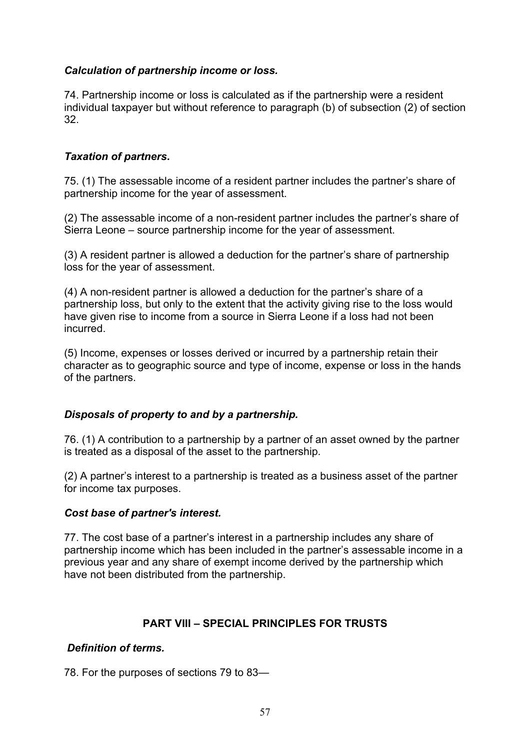## *Calculation of partnership income or loss.*

74. Partnership income or loss is calculated as if the partnership were a resident individual taxpayer but without reference to paragraph (b) of subsection (2) of section 32.

### *Taxation of partners***.**

75. (1) The assessable income of a resident partner includes the partner's share of partnership income for the year of assessment.

(2) The assessable income of a non-resident partner includes the partner's share of Sierra Leone – source partnership income for the year of assessment.

(3) A resident partner is allowed a deduction for the partner's share of partnership loss for the year of assessment.

(4) A non-resident partner is allowed a deduction for the partner's share of a partnership loss, but only to the extent that the activity giving rise to the loss would have given rise to income from a source in Sierra Leone if a loss had not been incurred.

(5) Income, expenses or losses derived or incurred by a partnership retain their character as to geographic source and type of income, expense or loss in the hands of the partners.

### *Disposals of property to and by a partnership.*

76. (1) A contribution to a partnership by a partner of an asset owned by the partner is treated as a disposal of the asset to the partnership.

(2) A partner's interest to a partnership is treated as a business asset of the partner for income tax purposes.

### *Cost base of partner's interest.*

77. The cost base of a partner's interest in a partnership includes any share of partnership income which has been included in the partner's assessable income in a previous year and any share of exempt income derived by the partnership which have not been distributed from the partnership.

### **PART VIII – SPECIAL PRINCIPLES FOR TRUSTS**

### *Definition of terms.*

78. For the purposes of sections 79 to 83—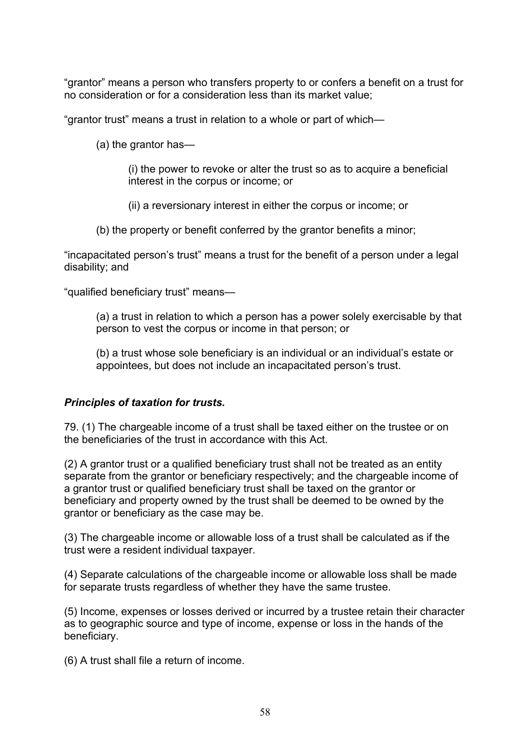"grantor" means a person who transfers property to or confers a benefit on a trust for no consideration or for a consideration less than its market value;

"grantor trust" means a trust in relation to a whole or part of which—

(a) the grantor has—

(i) the power to revoke or alter the trust so as to acquire a beneficial interest in the corpus or income; or

(ii) a reversionary interest in either the corpus or income; or

(b) the property or benefit conferred by the grantor benefits a minor;

"incapacitated person's trust" means a trust for the benefit of a person under a legal disability; and

"qualified beneficiary trust" means—

(a) a trust in relation to which a person has a power solely exercisable by that person to vest the corpus or income in that person; or

(b) a trust whose sole beneficiary is an individual or an individual's estate or appointees, but does not include an incapacitated person's trust.

### *Principles of taxation for trusts.*

79. (1) The chargeable income of a trust shall be taxed either on the trustee or on the beneficiaries of the trust in accordance with this Act.

(2) A grantor trust or a qualified beneficiary trust shall not be treated as an entity separate from the grantor or beneficiary respectively; and the chargeable income of a grantor trust or qualified beneficiary trust shall be taxed on the grantor or beneficiary and property owned by the trust shall be deemed to be owned by the grantor or beneficiary as the case may be.

(3) The chargeable income or allowable loss of a trust shall be calculated as if the trust were a resident individual taxpayer.

(4) Separate calculations of the chargeable income or allowable loss shall be made for separate trusts regardless of whether they have the same trustee.

(5) Income, expenses or losses derived or incurred by a trustee retain their character as to geographic source and type of income, expense or loss in the hands of the beneficiary.

(6) A trust shall file a return of income.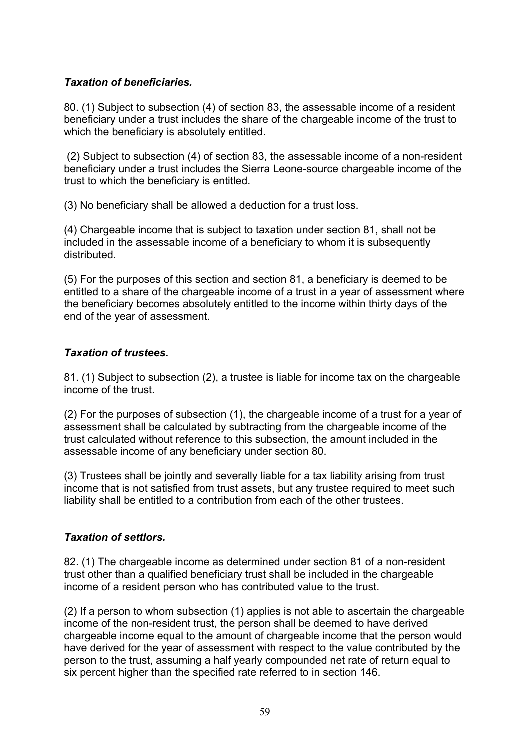## *Taxation of beneficiaries.*

80. (1) Subject to subsection (4) of section 83, the assessable income of a resident beneficiary under a trust includes the share of the chargeable income of the trust to which the beneficiary is absolutely entitled.

(2) Subject to subsection (4) of section 83, the assessable income of a non-resident beneficiary under a trust includes the Sierra Leone-source chargeable income of the trust to which the beneficiary is entitled.

(3) No beneficiary shall be allowed a deduction for a trust loss.

(4) Chargeable income that is subject to taxation under section 81, shall not be included in the assessable income of a beneficiary to whom it is subsequently distributed.

(5) For the purposes of this section and section 81, a beneficiary is deemed to be entitled to a share of the chargeable income of a trust in a year of assessment where the beneficiary becomes absolutely entitled to the income within thirty days of the end of the year of assessment.

### *Taxation of trustees***.**

81. (1) Subject to subsection (2), a trustee is liable for income tax on the chargeable income of the trust.

(2) For the purposes of subsection (1), the chargeable income of a trust for a year of assessment shall be calculated by subtracting from the chargeable income of the trust calculated without reference to this subsection, the amount included in the assessable income of any beneficiary under section 80.

(3) Trustees shall be jointly and severally liable for a tax liability arising from trust income that is not satisfied from trust assets, but any trustee required to meet such liability shall be entitled to a contribution from each of the other trustees.

## *Taxation of settlors.*

82. (1) The chargeable income as determined under section 81 of a non-resident trust other than a qualified beneficiary trust shall be included in the chargeable income of a resident person who has contributed value to the trust.

(2) If a person to whom subsection (1) applies is not able to ascertain the chargeable income of the non-resident trust, the person shall be deemed to have derived chargeable income equal to the amount of chargeable income that the person would have derived for the year of assessment with respect to the value contributed by the person to the trust, assuming a half yearly compounded net rate of return equal to six percent higher than the specified rate referred to in section 146.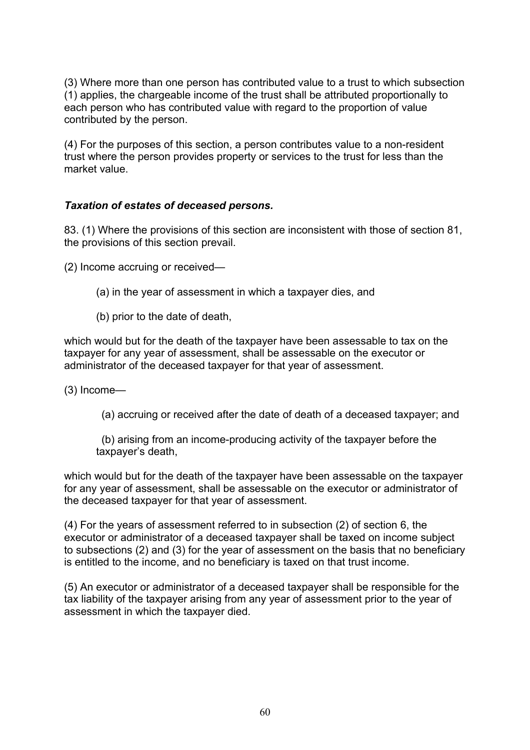(3) Where more than one person has contributed value to a trust to which subsection (1) applies, the chargeable income of the trust shall be attributed proportionally to each person who has contributed value with regard to the proportion of value contributed by the person.

(4) For the purposes of this section, a person contributes value to a non-resident trust where the person provides property or services to the trust for less than the market value.

## *Taxation of estates of deceased persons.*

83. (1) Where the provisions of this section are inconsistent with those of section 81, the provisions of this section prevail.

(2) Income accruing or received—

- (a) in the year of assessment in which a taxpayer dies, and
- (b) prior to the date of death,

which would but for the death of the taxpayer have been assessable to tax on the taxpayer for any year of assessment, shall be assessable on the executor or administrator of the deceased taxpayer for that year of assessment.

(3) Income—

(a) accruing or received after the date of death of a deceased taxpayer; and

(b) arising from an income-producing activity of the taxpayer before the taxpayer's death,

which would but for the death of the taxpayer have been assessable on the taxpayer for any year of assessment, shall be assessable on the executor or administrator of the deceased taxpayer for that year of assessment.

(4) For the years of assessment referred to in subsection (2) of section 6, the executor or administrator of a deceased taxpayer shall be taxed on income subject to subsections (2) and (3) for the year of assessment on the basis that no beneficiary is entitled to the income, and no beneficiary is taxed on that trust income.

(5) An executor or administrator of a deceased taxpayer shall be responsible for the tax liability of the taxpayer arising from any year of assessment prior to the year of assessment in which the taxpayer died.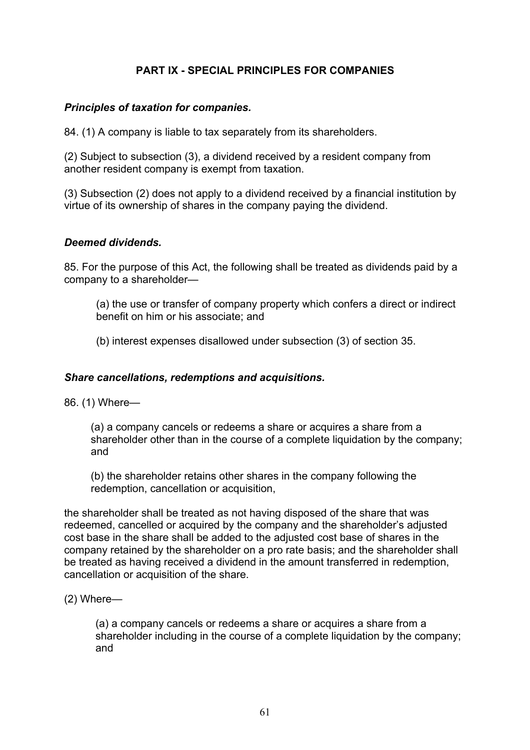## **PART IX - SPECIAL PRINCIPLES FOR COMPANIES**

#### *Principles of taxation for companies.*

84. (1) A company is liable to tax separately from its shareholders.

(2) Subject to subsection (3), a dividend received by a resident company from another resident company is exempt from taxation.

(3) Subsection (2) does not apply to a dividend received by a financial institution by virtue of its ownership of shares in the company paying the dividend.

#### *Deemed dividends.*

85. For the purpose of this Act, the following shall be treated as dividends paid by a company to a shareholder—

(a) the use or transfer of company property which confers a direct or indirect benefit on him or his associate; and

(b) interest expenses disallowed under subsection (3) of section 35.

#### *Share cancellations, redemptions and acquisitions.*

86. (1) Where—

(a) a company cancels or redeems a share or acquires a share from a shareholder other than in the course of a complete liquidation by the company: and

(b) the shareholder retains other shares in the company following the redemption, cancellation or acquisition,

the shareholder shall be treated as not having disposed of the share that was redeemed, cancelled or acquired by the company and the shareholder's adjusted cost base in the share shall be added to the adjusted cost base of shares in the company retained by the shareholder on a pro rate basis; and the shareholder shall be treated as having received a dividend in the amount transferred in redemption, cancellation or acquisition of the share.

(2) Where—

(a) a company cancels or redeems a share or acquires a share from a shareholder including in the course of a complete liquidation by the company; and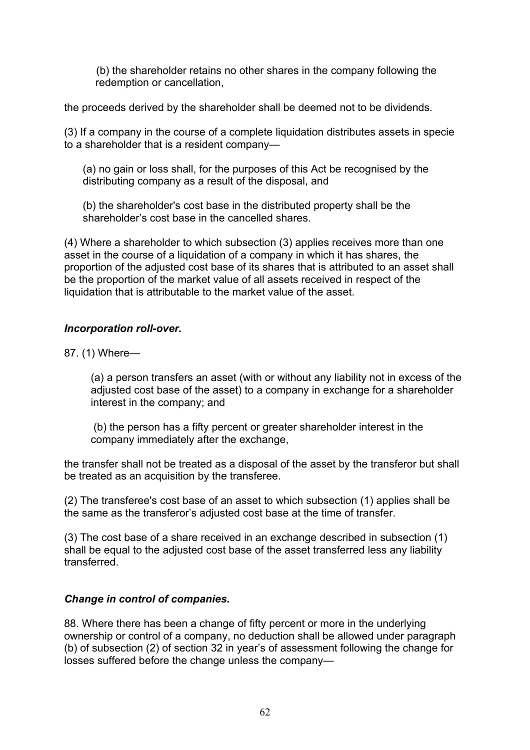(b) the shareholder retains no other shares in the company following the redemption or cancellation,

the proceeds derived by the shareholder shall be deemed not to be dividends.

(3) If a company in the course of a complete liquidation distributes assets in specie to a shareholder that is a resident company—

(a) no gain or loss shall, for the purposes of this Act be recognised by the distributing company as a result of the disposal, and

(b) the shareholder's cost base in the distributed property shall be the shareholder's cost base in the cancelled shares.

(4) Where a shareholder to which subsection (3) applies receives more than one asset in the course of a liquidation of a company in which it has shares, the proportion of the adjusted cost base of its shares that is attributed to an asset shall be the proportion of the market value of all assets received in respect of the liquidation that is attributable to the market value of the asset.

## *Incorporation roll-over.*

87. (1) Where—

(a) a person transfers an asset (with or without any liability not in excess of the adjusted cost base of the asset) to a company in exchange for a shareholder interest in the company; and

(b) the person has a fifty percent or greater shareholder interest in the company immediately after the exchange,

the transfer shall not be treated as a disposal of the asset by the transferor but shall be treated as an acquisition by the transferee.

(2) The transferee's cost base of an asset to which subsection (1) applies shall be the same as the transferor's adjusted cost base at the time of transfer.

(3) The cost base of a share received in an exchange described in subsection (1) shall be equal to the adjusted cost base of the asset transferred less any liability transferred.

### *Change in control of companies.*

88. Where there has been a change of fifty percent or more in the underlying ownership or control of a company, no deduction shall be allowed under paragraph (b) of subsection (2) of section 32 in year's of assessment following the change for losses suffered before the change unless the company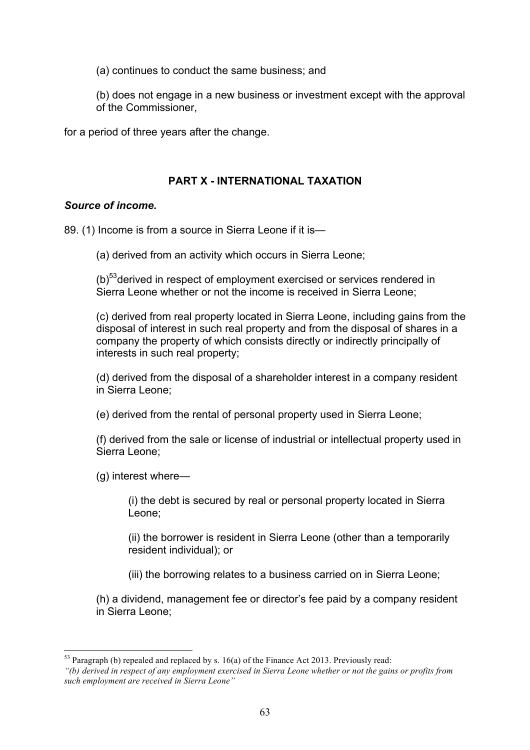(a) continues to conduct the same business; and

(b) does not engage in a new business or investment except with the approval of the Commissioner,

for a period of three years after the change.

### **PART X - INTERNATIONAL TAXATION**

### *Source of income.*

89. (1) Income is from a source in Sierra Leone if it is—

(a) derived from an activity which occurs in Sierra Leone;

 $(b)$ <sup>53</sup>derived in respect of employment exercised or services rendered in Sierra Leone whether or not the income is received in Sierra Leone;

(c) derived from real property located in Sierra Leone, including gains from the disposal of interest in such real property and from the disposal of shares in a company the property of which consists directly or indirectly principally of interests in such real property;

(d) derived from the disposal of a shareholder interest in a company resident in Sierra Leone;

(e) derived from the rental of personal property used in Sierra Leone;

(f) derived from the sale or license of industrial or intellectual property used in Sierra Leone;

(g) interest where—

(i) the debt is secured by real or personal property located in Sierra Leone;

(ii) the borrower is resident in Sierra Leone (other than a temporarily resident individual); or

(iii) the borrowing relates to a business carried on in Sierra Leone;

(h) a dividend, management fee or director's fee paid by a company resident in Sierra Leone;

 $53$  Paragraph (b) repealed and replaced by s. 16(a) of the Finance Act 2013. Previously read:

*<sup>&</sup>quot;(b) derived in respect of any employment exercised in Sierra Leone whether or not the gains or profits from such employment are received in Sierra Leone"*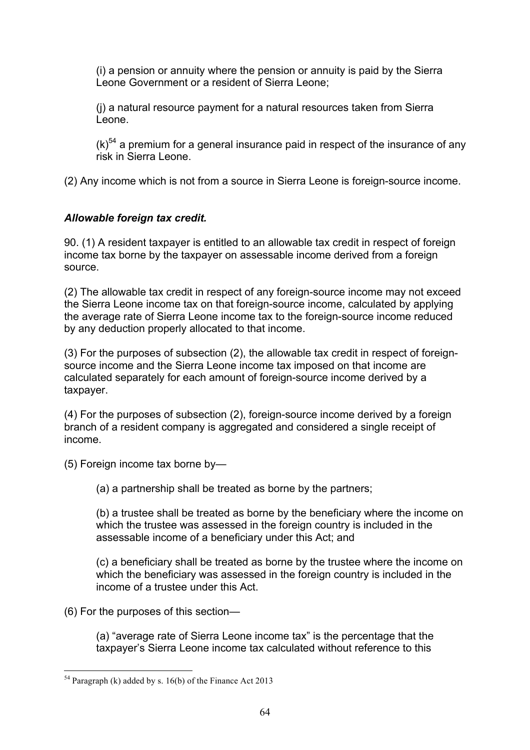(i) a pension or annuity where the pension or annuity is paid by the Sierra Leone Government or a resident of Sierra Leone;

(j) a natural resource payment for a natural resources taken from Sierra Leone.

 $(k)$ <sup>54</sup> a premium for a general insurance paid in respect of the insurance of any risk in Sierra Leone.

(2) Any income which is not from a source in Sierra Leone is foreign-source income.

# *Allowable foreign tax credit.*

90. (1) A resident taxpayer is entitled to an allowable tax credit in respect of foreign income tax borne by the taxpayer on assessable income derived from a foreign source.

(2) The allowable tax credit in respect of any foreign-source income may not exceed the Sierra Leone income tax on that foreign-source income, calculated by applying the average rate of Sierra Leone income tax to the foreign-source income reduced by any deduction properly allocated to that income.

(3) For the purposes of subsection (2), the allowable tax credit in respect of foreignsource income and the Sierra Leone income tax imposed on that income are calculated separately for each amount of foreign-source income derived by a taxpayer.

(4) For the purposes of subsection (2), foreign-source income derived by a foreign branch of a resident company is aggregated and considered a single receipt of income.

(5) Foreign income tax borne by—

(a) a partnership shall be treated as borne by the partners;

(b) a trustee shall be treated as borne by the beneficiary where the income on which the trustee was assessed in the foreign country is included in the assessable income of a beneficiary under this Act; and

(c) a beneficiary shall be treated as borne by the trustee where the income on which the beneficiary was assessed in the foreign country is included in the income of a trustee under this Act.

(6) For the purposes of this section—

(a) "average rate of Sierra Leone income tax" is the percentage that the taxpayer's Sierra Leone income tax calculated without reference to this

<sup>&</sup>lt;sup>54</sup> Paragraph (k) added by s. 16(b) of the Finance Act 2013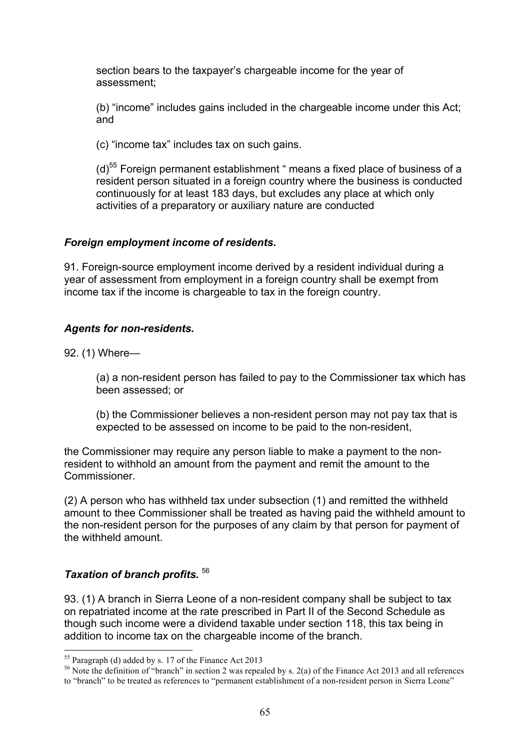section bears to the taxpayer's chargeable income for the year of assessment;

(b) "income" includes gains included in the chargeable income under this Act; and

(c) "income tax" includes tax on such gains.

(d)<sup>55</sup> Foreign permanent establishment " means a fixed place of business of a resident person situated in a foreign country where the business is conducted continuously for at least 183 days, but excludes any place at which only activities of a preparatory or auxiliary nature are conducted

### *Foreign employment income of residents***.**

91. Foreign-source employment income derived by a resident individual during a year of assessment from employment in a foreign country shall be exempt from income tax if the income is chargeable to tax in the foreign country.

## *Agents for non-residents.*

92. (1) Where—

(a) a non-resident person has failed to pay to the Commissioner tax which has been assessed; or

(b) the Commissioner believes a non-resident person may not pay tax that is expected to be assessed on income to be paid to the non-resident,

the Commissioner may require any person liable to make a payment to the nonresident to withhold an amount from the payment and remit the amount to the **Commissioner** 

(2) A person who has withheld tax under subsection (1) and remitted the withheld amount to thee Commissioner shall be treated as having paid the withheld amount to the non-resident person for the purposes of any claim by that person for payment of the withheld amount.

## *Taxation of branch profits.* <sup>56</sup>

93. (1) A branch in Sierra Leone of a non-resident company shall be subject to tax on repatriated income at the rate prescribed in Part II of the Second Schedule as though such income were a dividend taxable under section 118, this tax being in addition to income tax on the chargeable income of the branch.

<sup>55</sup> Paragraph (d) added by s. 17 of the Finance Act 2013<br><sup>56</sup> Note the definition of "branch" in section 2 was repealed by s. 2(a) of the Finance Act 2013 and all references to "branch" to be treated as references to "permanent establishment of a non-resident person in Sierra Leone"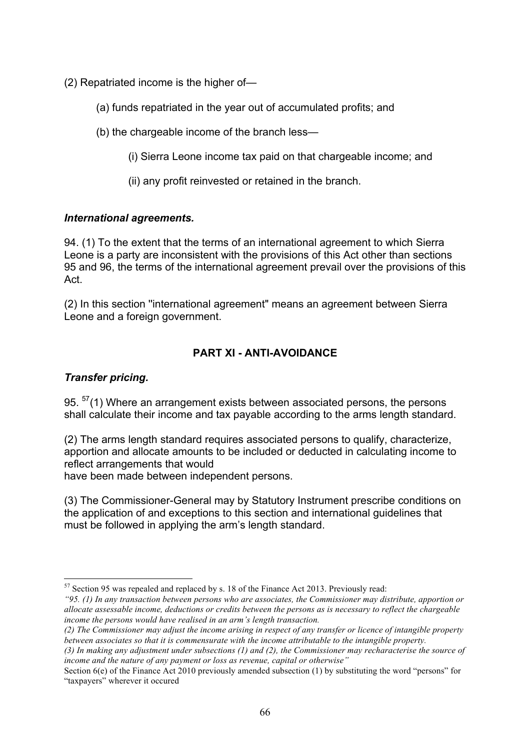- (2) Repatriated income is the higher of—
	- (a) funds repatriated in the year out of accumulated profits; and
	- (b) the chargeable income of the branch less—
		- (i) Sierra Leone income tax paid on that chargeable income; and
		- (ii) any profit reinvested or retained in the branch.

## *International agreements.*

94. (1) To the extent that the terms of an international agreement to which Sierra Leone is a party are inconsistent with the provisions of this Act other than sections 95 and 96, the terms of the international agreement prevail over the provisions of this Act.

(2) In this section ''international agreement" means an agreement between Sierra Leone and a foreign government.

# **PART XI - ANTI-AVOIDANCE**

## *Transfer pricing.*

95.  $57(1)$  Where an arrangement exists between associated persons, the persons shall calculate their income and tax payable according to the arms length standard.

(2) The arms length standard requires associated persons to qualify, characterize, apportion and allocate amounts to be included or deducted in calculating income to reflect arrangements that would

have been made between independent persons.

(3) The Commissioner-General may by Statutory Instrument prescribe conditions on the application of and exceptions to this section and international guidelines that must be followed in applying the arm's length standard.

 <sup>57</sup> Section 95 was repealed and replaced by s. 18 of the Finance Act 2013. Previously read:

*<sup>&</sup>quot;95. (1) In any transaction between persons who are associates, the Commissioner may distribute, apportion or allocate assessable income, deductions or credits between the persons as is necessary to reflect the chargeable income the persons would have realised in an arm's length transaction.*

*<sup>(2)</sup> The Commissioner may adjust the income arising in respect of any transfer or licence of intangible property between associates so that it is commensurate with the income attributable to the intangible property.* 

*<sup>(3)</sup> In making any adjustment under subsections (1) and (2), the Commissioner may recharacterise the source of income and the nature of any payment or loss as revenue, capital or otherwise"* 

Section 6(e) of the Finance Act 2010 previously amended subsection (1) by substituting the word "persons" for "taxpayers" wherever it occured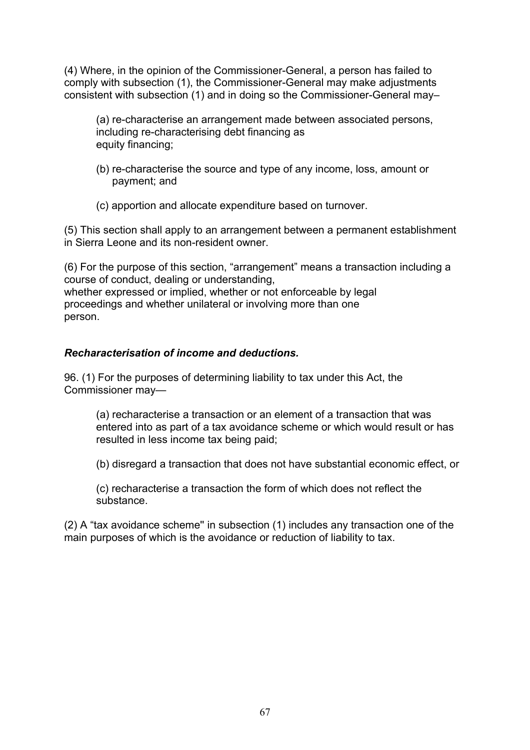(4) Where, in the opinion of the Commissioner-General, a person has failed to comply with subsection (1), the Commissioner-General may make adjustments consistent with subsection (1) and in doing so the Commissioner-General may–

(a) re-characterise an arrangement made between associated persons, including re-characterising debt financing as equity financing;

- (b) re-characterise the source and type of any income, loss, amount or payment; and
- (c) apportion and allocate expenditure based on turnover.

(5) This section shall apply to an arrangement between a permanent establishment in Sierra Leone and its non-resident owner.

(6) For the purpose of this section, "arrangement" means a transaction including a course of conduct, dealing or understanding, whether expressed or implied, whether or not enforceable by legal proceedings and whether unilateral or involving more than one person.

### *Recharacterisation of income and deductions.*

96. (1) For the purposes of determining liability to tax under this Act, the Commissioner may—

(a) recharacterise a transaction or an element of a transaction that was entered into as part of a tax avoidance scheme or which would result or has resulted in less income tax being paid;

(b) disregard a transaction that does not have substantial economic effect, or

(c) recharacterise a transaction the form of which does not reflect the substance.

(2) A "tax avoidance scheme'' in subsection (1) includes any transaction one of the main purposes of which is the avoidance or reduction of liability to tax.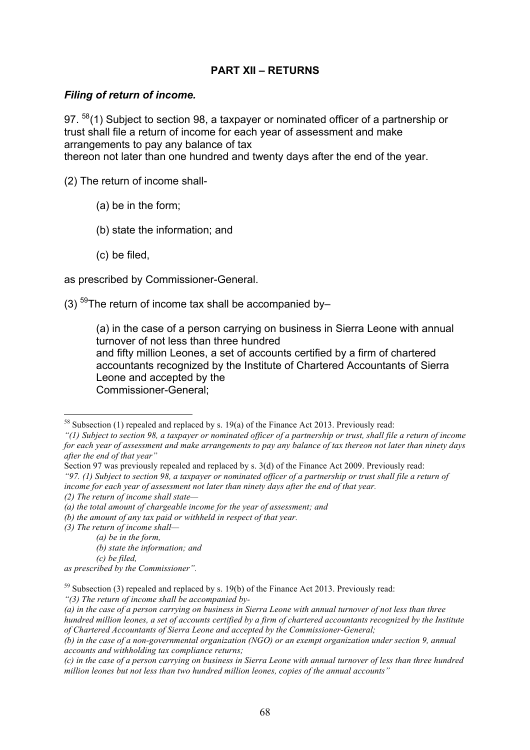## **PART XII – RETURNS**

#### *Filing of return of income.*

97. <sup>58</sup>(1) Subject to section 98, a taxpayer or nominated officer of a partnership or trust shall file a return of income for each year of assessment and make arrangements to pay any balance of tax thereon not later than one hundred and twenty days after the end of the year.

(2) The return of income shall-

- (a) be in the form;
- (b) state the information; and
- (c) be filed,

as prescribed by Commissioner-General.

(3)  $59$ The return of income tax shall be accompanied by-

(a) in the case of a person carrying on business in Sierra Leone with annual turnover of not less than three hundred and fifty million Leones, a set of accounts certified by a firm of chartered accountants recognized by the Institute of Chartered Accountants of Sierra Leone and accepted by the Commissioner-General;

- *(b) the amount of any tax paid or withheld in respect of that year.*
- *(3) The return of income shall—*

*"(3) The return of income shall be accompanied by-*

<sup>&</sup>lt;sup>58</sup> Subsection (1) repealed and replaced by s. 19(a) of the Finance Act 2013. Previously read:

*<sup>&</sup>quot;(1) Subject to section 98, a taxpayer or nominated officer of a partnership or trust, shall file a return of income for each year of assessment and make arrangements to pay any balance of tax thereon not later than ninety days after the end of that year"*

Section 97 was previously repealed and replaced by s. 3(d) of the Finance Act 2009. Previously read:

*<sup>&</sup>quot;97. (1) Subject to section 98, a taxpayer or nominated officer of a partnership or trust shall file a return of income for each year of assessment not later than ninety days after the end of that year.*

*<sup>(2)</sup> The return of income shall state—*

*<sup>(</sup>a) the total amount of chargeable income for the year of assessment; and* 

 *<sup>(</sup>a) be in the form,* 

 *<sup>(</sup>b) state the information; and* 

 *<sup>(</sup>c) be filed,* 

*as prescribed by the Commissioner".* 

 $59$  Subsection (3) repealed and replaced by s. 19(b) of the Finance Act 2013. Previously read:

*<sup>(</sup>a) in the case of a person carrying on business in Sierra Leone with annual turnover of not less than three hundred million leones, a set of accounts certified by a firm of chartered accountants recognized by the Institute of Chartered Accountants of Sierra Leone and accepted by the Commissioner-General;*

*<sup>(</sup>b) in the case of a non-governmental organization (NGO) or an exempt organization under section 9, annual accounts and withholding tax compliance returns;*

*<sup>(</sup>c) in the case of a person carrying on business in Sierra Leone with annual turnover of less than three hundred million leones but not less than two hundred million leones, copies of the annual accounts"*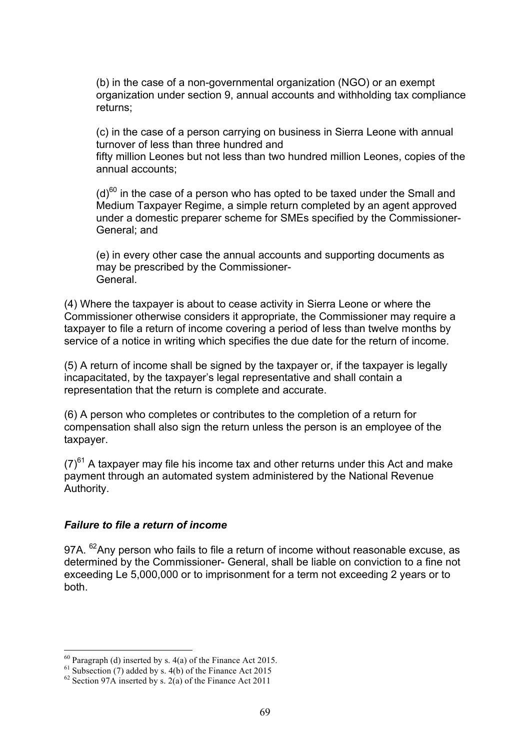(b) in the case of a non-governmental organization (NGO) or an exempt organization under section 9, annual accounts and withholding tax compliance returns;

(c) in the case of a person carrying on business in Sierra Leone with annual turnover of less than three hundred and

fifty million Leones but not less than two hundred million Leones, copies of the annual accounts;

 $(d)$ <sup>60</sup> in the case of a person who has opted to be taxed under the Small and Medium Taxpayer Regime, a simple return completed by an agent approved under a domestic preparer scheme for SMEs specified by the Commissioner-General; and

(e) in every other case the annual accounts and supporting documents as may be prescribed by the Commissioner-**General** 

(4) Where the taxpayer is about to cease activity in Sierra Leone or where the Commissioner otherwise considers it appropriate, the Commissioner may require a taxpayer to file a return of income covering a period of less than twelve months by service of a notice in writing which specifies the due date for the return of income.

(5) A return of income shall be signed by the taxpayer or, if the taxpayer is legally incapacitated, by the taxpayer's legal representative and shall contain a representation that the return is complete and accurate.

(6) A person who completes or contributes to the completion of a return for compensation shall also sign the return unless the person is an employee of the taxpayer.

 $(7)^{61}$  A taxpayer may file his income tax and other returns under this Act and make payment through an automated system administered by the National Revenue Authority.

### *Failure to file a return of income*

97A. <sup>62</sup>Any person who fails to file a return of income without reasonable excuse, as determined by the Commissioner- General, shall be liable on conviction to a fine not exceeding Le 5,000,000 or to imprisonment for a term not exceeding 2 years or to both.

<sup>&</sup>lt;sup>60</sup> Paragraph (d) inserted by s. 4(a) of the Finance Act 2015.<br><sup>61</sup> Subsection (7) added by s. 4(b) of the Finance Act 2015<br><sup>62</sup> Section 97A inserted by s. 2(a) of the Finance Act 2011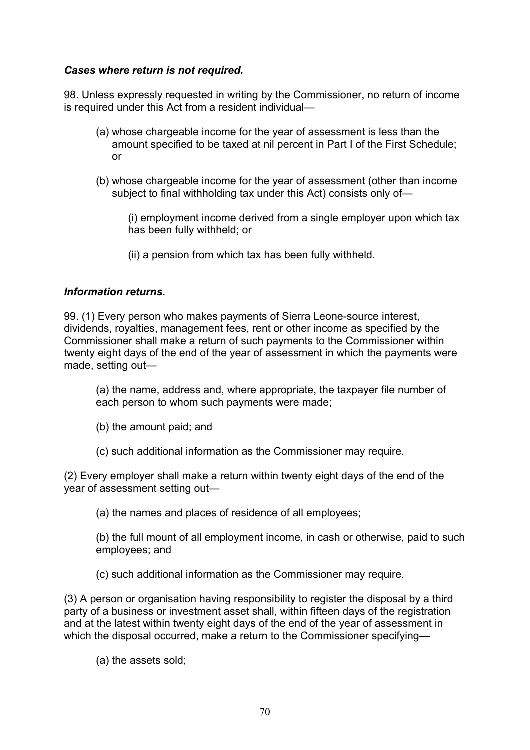## *Cases where return is not required.*

98. Unless expressly requested in writing by the Commissioner, no return of income is required under this Act from a resident individual—

- (a) whose chargeable income for the year of assessment is less than the amount specified to be taxed at nil percent in Part I of the First Schedule; or
- (b) whose chargeable income for the year of assessment (other than income subject to final withholding tax under this Act) consists only of—

(i) employment income derived from a single employer upon which tax has been fully withheld; or

(ii) a pension from which tax has been fully withheld.

### *Information returns.*

99. (1) Every person who makes payments of Sierra Leone-source interest, dividends, royalties, management fees, rent or other income as specified by the Commissioner shall make a return of such payments to the Commissioner within twenty eight days of the end of the year of assessment in which the payments were made, setting out—

(a) the name, address and, where appropriate, the taxpayer file number of each person to whom such payments were made;

- (b) the amount paid; and
- (c) such additional information as the Commissioner may require.

(2) Every employer shall make a return within twenty eight days of the end of the year of assessment setting out—

(a) the names and places of residence of all employees;

(b) the full mount of all employment income, in cash or otherwise, paid to such employees; and

(c) such additional information as the Commissioner may require.

(3) A person or organisation having responsibility to register the disposal by a third party of a business or investment asset shall, within fifteen days of the registration and at the latest within twenty eight days of the end of the year of assessment in which the disposal occurred, make a return to the Commissioner specifying—

(a) the assets sold;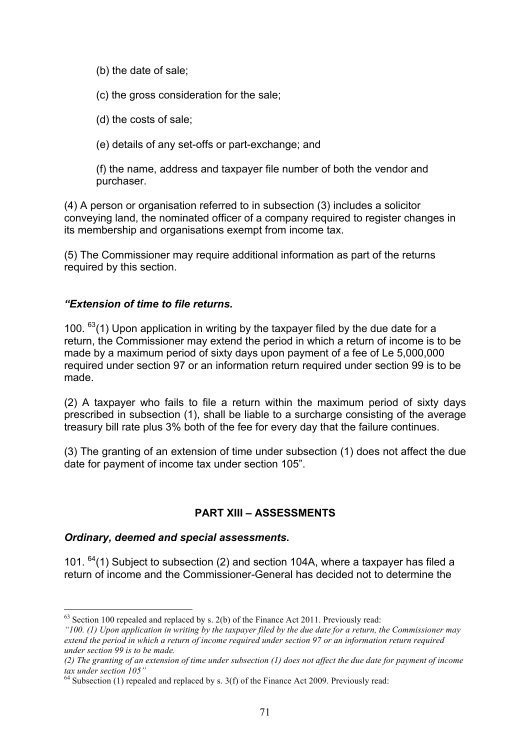(b) the date of sale;

(c) the gross consideration for the sale;

(d) the costs of sale;

(e) details of any set-offs or part-exchange; and

(f) the name, address and taxpayer file number of both the vendor and purchaser.

(4) A person or organisation referred to in subsection (3) includes a solicitor conveying land, the nominated officer of a company required to register changes in its membership and organisations exempt from income tax.

(5) The Commissioner may require additional information as part of the returns required by this section.

### *"Extension of time to file returns.*

100.  $^{63}(1)$  Upon application in writing by the taxpayer filed by the due date for a return, the Commissioner may extend the period in which a return of income is to be made by a maximum period of sixty days upon payment of a fee of Le 5,000,000 required under section 97 or an information return required under section 99 is to be made.

(2) A taxpayer who fails to file a return within the maximum period of sixty days prescribed in subsection (1), shall be liable to a surcharge consisting of the average treasury bill rate plus 3% both of the fee for every day that the failure continues.

(3) The granting of an extension of time under subsection (1) does not affect the due date for payment of income tax under section 105".

## **PART XIII – ASSESSMENTS**

### *Ordinary, deemed and special assessments***.**

101.  $^{64}(1)$  Subject to subsection (2) and section 104A, where a taxpayer has filed a return of income and the Commissioner-General has decided not to determine the

 $63$  Section 100 repealed and replaced by s. 2(b) of the Finance Act 2011. Previously read:

*<sup>&</sup>quot;100. (1) Upon application in writing by the taxpayer filed by the due date for a return, the Commissioner may extend the period in which a return of income required under section 97 or an information return required under section 99 is to be made.*

*<sup>(2)</sup> The granting of an extension of time under subsection (1) does not affect the due date for payment of income tax under section 105"*

 $64$  Subsection (1) repealed and replaced by s. 3(f) of the Finance Act 2009. Previously read: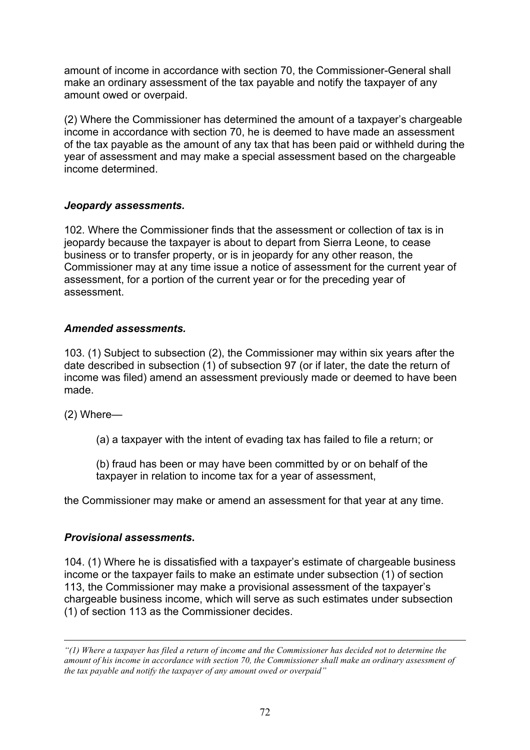amount of income in accordance with section 70, the Commissioner-General shall make an ordinary assessment of the tax payable and notify the taxpayer of any amount owed or overpaid.

(2) Where the Commissioner has determined the amount of a taxpayer's chargeable income in accordance with section 70, he is deemed to have made an assessment of the tax payable as the amount of any tax that has been paid or withheld during the year of assessment and may make a special assessment based on the chargeable income determined.

### *Jeopardy assessments.*

102. Where the Commissioner finds that the assessment or collection of tax is in jeopardy because the taxpayer is about to depart from Sierra Leone, to cease business or to transfer property, or is in jeopardy for any other reason, the Commissioner may at any time issue a notice of assessment for the current year of assessment, for a portion of the current year or for the preceding year of assessment.

### *Amended assessments.*

103. (1) Subject to subsection (2), the Commissioner may within six years after the date described in subsection (1) of subsection 97 (or if later, the date the return of income was filed) amend an assessment previously made or deemed to have been made.

(2) Where—

 $\overline{a}$ 

(a) a taxpayer with the intent of evading tax has failed to file a return; or

(b) fraud has been or may have been committed by or on behalf of the taxpayer in relation to income tax for a year of assessment,

the Commissioner may make or amend an assessment for that year at any time.

## *Provisional assessments***.**

104. (1) Where he is dissatisfied with a taxpayer's estimate of chargeable business income or the taxpayer fails to make an estimate under subsection (1) of section 113, the Commissioner may make a provisional assessment of the taxpayer's chargeable business income, which will serve as such estimates under subsection (1) of section 113 as the Commissioner decides.

*<sup>&</sup>quot;(1) Where a taxpayer has filed a return of income and the Commissioner has decided not to determine the amount of his income in accordance with section 70, the Commissioner shall make an ordinary assessment of the tax payable and notify the taxpayer of any amount owed or overpaid"*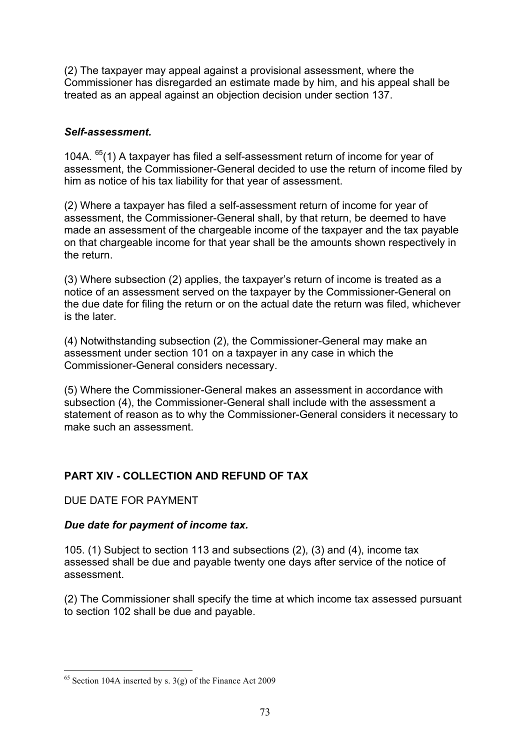(2) The taxpayer may appeal against a provisional assessment, where the Commissioner has disregarded an estimate made by him, and his appeal shall be treated as an appeal against an objection decision under section 137.

# *Self-assessment.*

104A.  $^{65}(1)$  A taxpayer has filed a self-assessment return of income for year of assessment, the Commissioner-General decided to use the return of income filed by him as notice of his tax liability for that year of assessment.

(2) Where a taxpayer has filed a self-assessment return of income for year of assessment, the Commissioner-General shall, by that return, be deemed to have made an assessment of the chargeable income of the taxpayer and the tax payable on that chargeable income for that year shall be the amounts shown respectively in the return.

(3) Where subsection (2) applies, the taxpayer's return of income is treated as a notice of an assessment served on the taxpayer by the Commissioner-General on the due date for filing the return or on the actual date the return was filed, whichever is the later.

(4) Notwithstanding subsection (2), the Commissioner-General may make an assessment under section 101 on a taxpayer in any case in which the Commissioner-General considers necessary.

(5) Where the Commissioner-General makes an assessment in accordance with subsection (4), the Commissioner-General shall include with the assessment a statement of reason as to why the Commissioner-General considers it necessary to make such an assessment.

# **PART XIV - COLLECTION AND REFUND OF TAX**

DUE DATE FOR PAYMENT

# *Due date for payment of income tax.*

105. (1) Subject to section 113 and subsections (2), (3) and (4), income tax assessed shall be due and payable twenty one days after service of the notice of assessment.

(2) The Commissioner shall specify the time at which income tax assessed pursuant to section 102 shall be due and payable.

<sup>&</sup>lt;sup>65</sup> Section 104A inserted by s.  $3(g)$  of the Finance Act 2009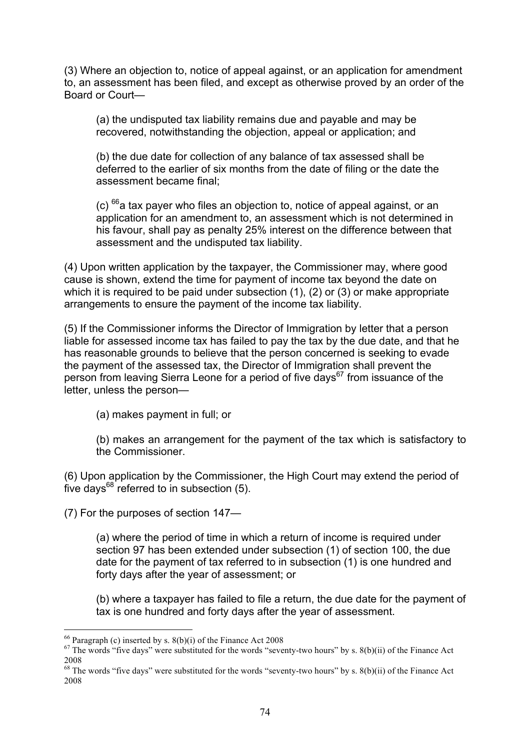(3) Where an objection to, notice of appeal against, or an application for amendment to, an assessment has been filed, and except as otherwise proved by an order of the Board or Court—

(a) the undisputed tax liability remains due and payable and may be recovered, notwithstanding the objection, appeal or application; and

(b) the due date for collection of any balance of tax assessed shall be deferred to the earlier of six months from the date of filing or the date the assessment became final;

 $\left( c \right)$   $^{66}$  a tax payer who files an objection to, notice of appeal against, or an application for an amendment to, an assessment which is not determined in his favour, shall pay as penalty 25% interest on the difference between that assessment and the undisputed tax liability.

(4) Upon written application by the taxpayer, the Commissioner may, where good cause is shown, extend the time for payment of income tax beyond the date on which it is required to be paid under subsection (1), (2) or (3) or make appropriate arrangements to ensure the payment of the income tax liability.

(5) If the Commissioner informs the Director of Immigration by letter that a person liable for assessed income tax has failed to pay the tax by the due date, and that he has reasonable grounds to believe that the person concerned is seeking to evade the payment of the assessed tax, the Director of Immigration shall prevent the person from leaving Sierra Leone for a period of five days $67$  from issuance of the letter, unless the person—

(a) makes payment in full; or

(b) makes an arrangement for the payment of the tax which is satisfactory to the Commissioner.

(6) Upon application by the Commissioner, the High Court may extend the period of five days $^{68}$  referred to in subsection (5).

(7) For the purposes of section 147—

(a) where the period of time in which a return of income is required under section 97 has been extended under subsection (1) of section 100, the due date for the payment of tax referred to in subsection (1) is one hundred and forty days after the year of assessment; or

(b) where a taxpayer has failed to file a return, the due date for the payment of tax is one hundred and forty days after the year of assessment.

<sup>&</sup>lt;sup>66</sup> Paragraph (c) inserted by s. 8(b)(i) of the Finance Act 2008<br><sup>67</sup> The words "five days" were substituted for the words "seventy-two hours" by s. 8(b)(ii) of the Finance Act 2008

<sup>&</sup>lt;sup>68</sup> The words "five days" were substituted for the words "seventy-two hours" by s. 8(b)(ii) of the Finance Act 2008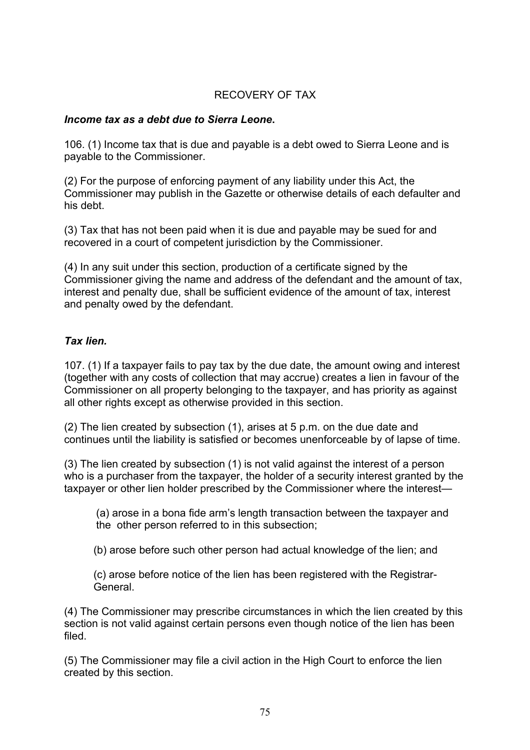# RECOVERY OF TAX

#### *Income tax as a debt due to Sierra Leone***.**

106. (1) Income tax that is due and payable is a debt owed to Sierra Leone and is payable to the Commissioner.

(2) For the purpose of enforcing payment of any liability under this Act, the Commissioner may publish in the Gazette or otherwise details of each defaulter and his debt.

(3) Tax that has not been paid when it is due and payable may be sued for and recovered in a court of competent jurisdiction by the Commissioner.

(4) In any suit under this section, production of a certificate signed by the Commissioner giving the name and address of the defendant and the amount of tax, interest and penalty due, shall be sufficient evidence of the amount of tax, interest and penalty owed by the defendant.

#### *Tax lien.*

107. (1) If a taxpayer fails to pay tax by the due date, the amount owing and interest (together with any costs of collection that may accrue) creates a lien in favour of the Commissioner on all property belonging to the taxpayer, and has priority as against all other rights except as otherwise provided in this section.

(2) The lien created by subsection (1), arises at 5 p.m. on the due date and continues until the liability is satisfied or becomes unenforceable by of lapse of time.

(3) The lien created by subsection (1) is not valid against the interest of a person who is a purchaser from the taxpayer, the holder of a security interest granted by the taxpayer or other lien holder prescribed by the Commissioner where the interest—

(a) arose in a bona fide arm's length transaction between the taxpayer and the other person referred to in this subsection;

(b) arose before such other person had actual knowledge of the lien; and

(c) arose before notice of the lien has been registered with the Registrar-General.

(4) The Commissioner may prescribe circumstances in which the lien created by this section is not valid against certain persons even though notice of the lien has been filed.

(5) The Commissioner may file a civil action in the High Court to enforce the lien created by this section.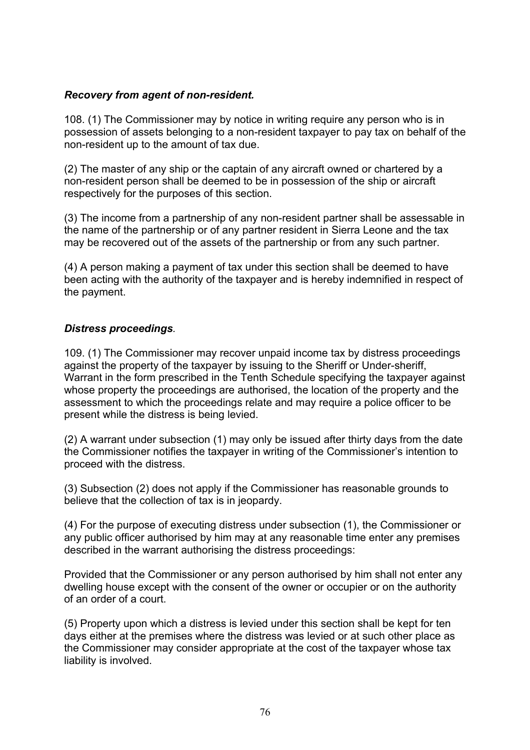### *Recovery from agent of non-resident.*

108. (1) The Commissioner may by notice in writing require any person who is in possession of assets belonging to a non-resident taxpayer to pay tax on behalf of the non-resident up to the amount of tax due.

(2) The master of any ship or the captain of any aircraft owned or chartered by a non-resident person shall be deemed to be in possession of the ship or aircraft respectively for the purposes of this section.

(3) The income from a partnership of any non-resident partner shall be assessable in the name of the partnership or of any partner resident in Sierra Leone and the tax may be recovered out of the assets of the partnership or from any such partner.

(4) A person making a payment of tax under this section shall be deemed to have been acting with the authority of the taxpayer and is hereby indemnified in respect of the payment.

### *Distress proceedings.*

109. (1) The Commissioner may recover unpaid income tax by distress proceedings against the property of the taxpayer by issuing to the Sheriff or Under-sheriff, Warrant in the form prescribed in the Tenth Schedule specifying the taxpayer against whose property the proceedings are authorised, the location of the property and the assessment to which the proceedings relate and may require a police officer to be present while the distress is being levied.

(2) A warrant under subsection (1) may only be issued after thirty days from the date the Commissioner notifies the taxpayer in writing of the Commissioner's intention to proceed with the distress.

(3) Subsection (2) does not apply if the Commissioner has reasonable grounds to believe that the collection of tax is in jeopardy.

(4) For the purpose of executing distress under subsection (1), the Commissioner or any public officer authorised by him may at any reasonable time enter any premises described in the warrant authorising the distress proceedings:

Provided that the Commissioner or any person authorised by him shall not enter any dwelling house except with the consent of the owner or occupier or on the authority of an order of a court.

(5) Property upon which a distress is levied under this section shall be kept for ten days either at the premises where the distress was levied or at such other place as the Commissioner may consider appropriate at the cost of the taxpayer whose tax liability is involved.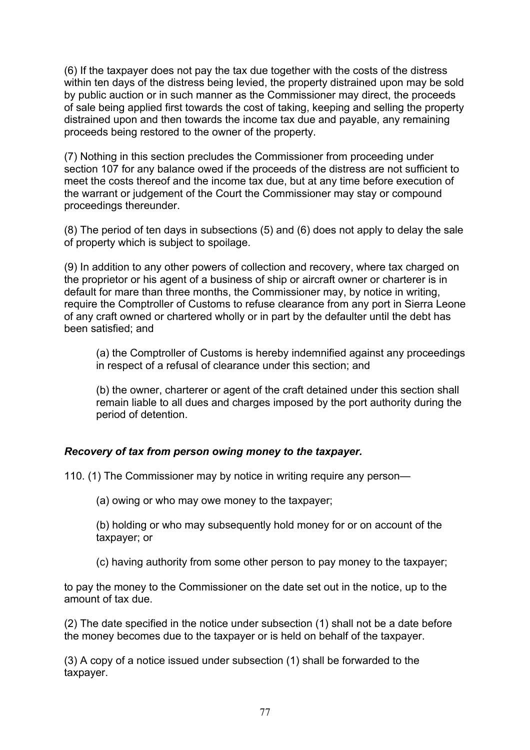(6) If the taxpayer does not pay the tax due together with the costs of the distress within ten days of the distress being levied, the property distrained upon may be sold by public auction or in such manner as the Commissioner may direct, the proceeds of sale being applied first towards the cost of taking, keeping and selling the property distrained upon and then towards the income tax due and payable, any remaining proceeds being restored to the owner of the property.

(7) Nothing in this section precludes the Commissioner from proceeding under section 107 for any balance owed if the proceeds of the distress are not sufficient to meet the costs thereof and the income tax due, but at any time before execution of the warrant or judgement of the Court the Commissioner may stay or compound proceedings thereunder.

(8) The period of ten days in subsections (5) and (6) does not apply to delay the sale of property which is subject to spoilage.

(9) In addition to any other powers of collection and recovery, where tax charged on the proprietor or his agent of a business of ship or aircraft owner or charterer is in default for mare than three months, the Commissioner may, by notice in writing, require the Comptroller of Customs to refuse clearance from any port in Sierra Leone of any craft owned or chartered wholly or in part by the defaulter until the debt has been satisfied; and

(a) the Comptroller of Customs is hereby indemnified against any proceedings in respect of a refusal of clearance under this section; and

(b) the owner, charterer or agent of the craft detained under this section shall remain liable to all dues and charges imposed by the port authority during the period of detention.

# *Recovery of tax from person owing money to the taxpayer.*

110. (1) The Commissioner may by notice in writing require any person—

(a) owing or who may owe money to the taxpayer;

(b) holding or who may subsequently hold money for or on account of the taxpayer; or

(c) having authority from some other person to pay money to the taxpayer;

to pay the money to the Commissioner on the date set out in the notice, up to the amount of tax due.

(2) The date specified in the notice under subsection (1) shall not be a date before the money becomes due to the taxpayer or is held on behalf of the taxpayer.

(3) A copy of a notice issued under subsection (1) shall be forwarded to the taxpayer.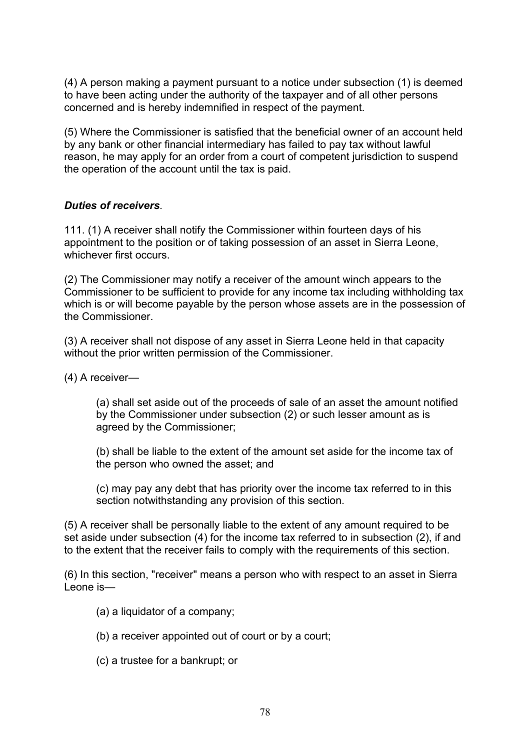(4) A person making a payment pursuant to a notice under subsection (1) is deemed to have been acting under the authority of the taxpayer and of all other persons concerned and is hereby indemnified in respect of the payment.

(5) Where the Commissioner is satisfied that the beneficial owner of an account held by any bank or other financial intermediary has failed to pay tax without lawful reason, he may apply for an order from a court of competent jurisdiction to suspend the operation of the account until the tax is paid.

### *Duties of receivers.*

111. (1) A receiver shall notify the Commissioner within fourteen days of his appointment to the position or of taking possession of an asset in Sierra Leone, whichever first occurs.

(2) The Commissioner may notify a receiver of the amount winch appears to the Commissioner to be sufficient to provide for any income tax including withholding tax which is or will become payable by the person whose assets are in the possession of the Commissioner.

(3) A receiver shall not dispose of any asset in Sierra Leone held in that capacity without the prior written permission of the Commissioner.

(4) A receiver—

(a) shall set aside out of the proceeds of sale of an asset the amount notified by the Commissioner under subsection (2) or such lesser amount as is agreed by the Commissioner;

(b) shall be liable to the extent of the amount set aside for the income tax of the person who owned the asset; and

(c) may pay any debt that has priority over the income tax referred to in this section notwithstanding any provision of this section.

(5) A receiver shall be personally liable to the extent of any amount required to be set aside under subsection (4) for the income tax referred to in subsection (2), if and to the extent that the receiver fails to comply with the requirements of this section.

(6) In this section, "receiver" means a person who with respect to an asset in Sierra Leone is—

- (a) a liquidator of a company;
- (b) a receiver appointed out of court or by a court;
- (c) a trustee for a bankrupt; or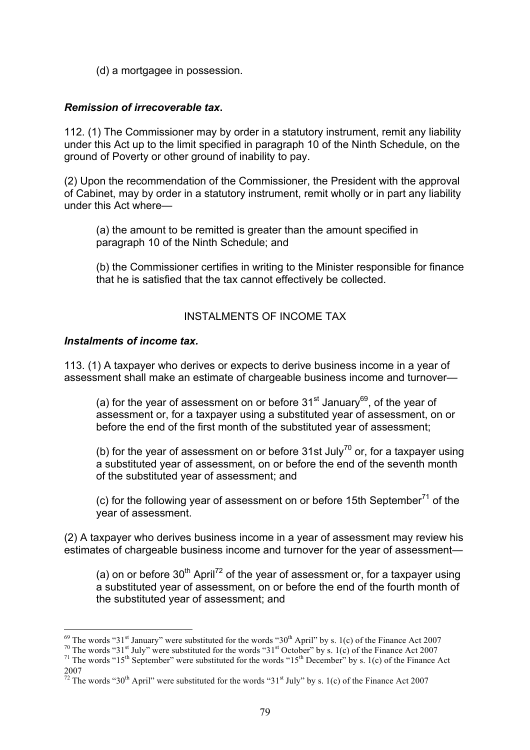(d) a mortgagee in possession.

### *Remission of irrecoverable tax***.**

112. (1) The Commissioner may by order in a statutory instrument, remit any liability under this Act up to the limit specified in paragraph 10 of the Ninth Schedule, on the ground of Poverty or other ground of inability to pay.

(2) Upon the recommendation of the Commissioner, the President with the approval of Cabinet, may by order in a statutory instrument, remit wholly or in part any liability under this Act where—

(a) the amount to be remitted is greater than the amount specified in paragraph 10 of the Ninth Schedule; and

(b) the Commissioner certifies in writing to the Minister responsible for finance that he is satisfied that the tax cannot effectively be collected.

### INSTALMENTS OF INCOME TAX

#### *Instalments of income tax.*

113. (1) A taxpayer who derives or expects to derive business income in a year of assessment shall make an estimate of chargeable business income and turnover—

(a) for the year of assessment on or before  $31<sup>st</sup>$  January<sup>69</sup>, of the year of assessment or, for a taxpayer using a substituted year of assessment, on or before the end of the first month of the substituted year of assessment;

(b) for the year of assessment on or before 31st July<sup>70</sup> or, for a taxpayer using a substituted year of assessment, on or before the end of the seventh month of the substituted year of assessment; and

(c) for the following year of assessment on or before 15th September<sup>71</sup> of the year of assessment.

(2) A taxpayer who derives business income in a year of assessment may review his estimates of chargeable business income and turnover for the year of assessment—

(a) on or before  $30<sup>th</sup>$  April<sup>72</sup> of the year of assessment or, for a taxpayer using a substituted year of assessment, on or before the end of the fourth month of the substituted year of assessment; and

<sup>&</sup>lt;sup>69</sup> The words "31<sup>st</sup> January" were substituted for the words "30<sup>th</sup> April" by s. 1(c) of the Finance Act 2007<br><sup>70</sup> The words "31<sup>st</sup> July" were substituted for the words "31<sup>st</sup> October" by s. 1(c) of the Finance Act 2 2007

 $\frac{72}{72}$  The words "30<sup>th</sup> April" were substituted for the words "31<sup>st</sup> July" by s. 1(c) of the Finance Act 2007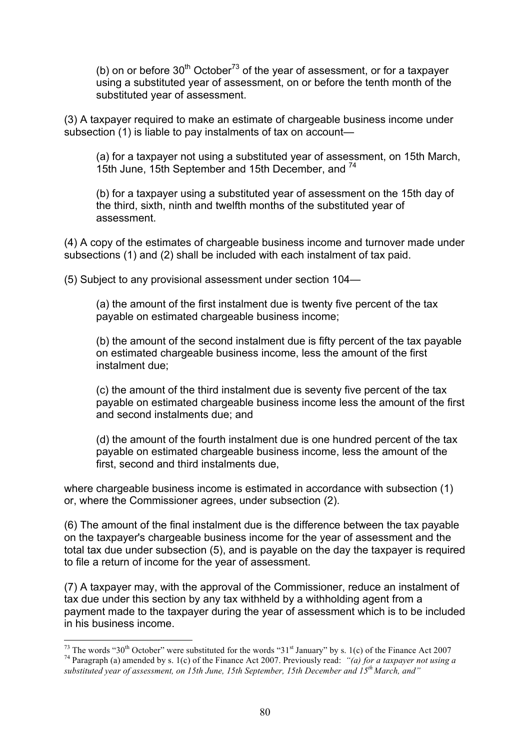(b) on or before  $30<sup>th</sup> October<sup>73</sup>$  of the year of assessment, or for a taxpayer using a substituted year of assessment, on or before the tenth month of the substituted year of assessment.

(3) A taxpayer required to make an estimate of chargeable business income under subsection (1) is liable to pay instalments of tax on account—

(a) for a taxpayer not using a substituted year of assessment, on 15th March, 15th June, 15th September and 15th December, and <sup>74</sup>

(b) for a taxpayer using a substituted year of assessment on the 15th day of the third, sixth, ninth and twelfth months of the substituted year of assessment.

(4) A copy of the estimates of chargeable business income and turnover made under subsections (1) and (2) shall be included with each instalment of tax paid.

(5) Subject to any provisional assessment under section 104—

(a) the amount of the first instalment due is twenty five percent of the tax payable on estimated chargeable business income;

(b) the amount of the second instalment due is fifty percent of the tax payable on estimated chargeable business income, less the amount of the first instalment due;

(c) the amount of the third instalment due is seventy five percent of the tax payable on estimated chargeable business income less the amount of the first and second instalments due; and

(d) the amount of the fourth instalment due is one hundred percent of the tax payable on estimated chargeable business income, less the amount of the first, second and third instalments due,

where chargeable business income is estimated in accordance with subsection (1) or, where the Commissioner agrees, under subsection (2).

(6) The amount of the final instalment due is the difference between the tax payable on the taxpayer's chargeable business income for the year of assessment and the total tax due under subsection (5), and is payable on the day the taxpayer is required to file a return of income for the year of assessment.

(7) A taxpayer may, with the approval of the Commissioner, reduce an instalment of tax due under this section by any tax withheld by a withholding agent from a payment made to the taxpayer during the year of assessment which is to be included in his business income.

<sup>&</sup>lt;sup>73</sup> The words "30<sup>th</sup> October" were substituted for the words "31<sup>st</sup> January" by s. 1(c) of the Finance Act 2007<br><sup>74</sup> Paragraph (a) amended by s. 1(c) of the Finance Act 2007. Previously read: "(a) for a taxpayer not us

*substituted year of assessment, on 15th June, 15th September, 15th December and 15th March, and"*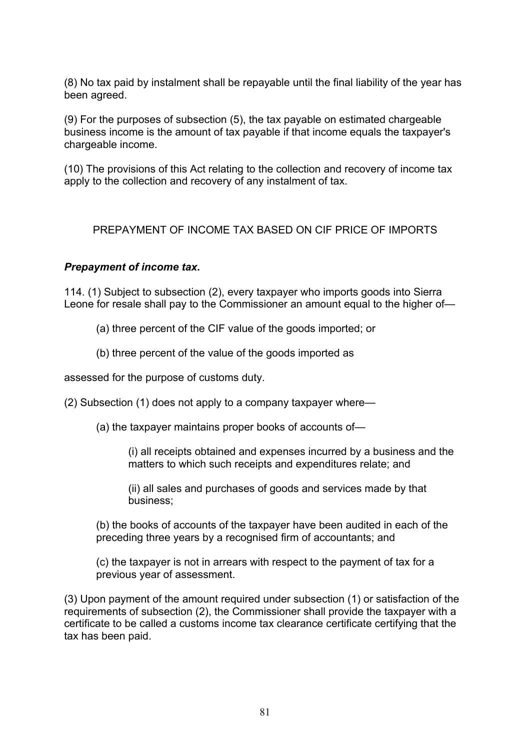(8) No tax paid by instalment shall be repayable until the final liability of the year has been agreed.

(9) For the purposes of subsection (5), the tax payable on estimated chargeable business income is the amount of tax payable if that income equals the taxpayer's chargeable income.

(10) The provisions of this Act relating to the collection and recovery of income tax apply to the collection and recovery of any instalment of tax.

PREPAYMENT OF INCOME TAX BASED ON CIF PRICE OF IMPORTS

### *Prepayment of income tax.*

114. (1) Subject to subsection (2), every taxpayer who imports goods into Sierra Leone for resale shall pay to the Commissioner an amount equal to the higher of—

- (a) three percent of the CIF value of the goods imported; or
- (b) three percent of the value of the goods imported as

assessed for the purpose of customs duty.

(2) Subsection (1) does not apply to a company taxpayer where—

(a) the taxpayer maintains proper books of accounts of—

(i) all receipts obtained and expenses incurred by a business and the matters to which such receipts and expenditures relate; and

(ii) all sales and purchases of goods and services made by that business;

(b) the books of accounts of the taxpayer have been audited in each of the preceding three years by a recognised firm of accountants; and

(c) the taxpayer is not in arrears with respect to the payment of tax for a previous year of assessment.

(3) Upon payment of the amount required under subsection (1) or satisfaction of the requirements of subsection (2), the Commissioner shall provide the taxpayer with a certificate to be called a customs income tax clearance certificate certifying that the tax has been paid.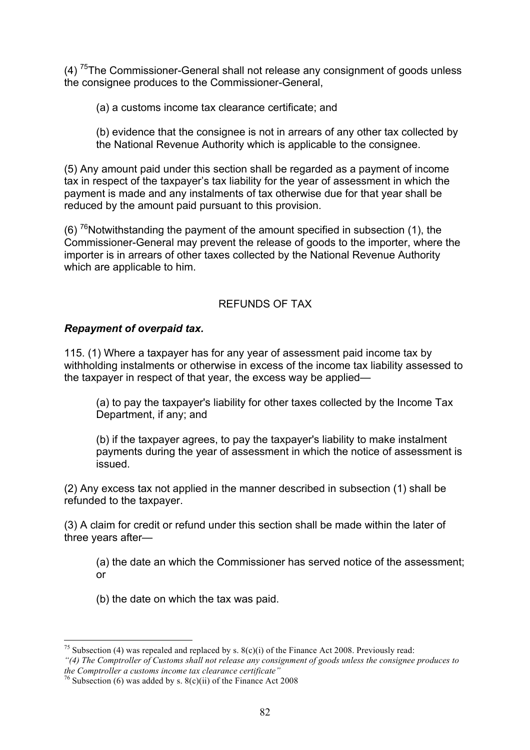(4) <sup>75</sup>The Commissioner-General shall not release any consignment of goods unless the consignee produces to the Commissioner-General,

(a) a customs income tax clearance certificate; and

(b) evidence that the consignee is not in arrears of any other tax collected by the National Revenue Authority which is applicable to the consignee.

(5) Any amount paid under this section shall be regarded as a payment of income tax in respect of the taxpayer's tax liability for the year of assessment in which the payment is made and any instalments of tax otherwise due for that year shall be reduced by the amount paid pursuant to this provision.

(6) <sup>76</sup>Notwithstanding the payment of the amount specified in subsection (1), the Commissioner-General may prevent the release of goods to the importer, where the importer is in arrears of other taxes collected by the National Revenue Authority which are applicable to him.

### REFUNDS OF TAX

### *Repayment of overpaid tax.*

115. (1) Where a taxpayer has for any year of assessment paid income tax by withholding instalments or otherwise in excess of the income tax liability assessed to the taxpayer in respect of that year, the excess way be applied—

(a) to pay the taxpayer's liability for other taxes collected by the Income Tax Department, if any; and

(b) if the taxpayer agrees, to pay the taxpayer's liability to make instalment payments during the year of assessment in which the notice of assessment is issued.

(2) Any excess tax not applied in the manner described in subsection (1) shall be refunded to the taxpayer.

(3) A claim for credit or refund under this section shall be made within the later of three years after—

(a) the date an which the Commissioner has served notice of the assessment; or

(b) the date on which the tax was paid.

<sup>&</sup>lt;sup>75</sup> Subsection (4) was repealed and replaced by s.  $8(c)(i)$  of the Finance Act 2008. Previously read:

*<sup>&</sup>quot;(4) The Comptroller of Customs shall not release any consignment of goods unless the consignee produces to the Comptroller a customs income tax clearance certificate"*

<sup>&</sup>lt;sup>76</sup> Subsection (6) was added by s.  $8(c)(ii)$  of the Finance Act 2008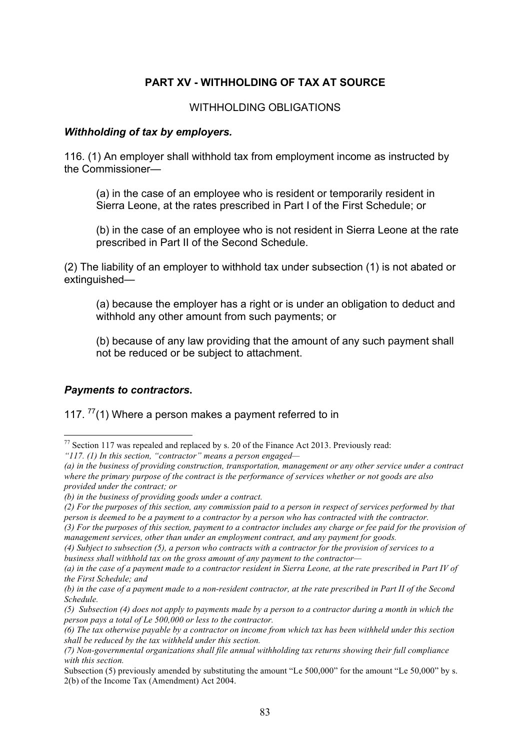# **PART XV - WITHHOLDING OF TAX AT SOURCE**

### WITHHOLDING OBLIGATIONS

#### *Withholding of tax by employers.*

116. (1) An employer shall withhold tax from employment income as instructed by the Commissioner—

(a) in the case of an employee who is resident or temporarily resident in Sierra Leone, at the rates prescribed in Part I of the First Schedule; or

(b) in the case of an employee who is not resident in Sierra Leone at the rate prescribed in Part II of the Second Schedule.

(2) The liability of an employer to withhold tax under subsection (1) is not abated or extinguished—

(a) because the employer has a right or is under an obligation to deduct and withhold any other amount from such payments; or

(b) because of any law providing that the amount of any such payment shall not be reduced or be subject to attachment.

#### *Payments to contractors***.**

# 117.  $^{77}(1)$  Where a person makes a payment referred to in

*(3) For the purposes of this section, payment to a contractor includes any charge or fee paid for the provision of management services, other than under an employment contract, and any payment for goods.* 

 <sup>77</sup> Section 117 was repealed and replaced by s. 20 of the Finance Act 2013. Previously read:

*<sup>&</sup>quot;117. (1) In this section, "contractor" means a person engaged—*

*<sup>(</sup>a) in the business of providing construction, transportation, management or any other service under a contract where the primary purpose of the contract is the performance of services whether or not goods are also provided under the contract; or* 

*<sup>(</sup>b) in the business of providing goods under a contract.* 

*<sup>(2)</sup> For the purposes of this section, any commission paid to a person in respect of services performed by that person is deemed to be a payment to a contractor by a person who has contracted with the contractor.* 

*<sup>(4)</sup> Subject to subsection (5), a person who contracts with a contractor for the provision of services to a business shall withhold tax on the gross amount of any payment to the contractor—*

*<sup>(</sup>a) in the case of a payment made to a contractor resident in Sierra Leone, at the rate prescribed in Part IV of the First Schedule; and* 

*<sup>(</sup>b) in the case of a payment made to a non-resident contractor, at the rate prescribed in Part II of the Second Schedule.* 

*<sup>(5)</sup> Subsection (4) does not apply to payments made by a person to a contractor during a month in which the person pays a total of Le 500,000 or less to the contractor.*

*<sup>(6)</sup> The tax otherwise payable by a contractor on income from which tax has been withheld under this section shall be reduced by the tax withheld under this section.*

*<sup>(7)</sup> Non-governmental organizations shall file annual withholding tax returns showing their full compliance with this section.*

Subsection (5) previously amended by substituting the amount "Le 500,000" for the amount "Le 50,000" by s. 2(b) of the Income Tax (Amendment) Act 2004.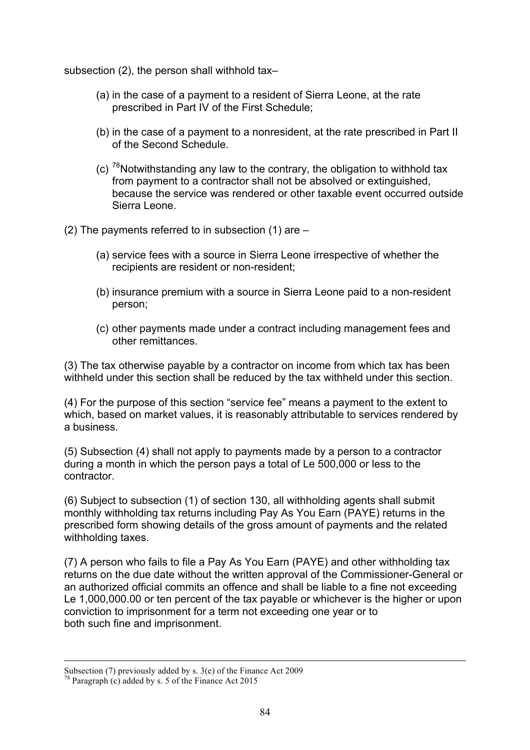subsection (2), the person shall withhold tax–

- (a) in the case of a payment to a resident of Sierra Leone, at the rate prescribed in Part IV of the First Schedule;
- (b) in the case of a payment to a nonresident, at the rate prescribed in Part II of the Second Schedule.
- (c)  $78$ Notwithstanding any law to the contrary, the obligation to withhold tax from payment to a contractor shall not be absolved or extinguished, because the service was rendered or other taxable event occurred outside Sierra Leone.

(2) The payments referred to in subsection (1) are –

- (a) service fees with a source in Sierra Leone irrespective of whether the recipients are resident or non-resident;
- (b) insurance premium with a source in Sierra Leone paid to a non-resident person;
- (c) other payments made under a contract including management fees and other remittances.

(3) The tax otherwise payable by a contractor on income from which tax has been withheld under this section shall be reduced by the tax withheld under this section.

(4) For the purpose of this section "service fee" means a payment to the extent to which, based on market values, it is reasonably attributable to services rendered by a business.

(5) Subsection (4) shall not apply to payments made by a person to a contractor during a month in which the person pays a total of Le 500,000 or less to the contractor.

(6) Subject to subsection (1) of section 130, all withholding agents shall submit monthly withholding tax returns including Pay As You Earn (PAYE) returns in the prescribed form showing details of the gross amount of payments and the related withholding taxes.

(7) A person who fails to file a Pay As You Earn (PAYE) and other withholding tax returns on the due date without the written approval of the Commissioner-General or an authorized official commits an offence and shall be liable to a fine not exceeding Le 1,000,000.00 or ten percent of the tax payable or whichever is the higher or upon conviction to imprisonment for a term not exceeding one year or to both such fine and imprisonment.

Subsection (7) previously added by s. 3(e) of the Finance Act 2009

 $78$  Paragraph (c) added by s. 5 of the Finance Act 2015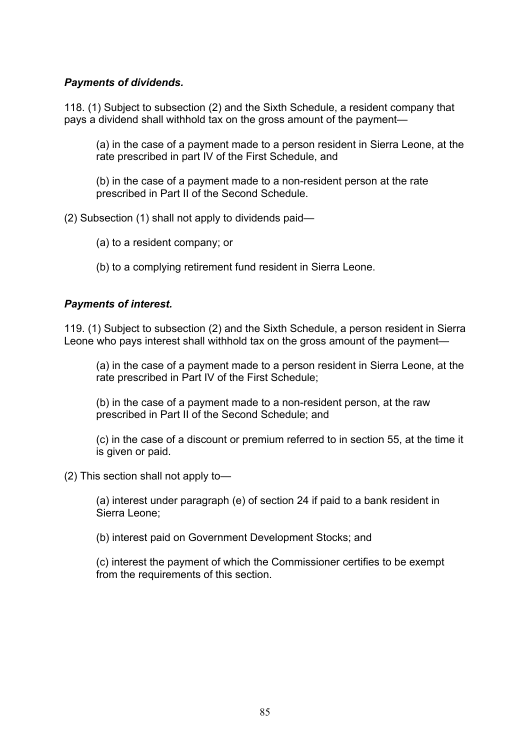## *Payments of dividends.*

118. (1) Subject to subsection (2) and the Sixth Schedule, a resident company that pays a dividend shall withhold tax on the gross amount of the payment—

(a) in the case of a payment made to a person resident in Sierra Leone, at the rate prescribed in part IV of the First Schedule, and

(b) in the case of a payment made to a non-resident person at the rate prescribed in Part II of the Second Schedule.

(2) Subsection (1) shall not apply to dividends paid—

- (a) to a resident company; or
- (b) to a complying retirement fund resident in Sierra Leone.

### *Payments of interest.*

119. (1) Subject to subsection (2) and the Sixth Schedule, a person resident in Sierra Leone who pays interest shall withhold tax on the gross amount of the payment—

(a) in the case of a payment made to a person resident in Sierra Leone, at the rate prescribed in Part IV of the First Schedule;

(b) in the case of a payment made to a non-resident person, at the raw prescribed in Part II of the Second Schedule; and

(c) in the case of a discount or premium referred to in section 55, at the time it is given or paid.

(2) This section shall not apply to—

(a) interest under paragraph (e) of section 24 if paid to a bank resident in Sierra Leone;

(b) interest paid on Government Development Stocks; and

(c) interest the payment of which the Commissioner certifies to be exempt from the requirements of this section.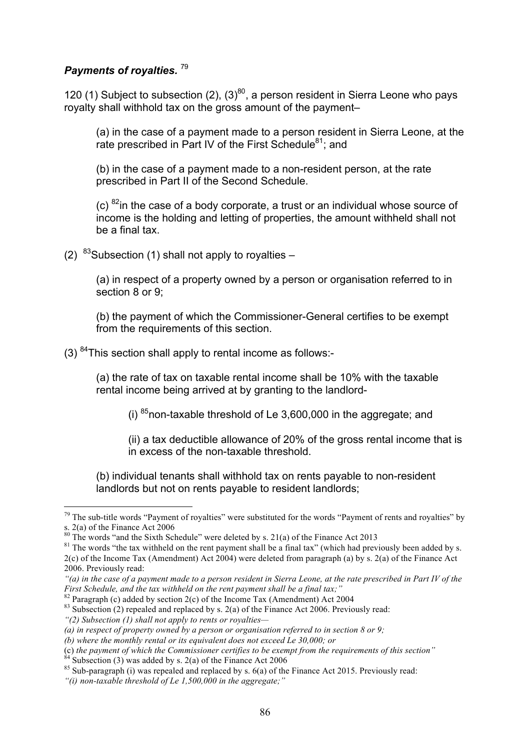# *Payments of royalties.* <sup>79</sup>

120 (1) Subject to subsection (2),  $(3)^{80}$ , a person resident in Sierra Leone who pays royalty shall withhold tax on the gross amount of the payment–

(a) in the case of a payment made to a person resident in Sierra Leone, at the rate prescribed in Part IV of the First Schedule<sup>81</sup>; and

(b) in the case of a payment made to a non-resident person, at the rate prescribed in Part II of the Second Schedule.

(c)  $^{82}$ in the case of a body corporate, a trust or an individual whose source of income is the holding and letting of properties, the amount withheld shall not be a final tax.

(2)  $83$ Subsection (1) shall not apply to royalties –

(a) in respect of a property owned by a person or organisation referred to in section 8 or 9;

(b) the payment of which the Commissioner-General certifies to be exempt from the requirements of this section.

(3) 84This section shall apply to rental income as follows:-

(a) the rate of tax on taxable rental income shall be 10% with the taxable rental income being arrived at by granting to the landlord-

(i)  $85$  non-taxable threshold of Le 3,600,000 in the aggregate; and

(ii) a tax deductible allowance of 20% of the gross rental income that is in excess of the non-taxable threshold.

(b) individual tenants shall withhold tax on rents payable to non-resident landlords but not on rents payable to resident landlords;

 $79$  The sub-title words "Payment of royalties" were substituted for the words "Payment of rents and royalties" by s. 2(a) of the Finance Act 2006<br><sup>80</sup> The words "and the Sixth Schedule" were deleted by s. 21(a) of the Finance Act 2013

 $81$  The words "the tax withheld on the rent payment shall be a final tax" (which had previously been added by s. 2(c) of the Income Tax (Amendment) Act 2004) were deleted from paragraph (a) by s. 2(a) of the Finance Act 2006. Previously read:

*<sup>&</sup>quot;(a) in the case of a payment made to a person resident in Sierra Leone, at the rate prescribed in Part IV of the First Schedule, and the tax withheld on the rent payment shall be a final tax;*<br><sup>82</sup> Paragraph (c) added by section 2(c) of the Income Tax (Amendment) Act 2004<br><sup>83</sup> Subsection (2) repealed and replaced by s. 2(a) of the

*<sup>&</sup>quot;(2) Subsection (1) shall not apply to rents or royalties—*

*<sup>(</sup>a) in respect of property owned by a person or organisation referred to in section 8 or 9;* 

*<sup>(</sup>b) where the monthly rental or its equivalent does not exceed Le 30,000; or* 

<sup>(</sup>c) the payment of which the Commissioner certifies to be exempt from the requirements of this section.<br>
<sup>84</sup> Subsection (3) was added by s. 2(a) of the Finance Act 2006<br>
<sup>85</sup> Sub-paragraph (i) was repealed and replaced b

*<sup>&</sup>quot;(i) non-taxable threshold of Le 1,500,000 in the aggregate;"*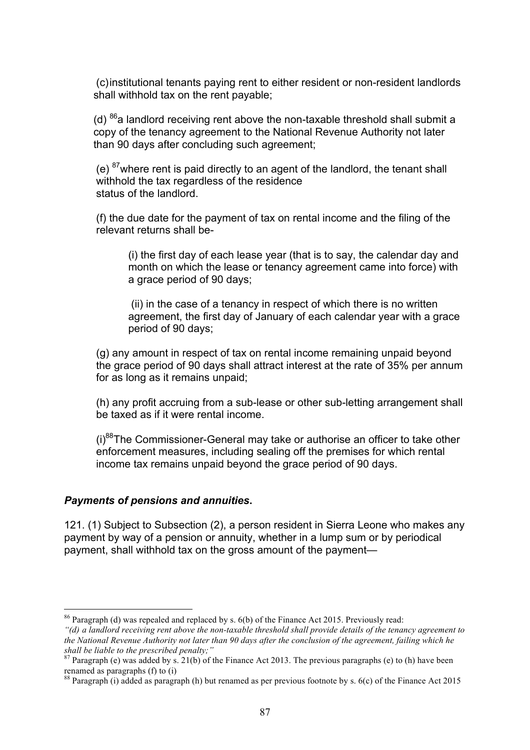(c)institutional tenants paying rent to either resident or non-resident landlords shall withhold tax on the rent payable;

(d)  $^{86}$ a landlord receiving rent above the non-taxable threshold shall submit a copy of the tenancy agreement to the National Revenue Authority not later than 90 days after concluding such agreement;

(e)  $87$  where rent is paid directly to an agent of the landlord, the tenant shall withhold the tax regardless of the residence status of the landlord.

(f) the due date for the payment of tax on rental income and the filing of the relevant returns shall be-

(i) the first day of each lease year (that is to say, the calendar day and month on which the lease or tenancy agreement came into force) with a grace period of 90 days;

(ii) in the case of a tenancy in respect of which there is no written agreement, the first day of January of each calendar year with a grace period of 90 days;

(g) any amount in respect of tax on rental income remaining unpaid beyond the grace period of 90 days shall attract interest at the rate of 35% per annum for as long as it remains unpaid;

(h) any profit accruing from a sub-lease or other sub-letting arrangement shall be taxed as if it were rental income.

 $(i)$ <sup>88</sup>The Commissioner-General may take or authorise an officer to take other enforcement measures, including sealing off the premises for which rental income tax remains unpaid beyond the grace period of 90 days.

#### *Payments of pensions and annuities***.**

121. (1) Subject to Subsection (2), a person resident in Sierra Leone who makes any payment by way of a pension or annuity, whether in a lump sum or by periodical payment, shall withhold tax on the gross amount of the payment—

 <sup>86</sup> Paragraph (d) was repealed and replaced by s. 6(b) of the Finance Act 2015. Previously read:

*<sup>&</sup>quot;(d) a landlord receiving rent above the non-taxable threshold shall provide details of the tenancy agreement to the National Revenue Authority not later than 90 days after the conclusion of the agreement, failing which he shall be liable to the prescribed penalty;"*

<sup>&</sup>lt;sup>87</sup> Paragraph (e) was added by s. 21(b) of the Finance Act 2013. The previous paragraphs (e) to (h) have been renamed as paragraphs (f) to (i)

<sup>88</sup> Paragraph (i) added as paragraph (h) but renamed as per previous footnote by s. 6(c) of the Finance Act 2015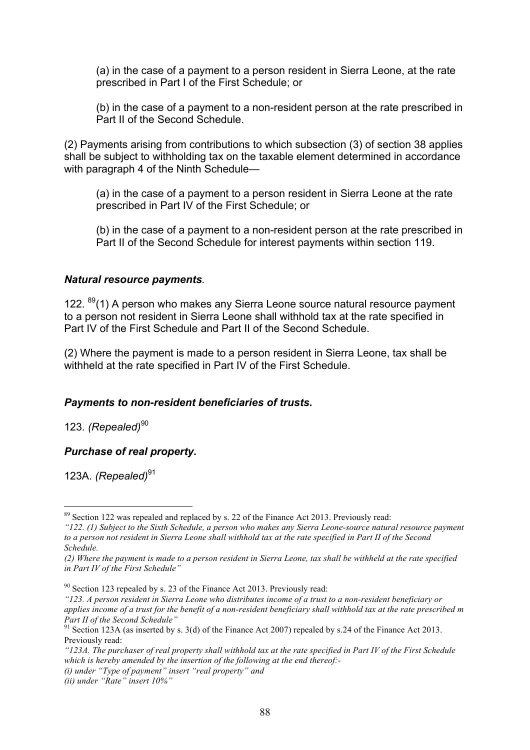(a) in the case of a payment to a person resident in Sierra Leone, at the rate prescribed in Part I of the First Schedule; or

(b) in the case of a payment to a non-resident person at the rate prescribed in Part II of the Second Schedule.

(2) Payments arising from contributions to which subsection (3) of section 38 applies shall be subject to withholding tax on the taxable element determined in accordance with paragraph 4 of the Ninth Schedule—

(a) in the case of a payment to a person resident in Sierra Leone at the rate prescribed in Part IV of the First Schedule; or

(b) in the case of a payment to a non-resident person at the rate prescribed in Part II of the Second Schedule for interest payments within section 119.

### *Natural resource payments.*

122. <sup>89</sup>(1) A person who makes any Sierra Leone source natural resource payment to a person not resident in Sierra Leone shall withhold tax at the rate specified in Part IV of the First Schedule and Part II of the Second Schedule.

(2) Where the payment is made to a person resident in Sierra Leone, tax shall be withheld at the rate specified in Part IV of the First Schedule.

### *Payments to non-resident beneficiaries of trusts.*

123. *(Repealed)*<sup>90</sup>

### *Purchase of real property.*

123A. *(Repealed)*<sup>91</sup>

<sup>&</sup>lt;sup>89</sup> Section 122 was repealed and replaced by s. 22 of the Finance Act 2013. Previously read:

*<sup>&</sup>quot;122. (1) Subject to the Sixth Schedule, a person who makes any Sierra Leone-source natural resource payment to a person not resident in Sierra Leone shall withhold tax at the rate specified in Part II of the Second Schedule.* 

*<sup>(2)</sup> Where the payment is made to a person resident in Sierra Leone, tax shall be withheld at the rate specified in Part IV of the First Schedule"*

 $90$  Section 123 repealed by s. 23 of the Finance Act 2013. Previously read:

*<sup>&</sup>quot;123. A person resident in Sierra Leone who distributes income of a trust to a non-resident beneficiary or applies income of a trust for the benefit of a non-resident beneficiary shall withhold tax at the rate prescribed m Part II of the Second Schedule"*

 $91$  Section 123A (as inserted by s. 3(d) of the Finance Act 2007) repealed by s.24 of the Finance Act 2013. Previously read:

*<sup>&</sup>quot;123A. The purchaser of real property shall withhold tax at the rate specified in Part IV of the First Schedule which is hereby amended by the insertion of the following at the end thereof:-*

*<sup>(</sup>i) under "Type of payment" insert "real property" and* 

*<sup>(</sup>ii) under "Rate" insert 10%"*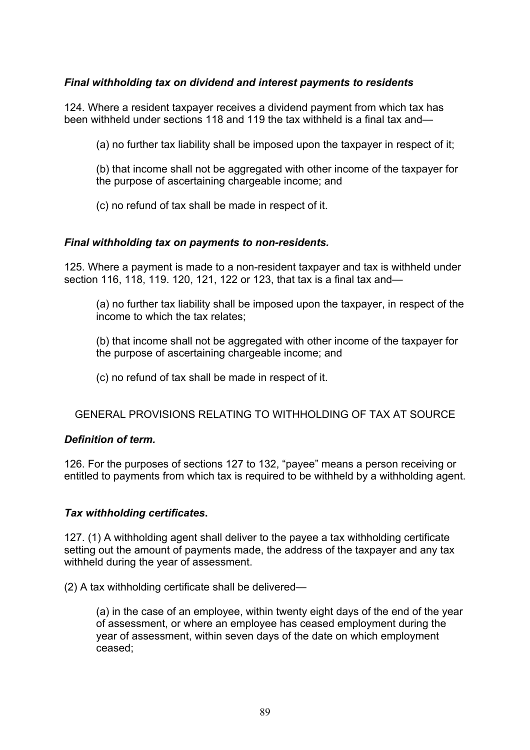# *Final withholding tax on dividend and interest payments to residents*

124. Where a resident taxpayer receives a dividend payment from which tax has been withheld under sections 118 and 119 the tax withheld is a final tax and—

(a) no further tax liability shall be imposed upon the taxpayer in respect of it;

(b) that income shall not be aggregated with other income of the taxpayer for the purpose of ascertaining chargeable income; and

(c) no refund of tax shall be made in respect of it.

#### *Final withholding tax on payments to non-residents.*

125. Where a payment is made to a non-resident taxpayer and tax is withheld under section 116, 118, 119. 120, 121, 122 or 123, that tax is a final tax and—

(a) no further tax liability shall be imposed upon the taxpayer, in respect of the income to which the tax relates;

(b) that income shall not be aggregated with other income of the taxpayer for the purpose of ascertaining chargeable income; and

(c) no refund of tax shall be made in respect of it.

### GENERAL PROVISIONS RELATING TO WITHHOLDING OF TAX AT SOURCE

#### *Definition of term.*

126. For the purposes of sections 127 to 132, "payee" means a person receiving or entitled to payments from which tax is required to be withheld by a withholding agent.

### *Tax withholding certificates***.**

127. (1) A withholding agent shall deliver to the payee a tax withholding certificate setting out the amount of payments made, the address of the taxpayer and any tax withheld during the year of assessment.

(2) A tax withholding certificate shall be delivered—

(a) in the case of an employee, within twenty eight days of the end of the year of assessment, or where an employee has ceased employment during the year of assessment, within seven days of the date on which employment ceased;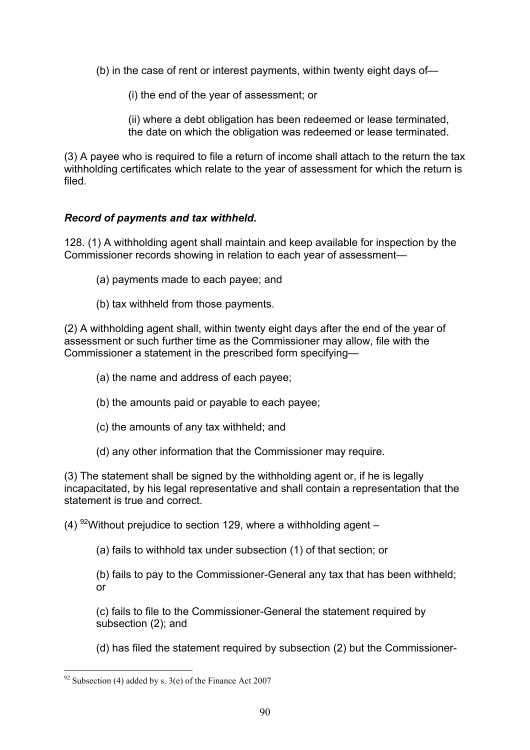(b) in the case of rent or interest payments, within twenty eight days of—

(i) the end of the year of assessment; or

(ii) where a debt obligation has been redeemed or lease terminated, the date on which the obligation was redeemed or lease terminated.

(3) A payee who is required to file a return of income shall attach to the return the tax withholding certificates which relate to the year of assessment for which the return is filed.

# *Record of payments and tax withheld***.**

128. (1) A withholding agent shall maintain and keep available for inspection by the Commissioner records showing in relation to each year of assessment—

- (a) payments made to each payee; and
- (b) tax withheld from those payments.

(2) A withholding agent shall, within twenty eight days after the end of the year of assessment or such further time as the Commissioner may allow, file with the Commissioner a statement in the prescribed form specifying—

- (a) the name and address of each payee;
- (b) the amounts paid or payable to each payee;
- (c) the amounts of any tax withheld; and
- (d) any other information that the Commissioner may require.

(3) The statement shall be signed by the withholding agent or, if he is legally incapacitated, by his legal representative and shall contain a representation that the statement is true and correct.

(4) <sup>92</sup> Without prejudice to section 129, where a withholding agent  $-$ 

(a) fails to withhold tax under subsection (1) of that section; or

(b) fails to pay to the Commissioner-General any tax that has been withheld; or

(c) fails to file to the Commissioner-General the statement required by subsection (2); and

(d) has filed the statement required by subsection (2) but the Commissioner-

 $92$  Subsection (4) added by s. 3(e) of the Finance Act 2007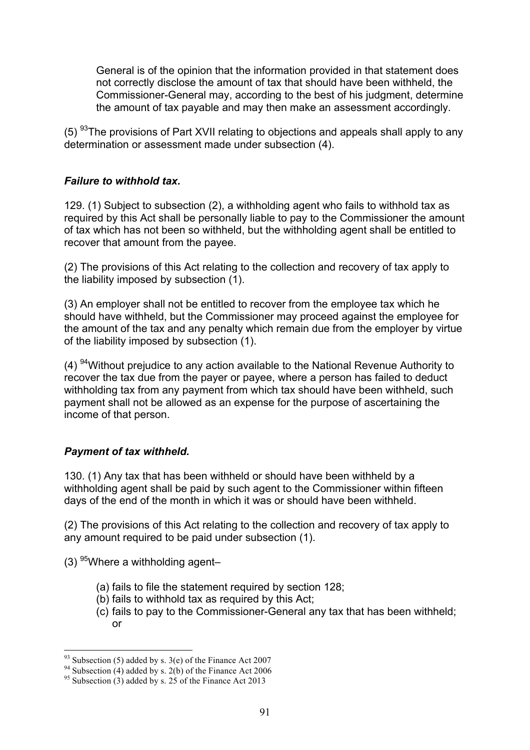General is of the opinion that the information provided in that statement does not correctly disclose the amount of tax that should have been withheld, the Commissioner-General may, according to the best of his judgment, determine the amount of tax payable and may then make an assessment accordingly.

 $(5)$  <sup>93</sup>The provisions of Part XVII relating to objections and appeals shall apply to any determination or assessment made under subsection (4).

### *Failure to withhold tax.*

129. (1) Subject to subsection (2), a withholding agent who fails to withhold tax as required by this Act shall be personally liable to pay to the Commissioner the amount of tax which has not been so withheld, but the withholding agent shall be entitled to recover that amount from the payee.

(2) The provisions of this Act relating to the collection and recovery of tax apply to the liability imposed by subsection (1).

(3) An employer shall not be entitled to recover from the employee tax which he should have withheld, but the Commissioner may proceed against the employee for the amount of the tax and any penalty which remain due from the employer by virtue of the liability imposed by subsection (1).

 $(4)$  <sup>94</sup>Without prejudice to any action available to the National Revenue Authority to recover the tax due from the payer or payee, where a person has failed to deduct withholding tax from any payment from which tax should have been withheld, such payment shall not be allowed as an expense for the purpose of ascertaining the income of that person.

### *Payment of tax withheld.*

130. (1) Any tax that has been withheld or should have been withheld by a withholding agent shall be paid by such agent to the Commissioner within fifteen days of the end of the month in which it was or should have been withheld.

(2) The provisions of this Act relating to the collection and recovery of tax apply to any amount required to be paid under subsection (1).

 $(3)$  <sup>95</sup>Where a withholding agent–

- (a) fails to file the statement required by section 128;
- (b) fails to withhold tax as required by this Act;
- (c) fails to pay to the Commissioner-General any tax that has been withheld; or

<sup>&</sup>lt;sup>93</sup> Subsection (5) added by s. 3(e) of the Finance Act 2007<br><sup>94</sup> Subsection (4) added by s. 2(b) of the Finance Act 2006<br><sup>95</sup> Subsection (3) added by s. 25 of the Finance Act 2013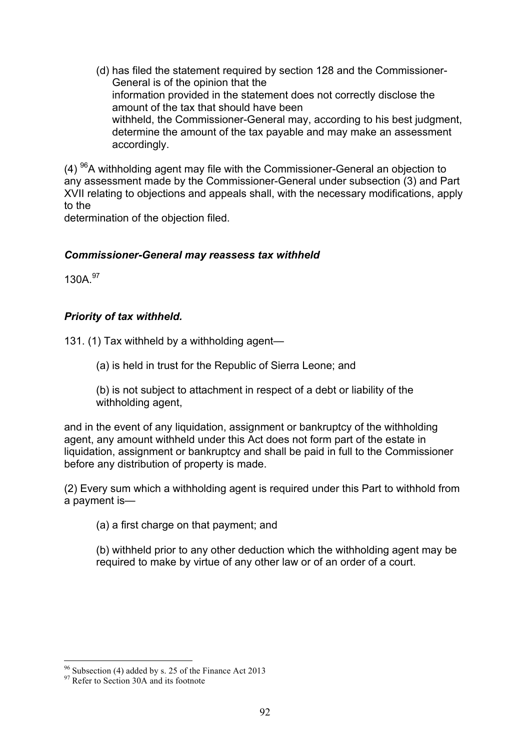(d) has filed the statement required by section 128 and the Commissioner-General is of the opinion that the information provided in the statement does not correctly disclose the amount of the tax that should have been withheld, the Commissioner-General may, according to his best judgment, determine the amount of the tax payable and may make an assessment accordingly.

 $(4)$ <sup>96</sup>A withholding agent may file with the Commissioner-General an objection to any assessment made by the Commissioner-General under subsection (3) and Part XVII relating to objections and appeals shall, with the necessary modifications, apply to the

determination of the objection filed.

### *Commissioner-General may reassess tax withheld*

130A 97

# *Priority of tax withheld.*

131. (1) Tax withheld by a withholding agent—

(a) is held in trust for the Republic of Sierra Leone; and

(b) is not subject to attachment in respect of a debt or liability of the withholding agent,

and in the event of any liquidation, assignment or bankruptcy of the withholding agent, any amount withheld under this Act does not form part of the estate in liquidation, assignment or bankruptcy and shall be paid in full to the Commissioner before any distribution of property is made.

(2) Every sum which a withholding agent is required under this Part to withhold from a payment is—

(a) a first charge on that payment; and

(b) withheld prior to any other deduction which the withholding agent may be required to make by virtue of any other law or of an order of a court.

<sup>&</sup>lt;sup>96</sup> Subsection (4) added by s. 25 of the Finance Act 2013<br><sup>97</sup> Refer to Section 30A and its footnote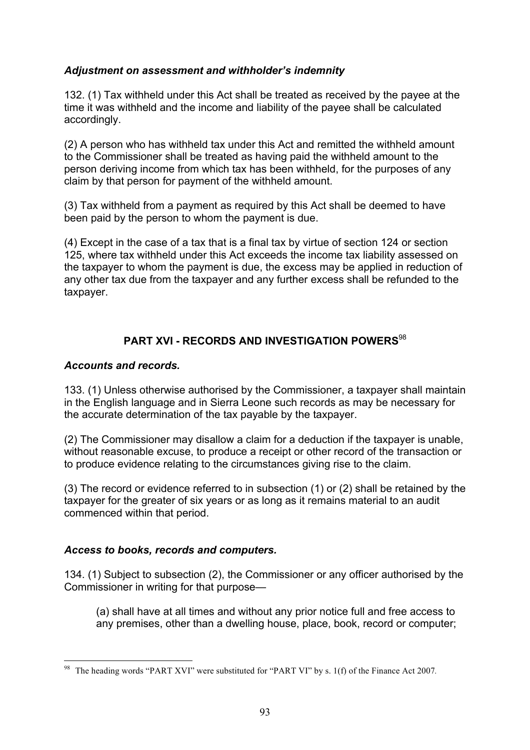# *Adjustment on assessment and withholder's indemnity*

132. (1) Tax withheld under this Act shall be treated as received by the payee at the time it was withheld and the income and liability of the payee shall be calculated accordingly.

(2) A person who has withheld tax under this Act and remitted the withheld amount to the Commissioner shall be treated as having paid the withheld amount to the person deriving income from which tax has been withheld, for the purposes of any claim by that person for payment of the withheld amount.

(3) Tax withheld from a payment as required by this Act shall be deemed to have been paid by the person to whom the payment is due.

(4) Except in the case of a tax that is a final tax by virtue of section 124 or section 125, where tax withheld under this Act exceeds the income tax liability assessed on the taxpayer to whom the payment is due, the excess may be applied in reduction of any other tax due from the taxpayer and any further excess shall be refunded to the taxpayer.

# **PART XVI - RECORDS AND INVESTIGATION POWERS**<sup>98</sup>

# *Accounts and records.*

133. (1) Unless otherwise authorised by the Commissioner, a taxpayer shall maintain in the English language and in Sierra Leone such records as may be necessary for the accurate determination of the tax payable by the taxpayer.

(2) The Commissioner may disallow a claim for a deduction if the taxpayer is unable, without reasonable excuse, to produce a receipt or other record of the transaction or to produce evidence relating to the circumstances giving rise to the claim.

(3) The record or evidence referred to in subsection (1) or (2) shall be retained by the taxpayer for the greater of six years or as long as it remains material to an audit commenced within that period.

# *Access to books, records and computers.*

134. (1) Subject to subsection (2), the Commissioner or any officer authorised by the Commissioner in writing for that purpose—

(a) shall have at all times and without any prior notice full and free access to any premises, other than a dwelling house, place, book, record or computer;

 <sup>98</sup> The heading words "PART XVI" were substituted for "PART VI" by s. 1(f) of the Finance Act 2007*.*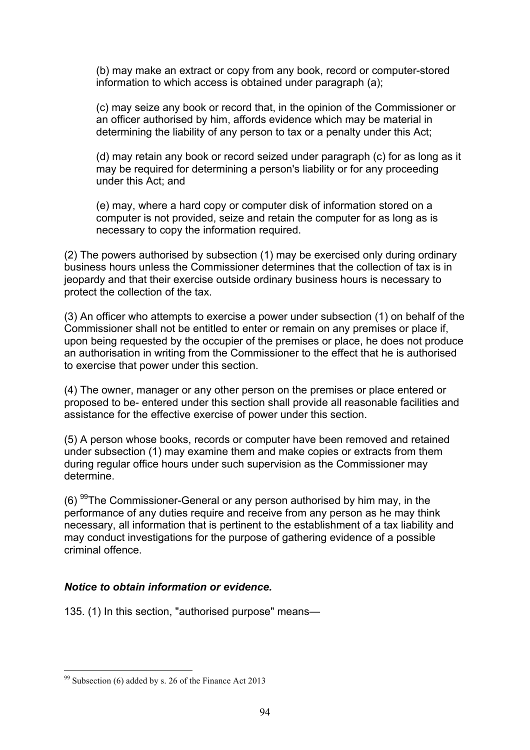(b) may make an extract or copy from any book, record or computer-stored information to which access is obtained under paragraph (a);

(c) may seize any book or record that, in the opinion of the Commissioner or an officer authorised by him, affords evidence which may be material in determining the liability of any person to tax or a penalty under this Act;

(d) may retain any book or record seized under paragraph (c) for as long as it may be required for determining a person's liability or for any proceeding under this Act; and

(e) may, where a hard copy or computer disk of information stored on a computer is not provided, seize and retain the computer for as long as is necessary to copy the information required.

(2) The powers authorised by subsection (1) may be exercised only during ordinary business hours unless the Commissioner determines that the collection of tax is in jeopardy and that their exercise outside ordinary business hours is necessary to protect the collection of the tax.

(3) An officer who attempts to exercise a power under subsection (1) on behalf of the Commissioner shall not be entitled to enter or remain on any premises or place if, upon being requested by the occupier of the premises or place, he does not produce an authorisation in writing from the Commissioner to the effect that he is authorised to exercise that power under this section.

(4) The owner, manager or any other person on the premises or place entered or proposed to be- entered under this section shall provide all reasonable facilities and assistance for the effective exercise of power under this section.

(5) A person whose books, records or computer have been removed and retained under subsection (1) may examine them and make copies or extracts from them during regular office hours under such supervision as the Commissioner may determine.

(6)  $99$ The Commissioner-General or any person authorised by him may, in the performance of any duties require and receive from any person as he may think necessary, all information that is pertinent to the establishment of a tax liability and may conduct investigations for the purpose of gathering evidence of a possible criminal offence.

### *Notice to obtain information or evidence.*

135. (1) In this section, "authorised purpose" means—

 <sup>99</sup> Subsection (6) added by s. 26 of the Finance Act 2013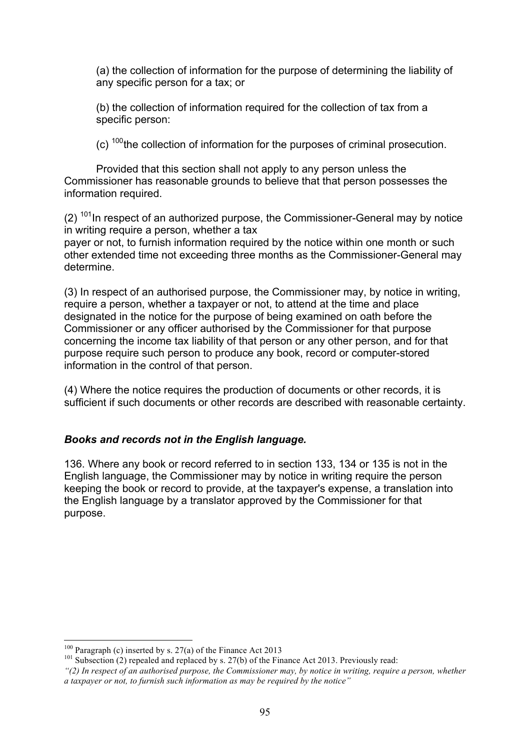(a) the collection of information for the purpose of determining the liability of any specific person for a tax; or

(b) the collection of information required for the collection of tax from a specific person:

(c)  $100$  the collection of information for the purposes of criminal prosecution.

Provided that this section shall not apply to any person unless the Commissioner has reasonable grounds to believe that that person possesses the information required.

 $(2)$  <sup>101</sup>In respect of an authorized purpose, the Commissioner-General may by notice in writing require a person, whether a tax

payer or not, to furnish information required by the notice within one month or such other extended time not exceeding three months as the Commissioner-General may determine.

(3) In respect of an authorised purpose, the Commissioner may, by notice in writing, require a person, whether a taxpayer or not, to attend at the time and place designated in the notice for the purpose of being examined on oath before the Commissioner or any officer authorised by the Commissioner for that purpose concerning the income tax liability of that person or any other person, and for that purpose require such person to produce any book, record or computer-stored information in the control of that person.

(4) Where the notice requires the production of documents or other records, it is sufficient if such documents or other records are described with reasonable certainty.

# *Books and records not in the English language.*

136. Where any book or record referred to in section 133, 134 or 135 is not in the English language, the Commissioner may by notice in writing require the person keeping the book or record to provide, at the taxpayer's expense, a translation into the English language by a translator approved by the Commissioner for that purpose.

<sup>&</sup>lt;sup>100</sup> Paragraph (c) inserted by s. 27(a) of the Finance Act 2013<br><sup>101</sup> Subsection (2) repealed and replaced by s. 27(b) of the Finance Act 2013. Previously read:

*<sup>&</sup>quot;(2) In respect of an authorised purpose, the Commissioner may, by notice in writing, require a person, whether a taxpayer or not, to furnish such information as may be required by the notice"*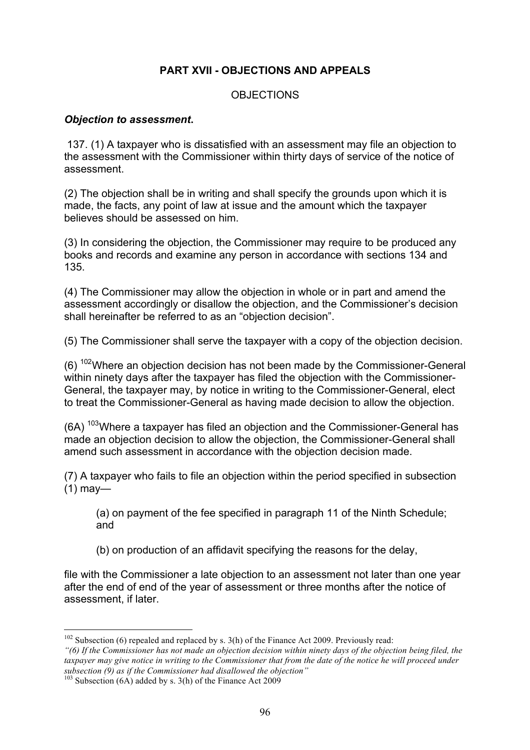# **PART XVII - OBJECTIONS AND APPEALS**

### **OBJECTIONS**

#### *Objection to assessment***.**

137. (1) A taxpayer who is dissatisfied with an assessment may file an objection to the assessment with the Commissioner within thirty days of service of the notice of assessment.

(2) The objection shall be in writing and shall specify the grounds upon which it is made, the facts, any point of law at issue and the amount which the taxpayer believes should be assessed on him.

(3) In considering the objection, the Commissioner may require to be produced any books and records and examine any person in accordance with sections 134 and 135.

(4) The Commissioner may allow the objection in whole or in part and amend the assessment accordingly or disallow the objection, and the Commissioner's decision shall hereinafter be referred to as an "objection decision".

(5) The Commissioner shall serve the taxpayer with a copy of the objection decision.

(6)  $102$ Where an objection decision has not been made by the Commissioner-General within ninety days after the taxpayer has filed the objection with the Commissioner-General, the taxpayer may, by notice in writing to the Commissioner-General, elect to treat the Commissioner-General as having made decision to allow the objection.

 $(6A)$ <sup>103</sup>Where a taxpayer has filed an objection and the Commissioner-General has made an objection decision to allow the objection, the Commissioner-General shall amend such assessment in accordance with the objection decision made.

(7) A taxpayer who fails to file an objection within the period specified in subsection (1) may—

(a) on payment of the fee specified in paragraph 11 of the Ninth Schedule; and

(b) on production of an affidavit specifying the reasons for the delay,

file with the Commissioner a late objection to an assessment not later than one year after the end of end of the year of assessment or three months after the notice of assessment, if later.

 $102$  Subsection (6) repealed and replaced by s. 3(h) of the Finance Act 2009. Previously read:

*<sup>&</sup>quot;(6) If the Commissioner has not made an objection decision within ninety days of the objection being filed, the taxpayer may give notice in writing to the Commissioner that from the date of the notice he will proceed under subsection (9) as if the Commissioner had disallowed the objection"* <sup>103</sup> Subsection (6A) added by s. 3(h) of the Finance Act 2009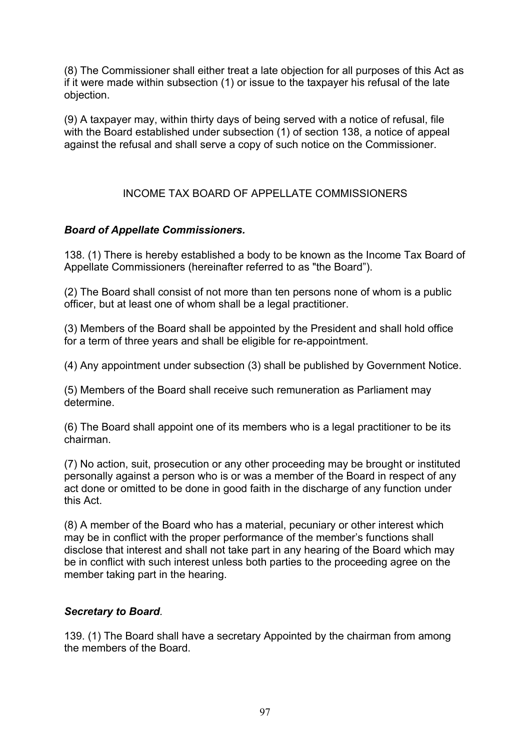(8) The Commissioner shall either treat a late objection for all purposes of this Act as if it were made within subsection (1) or issue to the taxpayer his refusal of the late objection.

(9) A taxpayer may, within thirty days of being served with a notice of refusal, file with the Board established under subsection (1) of section 138, a notice of appeal against the refusal and shall serve a copy of such notice on the Commissioner.

# INCOME TAX BOARD OF APPELLATE COMMISSIONERS

# *Board of Appellate Commissioners.*

138. (1) There is hereby established a body to be known as the Income Tax Board of Appellate Commissioners (hereinafter referred to as "the Board").

(2) The Board shall consist of not more than ten persons none of whom is a public officer, but at least one of whom shall be a legal practitioner.

(3) Members of the Board shall be appointed by the President and shall hold office for a term of three years and shall be eligible for re-appointment.

(4) Any appointment under subsection (3) shall be published by Government Notice.

(5) Members of the Board shall receive such remuneration as Parliament may determine.

(6) The Board shall appoint one of its members who is a legal practitioner to be its chairman.

(7) No action, suit, prosecution or any other proceeding may be brought or instituted personally against a person who is or was a member of the Board in respect of any act done or omitted to be done in good faith in the discharge of any function under this Act.

(8) A member of the Board who has a material, pecuniary or other interest which may be in conflict with the proper performance of the member's functions shall disclose that interest and shall not take part in any hearing of the Board which may be in conflict with such interest unless both parties to the proceeding agree on the member taking part in the hearing.

# *Secretary to Board.*

139. (1) The Board shall have a secretary Appointed by the chairman from among the members of the Board.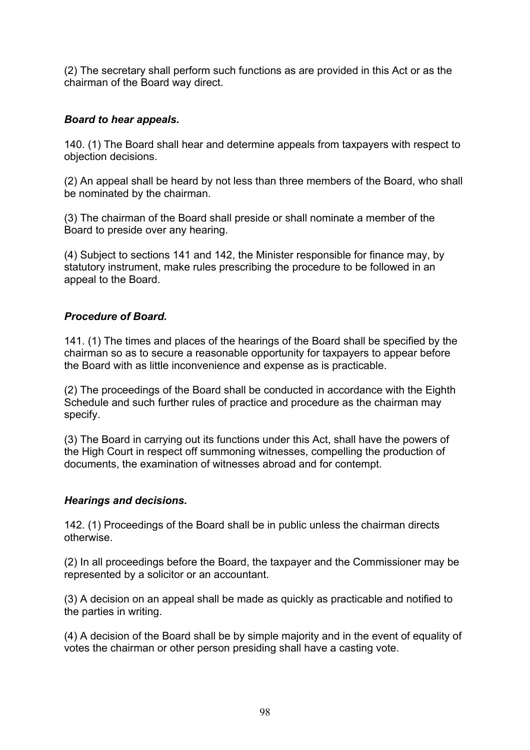(2) The secretary shall perform such functions as are provided in this Act or as the chairman of the Board way direct.

# *Board to hear appeals.*

140. (1) The Board shall hear and determine appeals from taxpayers with respect to objection decisions.

(2) An appeal shall be heard by not less than three members of the Board, who shall be nominated by the chairman.

(3) The chairman of the Board shall preside or shall nominate a member of the Board to preside over any hearing.

(4) Subject to sections 141 and 142, the Minister responsible for finance may, by statutory instrument, make rules prescribing the procedure to be followed in an appeal to the Board.

# *Procedure of Board.*

141. (1) The times and places of the hearings of the Board shall be specified by the chairman so as to secure a reasonable opportunity for taxpayers to appear before the Board with as little inconvenience and expense as is practicable.

(2) The proceedings of the Board shall be conducted in accordance with the Eighth Schedule and such further rules of practice and procedure as the chairman may specify.

(3) The Board in carrying out its functions under this Act, shall have the powers of the High Court in respect off summoning witnesses, compelling the production of documents, the examination of witnesses abroad and for contempt.

### *Hearings and decisions.*

142. (1) Proceedings of the Board shall be in public unless the chairman directs otherwise.

(2) In all proceedings before the Board, the taxpayer and the Commissioner may be represented by a solicitor or an accountant.

(3) A decision on an appeal shall be made as quickly as practicable and notified to the parties in writing.

(4) A decision of the Board shall be by simple majority and in the event of equality of votes the chairman or other person presiding shall have a casting vote.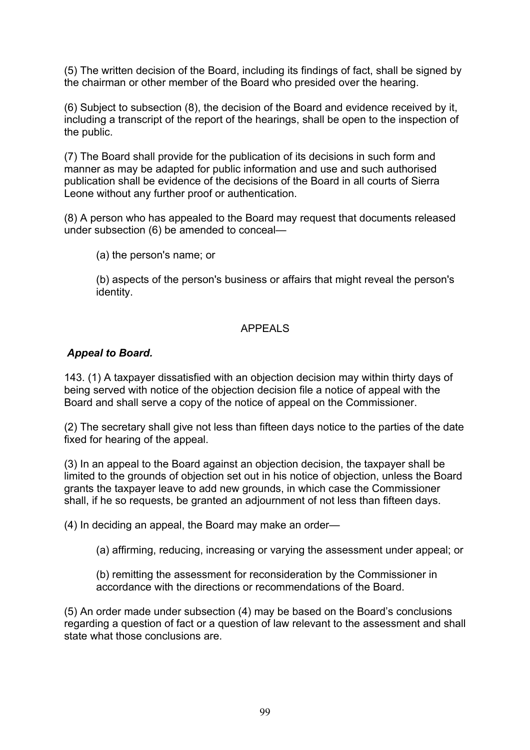(5) The written decision of the Board, including its findings of fact, shall be signed by the chairman or other member of the Board who presided over the hearing.

(6) Subject to subsection (8), the decision of the Board and evidence received by it, including a transcript of the report of the hearings, shall be open to the inspection of the public.

(7) The Board shall provide for the publication of its decisions in such form and manner as may be adapted for public information and use and such authorised publication shall be evidence of the decisions of the Board in all courts of Sierra Leone without any further proof or authentication.

(8) A person who has appealed to the Board may request that documents released under subsection (6) be amended to conceal—

(a) the person's name; or

(b) aspects of the person's business or affairs that might reveal the person's identity.

### APPEALS

### *Appeal to Board.*

143. (1) A taxpayer dissatisfied with an objection decision may within thirty days of being served with notice of the objection decision file a notice of appeal with the Board and shall serve a copy of the notice of appeal on the Commissioner.

(2) The secretary shall give not less than fifteen days notice to the parties of the date fixed for hearing of the appeal.

(3) In an appeal to the Board against an objection decision, the taxpayer shall be limited to the grounds of objection set out in his notice of objection, unless the Board grants the taxpayer leave to add new grounds, in which case the Commissioner shall, if he so requests, be granted an adjournment of not less than fifteen days.

(4) In deciding an appeal, the Board may make an order—

(a) affirming, reducing, increasing or varying the assessment under appeal; or

(b) remitting the assessment for reconsideration by the Commissioner in accordance with the directions or recommendations of the Board.

(5) An order made under subsection (4) may be based on the Board's conclusions regarding a question of fact or a question of law relevant to the assessment and shall state what those conclusions are.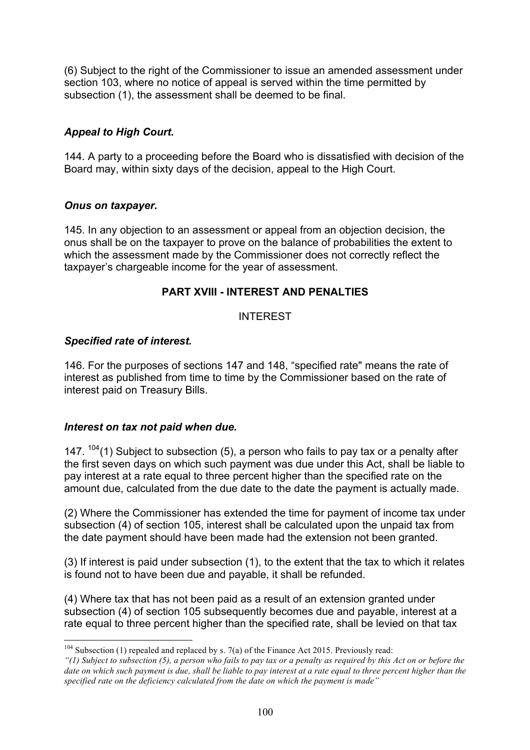(6) Subject to the right of the Commissioner to issue an amended assessment under section 103, where no notice of appeal is served within the time permitted by subsection (1), the assessment shall be deemed to be final.

# *Appeal to High Court.*

144. A party to a proceeding before the Board who is dissatisfied with decision of the Board may, within sixty days of the decision, appeal to the High Court.

# *Onus on taxpayer.*

145. In any objection to an assessment or appeal from an objection decision, the onus shall be on the taxpayer to prove on the balance of probabilities the extent to which the assessment made by the Commissioner does not correctly reflect the taxpayer's chargeable income for the year of assessment.

# **PART XVIII - INTEREST AND PENALTIES**

# INTEREST

### *Specified rate of interest.*

146. For the purposes of sections 147 and 148, "specified rate" means the rate of interest as published from time to time by the Commissioner based on the rate of interest paid on Treasury Bills.

### *Interest on tax not paid when due.*

147.  $104(1)$  Subject to subsection (5), a person who fails to pay tax or a penalty after the first seven days on which such payment was due under this Act, shall be liable to pay interest at a rate equal to three percent higher than the specified rate on the amount due, calculated from the due date to the date the payment is actually made.

(2) Where the Commissioner has extended the time for payment of income tax under subsection (4) of section 105, interest shall be calculated upon the unpaid tax from the date payment should have been made had the extension not been granted.

(3) If interest is paid under subsection (1), to the extent that the tax to which it relates is found not to have been due and payable, it shall be refunded.

(4) Where tax that has not been paid as a result of an extension granted under subsection (4) of section 105 subsequently becomes due and payable, interest at a rate equal to three percent higher than the specified rate, shall be levied on that tax

 $104$  Subsection (1) repealed and replaced by s. 7(a) of the Finance Act 2015. Previously read:

*<sup>&</sup>quot;(1) Subject to subsection (5), a person who fails to pay tax or a penalty as required by this Act on or before the date on which such payment is due, shall be liable to pay interest at a rate equal to three percent higher than the specified rate on the deficiency calculated from the date on which the payment is made"*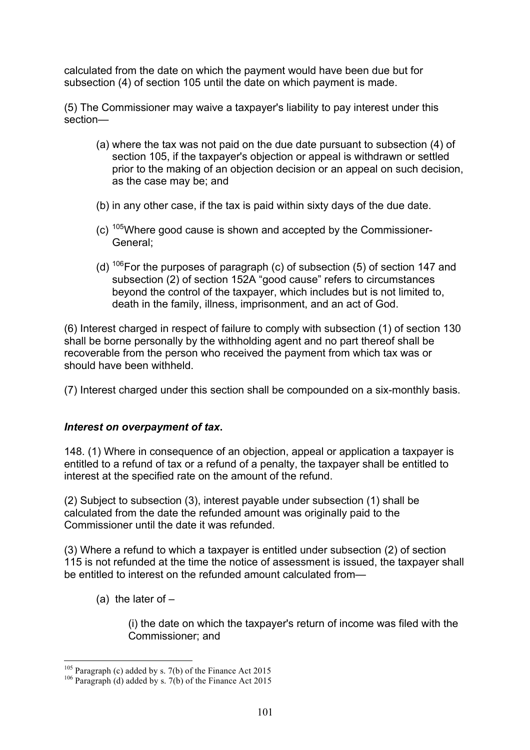calculated from the date on which the payment would have been due but for subsection (4) of section 105 until the date on which payment is made.

(5) The Commissioner may waive a taxpayer's liability to pay interest under this section—

- (a) where the tax was not paid on the due date pursuant to subsection (4) of section 105, if the taxpayer's objection or appeal is withdrawn or settled prior to the making of an objection decision or an appeal on such decision, as the case may be; and
- (b) in any other case, if the tax is paid within sixty days of the due date.
- $(c)$  <sup>105</sup>Where good cause is shown and accepted by the Commissioner-General;
- (d)  $106$  For the purposes of paragraph (c) of subsection (5) of section 147 and subsection (2) of section 152A "good cause" refers to circumstances beyond the control of the taxpayer, which includes but is not limited to, death in the family, illness, imprisonment, and an act of God.

(6) Interest charged in respect of failure to comply with subsection (1) of section 130 shall be borne personally by the withholding agent and no part thereof shall be recoverable from the person who received the payment from which tax was or should have been withheld.

(7) Interest charged under this section shall be compounded on a six-monthly basis.

# *Interest on overpayment of tax***.**

148. (1) Where in consequence of an objection, appeal or application a taxpayer is entitled to a refund of tax or a refund of a penalty, the taxpayer shall be entitled to interest at the specified rate on the amount of the refund.

(2) Subject to subsection (3), interest payable under subsection (1) shall be calculated from the date the refunded amount was originally paid to the Commissioner until the date it was refunded.

(3) Where a refund to which a taxpayer is entitled under subsection (2) of section 115 is not refunded at the time the notice of assessment is issued, the taxpayer shall be entitled to interest on the refunded amount calculated from—

(a) the later of  $-$ 

(i) the date on which the taxpayer's return of income was filed with the Commissioner; and

<sup>&</sup>lt;sup>105</sup> Paragraph (c) added by s. 7(b) of the Finance Act 2015<br><sup>106</sup> Paragraph (d) added by s. 7(b) of the Finance Act 2015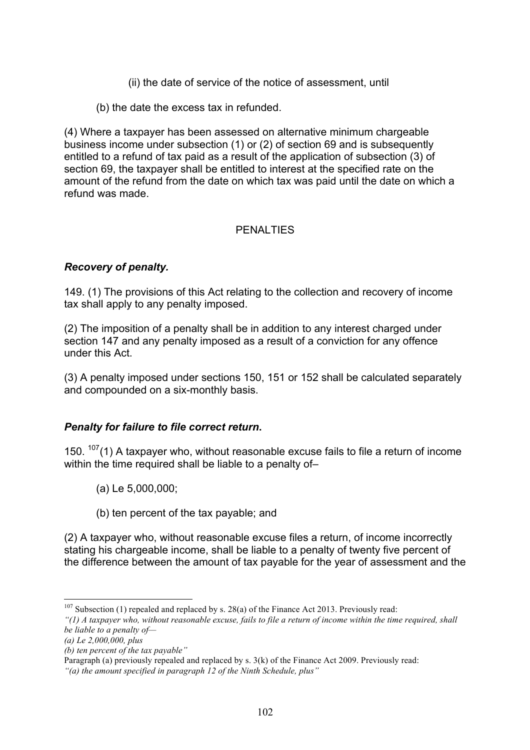- (ii) the date of service of the notice of assessment, until
- (b) the date the excess tax in refunded.

(4) Where a taxpayer has been assessed on alternative minimum chargeable business income under subsection (1) or (2) of section 69 and is subsequently entitled to a refund of tax paid as a result of the application of subsection (3) of section 69, the taxpayer shall be entitled to interest at the specified rate on the amount of the refund from the date on which tax was paid until the date on which a refund was made.

# PENALTIES

### *Recovery of penalty.*

149. (1) The provisions of this Act relating to the collection and recovery of income tax shall apply to any penalty imposed.

(2) The imposition of a penalty shall be in addition to any interest charged under section 147 and any penalty imposed as a result of a conviction for any offence under this Act.

(3) A penalty imposed under sections 150, 151 or 152 shall be calculated separately and compounded on a six-monthly basis.

### *Penalty for failure to file correct return***.**

150.  $107(1)$  A taxpayer who, without reasonable excuse fails to file a return of income within the time required shall be liable to a penalty of–

- (a) Le 5,000,000;
- (b) ten percent of the tax payable; and

(2) A taxpayer who, without reasonable excuse files a return, of income incorrectly stating his chargeable income, shall be liable to a penalty of twenty five percent of the difference between the amount of tax payable for the year of assessment and the

Paragraph (a) previously repealed and replaced by s. 3(k) of the Finance Act 2009. Previously read:

 $107$  Subsection (1) repealed and replaced by s. 28(a) of the Finance Act 2013. Previously read:

*<sup>&</sup>quot;(1) A taxpayer who, without reasonable excuse, fails to file a return of income within the time required, shall be liable to a penalty of—*

*<sup>(</sup>a) Le 2,000,000, plus*

*<sup>(</sup>b) ten percent of the tax payable"*

*<sup>&</sup>quot;(a) the amount specified in paragraph 12 of the Ninth Schedule, plus"*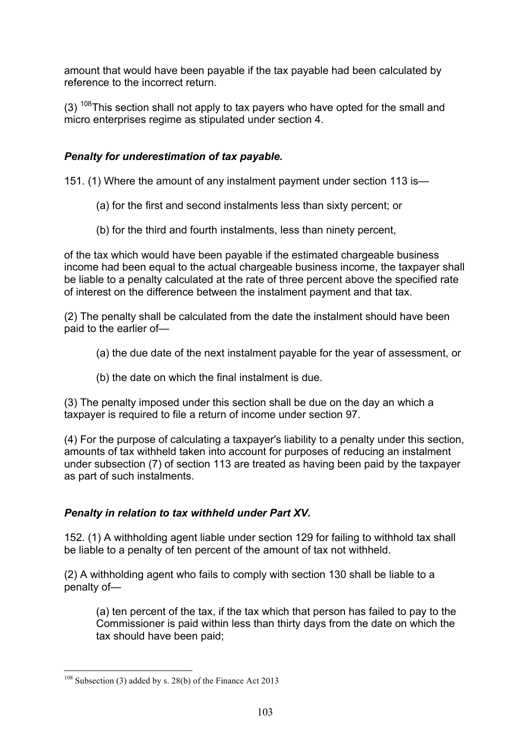amount that would have been payable if the tax payable had been calculated by reference to the incorrect return.

(3)  $108$ This section shall not apply to tax payers who have opted for the small and micro enterprises regime as stipulated under section 4.

# *Penalty for underestimation of tax payable.*

151. (1) Where the amount of any instalment payment under section 113 is—

- (a) for the first and second instalments less than sixty percent; or
- (b) for the third and fourth instalments, less than ninety percent,

of the tax which would have been payable if the estimated chargeable business income had been equal to the actual chargeable business income, the taxpayer shall be liable to a penalty calculated at the rate of three percent above the specified rate of interest on the difference between the instalment payment and that tax.

(2) The penalty shall be calculated from the date the instalment should have been paid to the earlier of—

- (a) the due date of the next instalment payable for the year of assessment, or
- (b) the date on which the final instalment is due.

(3) The penalty imposed under this section shall be due on the day an which a taxpayer is required to file a return of income under section 97.

(4) For the purpose of calculating a taxpayer's liability to a penalty under this section, amounts of tax withheld taken into account for purposes of reducing an instalment under subsection (7) of section 113 are treated as having been paid by the taxpayer as part of such instalments.

# *Penalty in relation to tax withheld under Part XV.*

152. (1) A withholding agent liable under section 129 for failing to withhold tax shall be liable to a penalty of ten percent of the amount of tax not withheld.

(2) A withholding agent who fails to comply with section 130 shall be liable to a penalty of—

(a) ten percent of the tax, if the tax which that person has failed to pay to the Commissioner is paid within less than thirty days from the date on which the tax should have been paid;

 <sup>108</sup> Subsection (3) added by s. 28(b) of the Finance Act 2013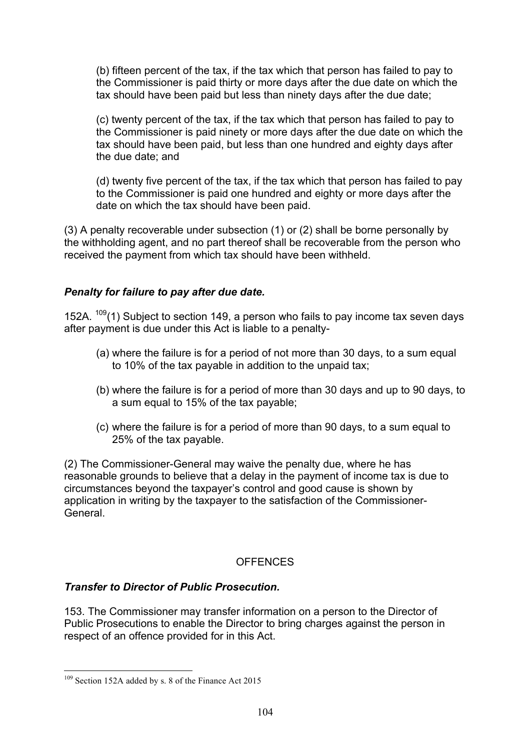(b) fifteen percent of the tax, if the tax which that person has failed to pay to the Commissioner is paid thirty or more days after the due date on which the tax should have been paid but less than ninety days after the due date;

(c) twenty percent of the tax, if the tax which that person has failed to pay to the Commissioner is paid ninety or more days after the due date on which the tax should have been paid, but less than one hundred and eighty days after the due date; and

(d) twenty five percent of the tax, if the tax which that person has failed to pay to the Commissioner is paid one hundred and eighty or more days after the date on which the tax should have been paid.

(3) A penalty recoverable under subsection (1) or (2) shall be borne personally by the withholding agent, and no part thereof shall be recoverable from the person who received the payment from which tax should have been withheld.

### *Penalty for failure to pay after due date.*

152A.  $109(1)$  Subject to section 149, a person who fails to pay income tax seven days after payment is due under this Act is liable to a penalty-

- (a) where the failure is for a period of not more than 30 days, to a sum equal to 10% of the tax payable in addition to the unpaid tax;
- (b) where the failure is for a period of more than 30 days and up to 90 days, to a sum equal to 15% of the tax payable;
- (c) where the failure is for a period of more than 90 days, to a sum equal to 25% of the tax payable.

(2) The Commissioner-General may waive the penalty due, where he has reasonable grounds to believe that a delay in the payment of income tax is due to circumstances beyond the taxpayer's control and good cause is shown by application in writing by the taxpayer to the satisfaction of the Commissioner-General.

### **OFFENCES**

### *Transfer to Director of Public Prosecution.*

153. The Commissioner may transfer information on a person to the Director of Public Prosecutions to enable the Director to bring charges against the person in respect of an offence provided for in this Act.

<sup>&</sup>lt;sup>109</sup> Section 152A added by s. 8 of the Finance Act 2015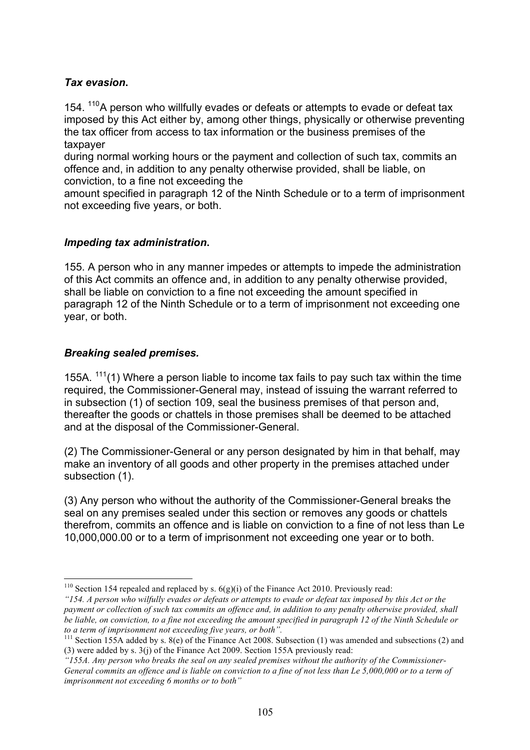### *Tax evasion***.**

154. <sup>110</sup>A person who willfully evades or defeats or attempts to evade or defeat tax imposed by this Act either by, among other things, physically or otherwise preventing the tax officer from access to tax information or the business premises of the taxpayer

during normal working hours or the payment and collection of such tax, commits an offence and, in addition to any penalty otherwise provided, shall be liable, on conviction, to a fine not exceeding the

amount specified in paragraph 12 of the Ninth Schedule or to a term of imprisonment not exceeding five years, or both.

### *Impeding tax administration***.**

155. A person who in any manner impedes or attempts to impede the administration of this Act commits an offence and, in addition to any penalty otherwise provided, shall be liable on conviction to a fine not exceeding the amount specified in paragraph 12 of the Ninth Schedule or to a term of imprisonment not exceeding one year, or both.

### *Breaking sealed premises.*

155A.  $111(1)$  Where a person liable to income tax fails to pay such tax within the time required, the Commissioner-General may, instead of issuing the warrant referred to in subsection (1) of section 109, seal the business premises of that person and, thereafter the goods or chattels in those premises shall be deemed to be attached and at the disposal of the Commissioner-General.

(2) The Commissioner-General or any person designated by him in that behalf, may make an inventory of all goods and other property in the premises attached under subsection (1).

(3) Any person who without the authority of the Commissioner-General breaks the seal on any premises sealed under this section or removes any goods or chattels therefrom, commits an offence and is liable on conviction to a fine of not less than Le 10,000,000.00 or to a term of imprisonment not exceeding one year or to both.

<sup>&</sup>lt;sup>110</sup> Section 154 repealed and replaced by s.  $6(g)(i)$  of the Finance Act 2010. Previously read:

*<sup>&</sup>quot;154. A person who wilfully evades or defeats or attempts to evade or defeat tax imposed by this Act or the payment or collecti*on *of such tax commits an offence and, in addition to any penalty otherwise provided, shall be liable, on conviction, to a fine not exceeding the amount specified in paragraph 12 of the Ninth Schedule or to a term of imprisonment not exceeding five years, or both".*

<sup>&</sup>lt;sup>111</sup> Section 155A added by s.  $8(e)$  of the Finance Act 2008. Subsection (1) was amended and subsections (2) and (3) were added by s. 3(j) of the Finance Act 2009. Section 155A previously read:

*<sup>&</sup>quot;155A. Any person who breaks the seal on any sealed premises without the authority of the Commissioner-General commits an offence and is liable on conviction to a fine of not less than Le 5,000,000 or to a term of imprisonment not exceeding 6 months or to both"*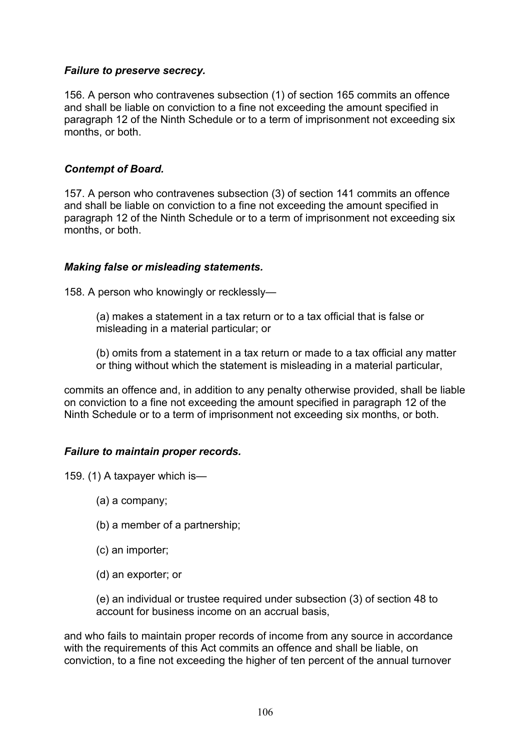### *Failure to preserve secrecy.*

156. A person who contravenes subsection (1) of section 165 commits an offence and shall be liable on conviction to a fine not exceeding the amount specified in paragraph 12 of the Ninth Schedule or to a term of imprisonment not exceeding six months, or both.

### *Contempt of Board.*

157. A person who contravenes subsection (3) of section 141 commits an offence and shall be liable on conviction to a fine not exceeding the amount specified in paragraph 12 of the Ninth Schedule or to a term of imprisonment not exceeding six months, or both.

### *Making false or misleading statements.*

158. A person who knowingly or recklessly—

(a) makes a statement in a tax return or to a tax official that is false or misleading in a material particular; or

(b) omits from a statement in a tax return or made to a tax official any matter or thing without which the statement is misleading in a material particular,

commits an offence and, in addition to any penalty otherwise provided, shall be liable on conviction to a fine not exceeding the amount specified in paragraph 12 of the Ninth Schedule or to a term of imprisonment not exceeding six months, or both.

# *Failure to maintain proper records.*

159. (1) A taxpayer which is—

- (a) a company;
- (b) a member of a partnership;
- (c) an importer;
- (d) an exporter; or

(e) an individual or trustee required under subsection (3) of section 48 to account for business income on an accrual basis,

and who fails to maintain proper records of income from any source in accordance with the requirements of this Act commits an offence and shall be liable, on conviction, to a fine not exceeding the higher of ten percent of the annual turnover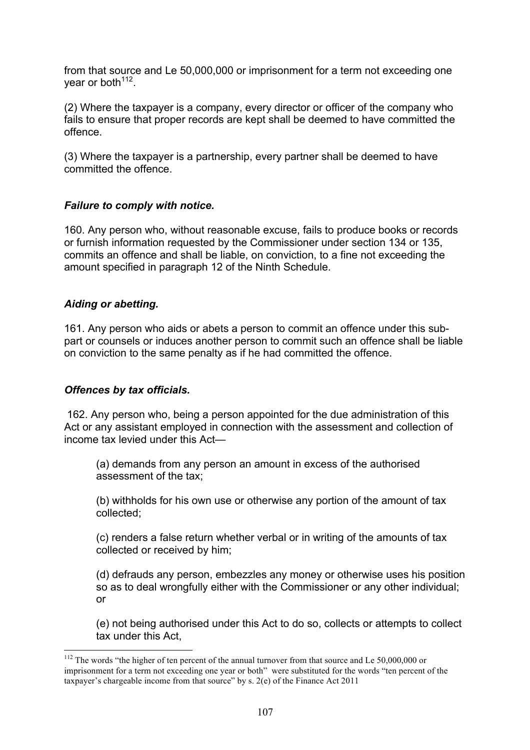from that source and Le 50,000,000 or imprisonment for a term not exceeding one year or both<sup>112</sup>.

(2) Where the taxpayer is a company, every director or officer of the company who fails to ensure that proper records are kept shall be deemed to have committed the offence.

(3) Where the taxpayer is a partnership, every partner shall be deemed to have committed the offence.

### *Failure to comply with notice.*

160. Any person who, without reasonable excuse, fails to produce books or records or furnish information requested by the Commissioner under section 134 or 135, commits an offence and shall be liable, on conviction, to a fine not exceeding the amount specified in paragraph 12 of the Ninth Schedule.

### *Aiding or abetting.*

161. Any person who aids or abets a person to commit an offence under this subpart or counsels or induces another person to commit such an offence shall be liable on conviction to the same penalty as if he had committed the offence.

### *Offences by tax officials.*

162. Any person who, being a person appointed for the due administration of this Act or any assistant employed in connection with the assessment and collection of income tax levied under this Act—

(a) demands from any person an amount in excess of the authorised assessment of the tax;

(b) withholds for his own use or otherwise any portion of the amount of tax collected;

(c) renders a false return whether verbal or in writing of the amounts of tax collected or received by him;

(d) defrauds any person, embezzles any money or otherwise uses his position so as to deal wrongfully either with the Commissioner or any other individual; or

(e) not being authorised under this Act to do so, collects or attempts to collect tax under this Act,

<sup>&</sup>lt;sup>112</sup> The words "the higher of ten percent of the annual turnover from that source and Le 50,000,000 or imprisonment for a term not exceeding one year or both" were substituted for the words "ten percent of the taxpayer's chargeable income from that source" by s. 2(e) of the Finance Act 2011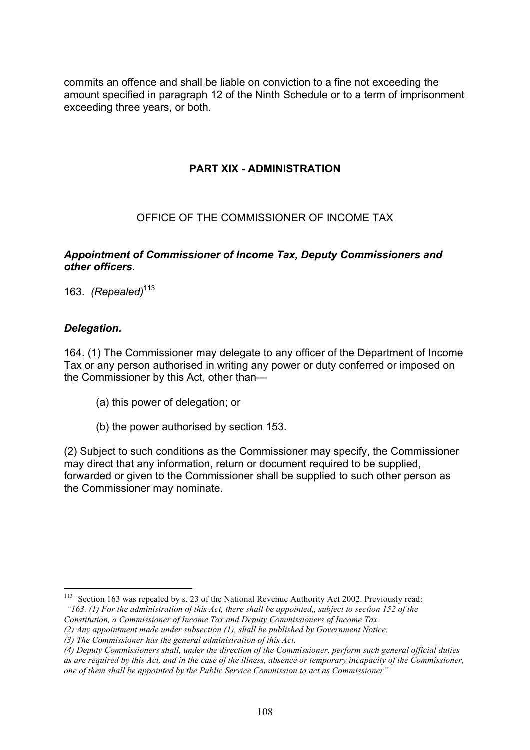commits an offence and shall be liable on conviction to a fine not exceeding the amount specified in paragraph 12 of the Ninth Schedule or to a term of imprisonment exceeding three years, or both.

# **PART XIX - ADMINISTRATION**

### OFFICE OF THE COMMISSIONER OF INCOME TAX

### *Appointment of Commissioner of Income Tax, Deputy Commissioners and other officers.*

163. *(Repealed)*<sup>113</sup>

### *Delegation.*

164. (1) The Commissioner may delegate to any officer of the Department of Income Tax or any person authorised in writing any power or duty conferred or imposed on the Commissioner by this Act, other than—

- (a) this power of delegation; or
- (b) the power authorised by section 153.

(2) Subject to such conditions as the Commissioner may specify, the Commissioner may direct that any information, return or document required to be supplied, forwarded or given to the Commissioner shall be supplied to such other person as the Commissioner may nominate.

*(2) Any appointment made under subsection (1), shall be published by Government Notice.*

<sup>&</sup>lt;sup>113</sup> Section 163 was repealed by s. 23 of the National Revenue Authority Act 2002. Previously read:

*<sup>&</sup>quot;163. (1) For the administration of this Act, there shall be appointed,, subject to section 152 of the* 

*Constitution, a Commissioner of Income Tax and Deputy Commissioners of Income Tax.* 

*<sup>(3)</sup> The Commissioner has the general administration of this Act.*

*<sup>(4)</sup> Deputy Commissioners shall, under the direction of the Commissioner, perform such general official duties as are required by this Act, and in the case of the illness, absence or temporary incapacity of the Commissioner, one of them shall be appointed by the Public Service Commission to act as Commissioner"*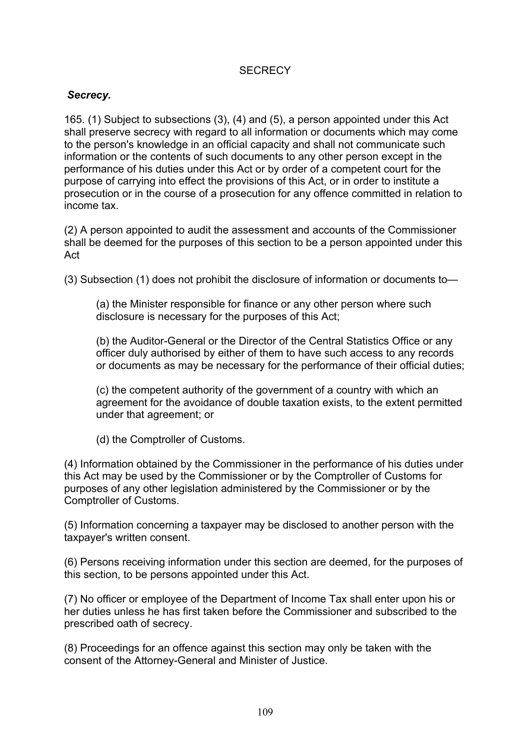## **SECRECY**

#### *Secrecy.*

165. (1) Subject to subsections (3), (4) and (5), a person appointed under this Act shall preserve secrecy with regard to all information or documents which may come to the person's knowledge in an official capacity and shall not communicate such information or the contents of such documents to any other person except in the performance of his duties under this Act or by order of a competent court for the purpose of carrying into effect the provisions of this Act, or in order to institute a prosecution or in the course of a prosecution for any offence committed in relation to income tax.

(2) A person appointed to audit the assessment and accounts of the Commissioner shall be deemed for the purposes of this section to be a person appointed under this Act

(3) Subsection (1) does not prohibit the disclosure of information or documents to—

(a) the Minister responsible for finance or any other person where such disclosure is necessary for the purposes of this Act;

(b) the Auditor-General or the Director of the Central Statistics Office or any officer duly authorised by either of them to have such access to any records or documents as may be necessary for the performance of their official duties;

(c) the competent authority of the government of a country with which an agreement for the avoidance of double taxation exists, to the extent permitted under that agreement; or

(d) the Comptroller of Customs.

(4) Information obtained by the Commissioner in the performance of his duties under this Act may be used by the Commissioner or by the Comptroller of Customs for purposes of any other legislation administered by the Commissioner or by the Comptroller of Customs.

(5) Information concerning a taxpayer may be disclosed to another person with the taxpayer's written consent.

(6) Persons receiving information under this section are deemed, for the purposes of this section, to be persons appointed under this Act.

(7) No officer or employee of the Department of Income Tax shall enter upon his or her duties unless he has first taken before the Commissioner and subscribed to the prescribed oath of secrecy.

(8) Proceedings for an offence against this section may only be taken with the consent of the Attorney-General and Minister of Justice.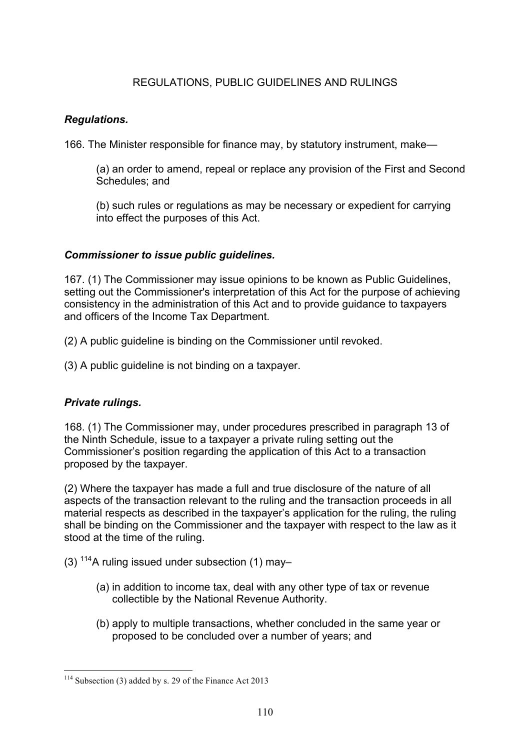# REGULATIONS, PUBLIC GUIDELINES AND RULINGS

#### *Regulations.*

166. The Minister responsible for finance may, by statutory instrument, make—

(a) an order to amend, repeal or replace any provision of the First and Second Schedules; and

(b) such rules or regulations as may be necessary or expedient for carrying into effect the purposes of this Act.

#### *Commissioner to issue public guidelines.*

167. (1) The Commissioner may issue opinions to be known as Public Guidelines, setting out the Commissioner's interpretation of this Act for the purpose of achieving consistency in the administration of this Act and to provide guidance to taxpayers and officers of the Income Tax Department.

(2) A public guideline is binding on the Commissioner until revoked.

(3) A public guideline is not binding on a taxpayer.

# *Private rulings.*

168. (1) The Commissioner may, under procedures prescribed in paragraph 13 of the Ninth Schedule, issue to a taxpayer a private ruling setting out the Commissioner's position regarding the application of this Act to a transaction proposed by the taxpayer.

(2) Where the taxpayer has made a full and true disclosure of the nature of all aspects of the transaction relevant to the ruling and the transaction proceeds in all material respects as described in the taxpayer's application for the ruling, the ruling shall be binding on the Commissioner and the taxpayer with respect to the law as it stood at the time of the ruling.

- (3)  $114A$  ruling issued under subsection (1) may-
	- (a) in addition to income tax, deal with any other type of tax or revenue collectible by the National Revenue Authority.
	- (b) apply to multiple transactions, whether concluded in the same year or proposed to be concluded over a number of years; and

 <sup>114</sup> Subsection (3) added by s. 29 of the Finance Act 2013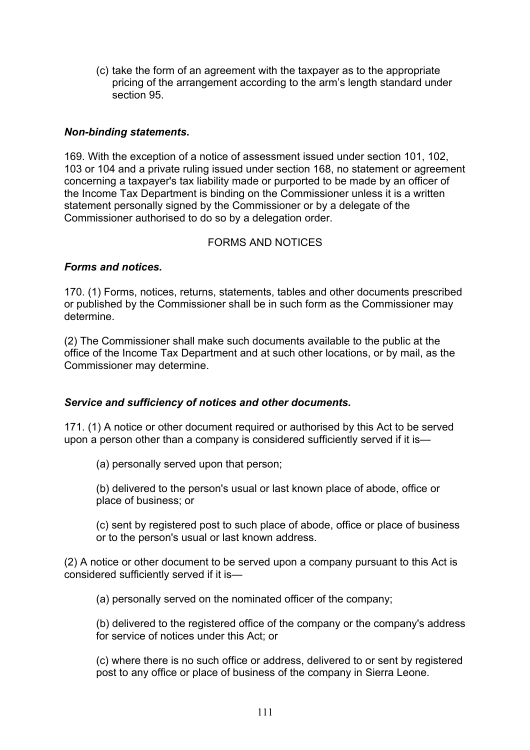(c) take the form of an agreement with the taxpayer as to the appropriate pricing of the arrangement according to the arm's length standard under section 95.

#### *Non-binding statements***.**

169. With the exception of a notice of assessment issued under section 101, 102, 103 or 104 and a private ruling issued under section 168, no statement or agreement concerning a taxpayer's tax liability made or purported to be made by an officer of the Income Tax Department is binding on the Commissioner unless it is a written statement personally signed by the Commissioner or by a delegate of the Commissioner authorised to do so by a delegation order.

#### FORMS AND NOTICES

#### *Forms and notices.*

170. (1) Forms, notices, returns, statements, tables and other documents prescribed or published by the Commissioner shall be in such form as the Commissioner may determine.

(2) The Commissioner shall make such documents available to the public at the office of the Income Tax Department and at such other locations, or by mail, as the Commissioner may determine.

#### *Service and sufficiency of notices and other documents.*

171. (1) A notice or other document required or authorised by this Act to be served upon a person other than a company is considered sufficiently served if it is—

(a) personally served upon that person;

(b) delivered to the person's usual or last known place of abode, office or place of business; or

(c) sent by registered post to such place of abode, office or place of business or to the person's usual or last known address.

(2) A notice or other document to be served upon a company pursuant to this Act is considered sufficiently served if it is—

(a) personally served on the nominated officer of the company;

(b) delivered to the registered office of the company or the company's address for service of notices under this Act; or

(c) where there is no such office or address, delivered to or sent by registered post to any office or place of business of the company in Sierra Leone.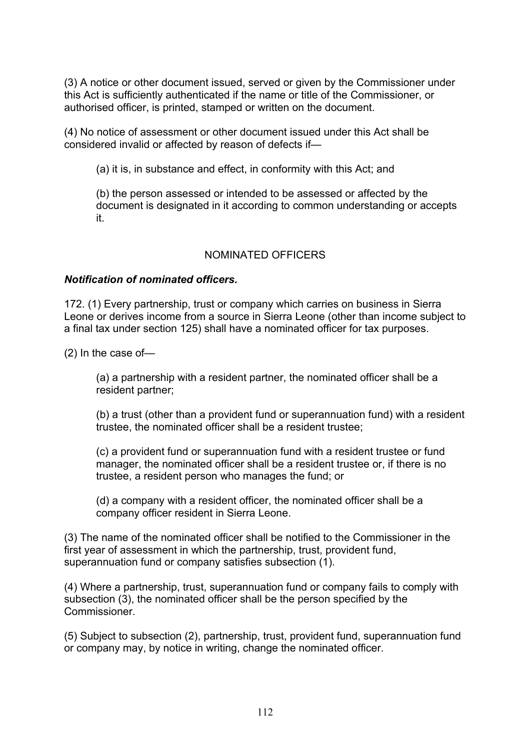(3) A notice or other document issued, served or given by the Commissioner under this Act is sufficiently authenticated if the name or title of the Commissioner, or authorised officer, is printed, stamped or written on the document.

(4) No notice of assessment or other document issued under this Act shall be considered invalid or affected by reason of defects if—

(a) it is, in substance and effect, in conformity with this Act; and

(b) the person assessed or intended to be assessed or affected by the document is designated in it according to common understanding or accepts it.

# NOMINATED OFFICERS

#### *Notification of nominated officers.*

172. (1) Every partnership, trust or company which carries on business in Sierra Leone or derives income from a source in Sierra Leone (other than income subject to a final tax under section 125) shall have a nominated officer for tax purposes.

(2) In the case of—

(a) a partnership with a resident partner, the nominated officer shall be a resident partner;

(b) a trust (other than a provident fund or superannuation fund) with a resident trustee, the nominated officer shall be a resident trustee;

(c) a provident fund or superannuation fund with a resident trustee or fund manager, the nominated officer shall be a resident trustee or, if there is no trustee, a resident person who manages the fund; or

(d) a company with a resident officer, the nominated officer shall be a company officer resident in Sierra Leone.

(3) The name of the nominated officer shall be notified to the Commissioner in the first year of assessment in which the partnership, trust, provident fund, superannuation fund or company satisfies subsection (1).

(4) Where a partnership, trust, superannuation fund or company fails to comply with subsection (3), the nominated officer shall be the person specified by the **Commissioner** 

(5) Subject to subsection (2), partnership, trust, provident fund, superannuation fund or company may, by notice in writing, change the nominated officer.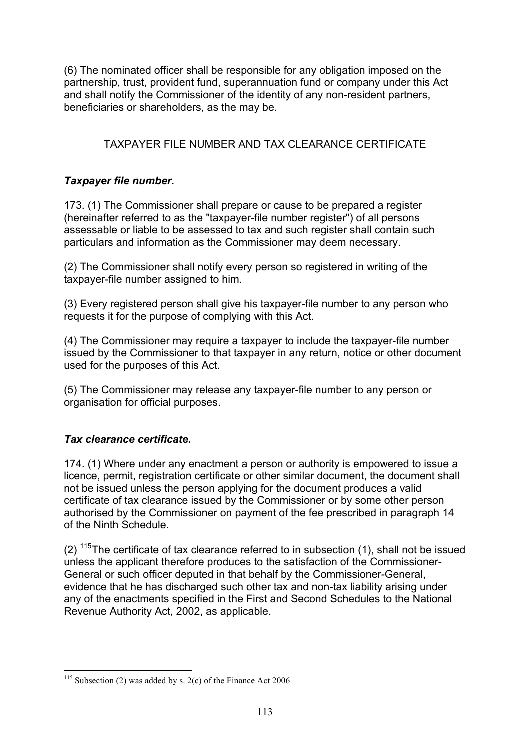(6) The nominated officer shall be responsible for any obligation imposed on the partnership, trust, provident fund, superannuation fund or company under this Act and shall notify the Commissioner of the identity of any non-resident partners, beneficiaries or shareholders, as the may be.

# TAXPAYER FILE NUMBER AND TAX CLEARANCE CERTIFICATE

# *Taxpayer file number.*

173. (1) The Commissioner shall prepare or cause to be prepared a register (hereinafter referred to as the "taxpayer-file number register") of all persons assessable or liable to be assessed to tax and such register shall contain such particulars and information as the Commissioner may deem necessary.

(2) The Commissioner shall notify every person so registered in writing of the taxpayer-file number assigned to him.

(3) Every registered person shall give his taxpayer-file number to any person who requests it for the purpose of complying with this Act.

(4) The Commissioner may require a taxpayer to include the taxpayer-file number issued by the Commissioner to that taxpayer in any return, notice or other document used for the purposes of this Act.

(5) The Commissioner may release any taxpayer-file number to any person or organisation for official purposes.

# *Tax clearance certificate***.**

174. (1) Where under any enactment a person or authority is empowered to issue a licence, permit, registration certificate or other similar document, the document shall not be issued unless the person applying for the document produces a valid certificate of tax clearance issued by the Commissioner or by some other person authorised by the Commissioner on payment of the fee prescribed in paragraph 14 of the Ninth Schedule.

(2)  $115$ The certificate of tax clearance referred to in subsection (1), shall not be issued unless the applicant therefore produces to the satisfaction of the Commissioner-General or such officer deputed in that behalf by the Commissioner-General, evidence that he has discharged such other tax and non-tax liability arising under any of the enactments specified in the First and Second Schedules to the National Revenue Authority Act, 2002, as applicable.

 <sup>115</sup> Subsection (2) was added by s. 2(c) of the Finance Act 2006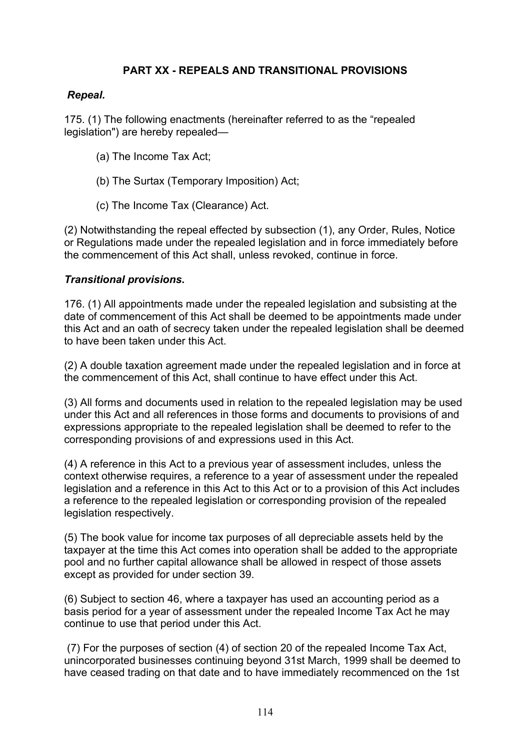# **PART XX - REPEALS AND TRANSITIONAL PROVISIONS**

## *Repeal.*

175. (1) The following enactments (hereinafter referred to as the "repealed legislation") are hereby repealed—

- (a) The Income Tax Act;
- (b) The Surtax (Temporary Imposition) Act;
- (c) The Income Tax (Clearance) Act.

(2) Notwithstanding the repeal effected by subsection (1), any Order, Rules, Notice or Regulations made under the repealed legislation and in force immediately before the commencement of this Act shall, unless revoked, continue in force.

#### *Transitional provisions***.**

176. (1) All appointments made under the repealed legislation and subsisting at the date of commencement of this Act shall be deemed to be appointments made under this Act and an oath of secrecy taken under the repealed legislation shall be deemed to have been taken under this Act.

(2) A double taxation agreement made under the repealed legislation and in force at the commencement of this Act, shall continue to have effect under this Act.

(3) All forms and documents used in relation to the repealed legislation may be used under this Act and all references in those forms and documents to provisions of and expressions appropriate to the repealed legislation shall be deemed to refer to the corresponding provisions of and expressions used in this Act.

(4) A reference in this Act to a previous year of assessment includes, unless the context otherwise requires, a reference to a year of assessment under the repealed legislation and a reference in this Act to this Act or to a provision of this Act includes a reference to the repealed legislation or corresponding provision of the repealed legislation respectively.

(5) The book value for income tax purposes of all depreciable assets held by the taxpayer at the time this Act comes into operation shall be added to the appropriate pool and no further capital allowance shall be allowed in respect of those assets except as provided for under section 39.

(6) Subject to section 46, where a taxpayer has used an accounting period as a basis period for a year of assessment under the repealed Income Tax Act he may continue to use that period under this Act.

(7) For the purposes of section (4) of section 20 of the repealed Income Tax Act, unincorporated businesses continuing beyond 31st March, 1999 shall be deemed to have ceased trading on that date and to have immediately recommenced on the 1st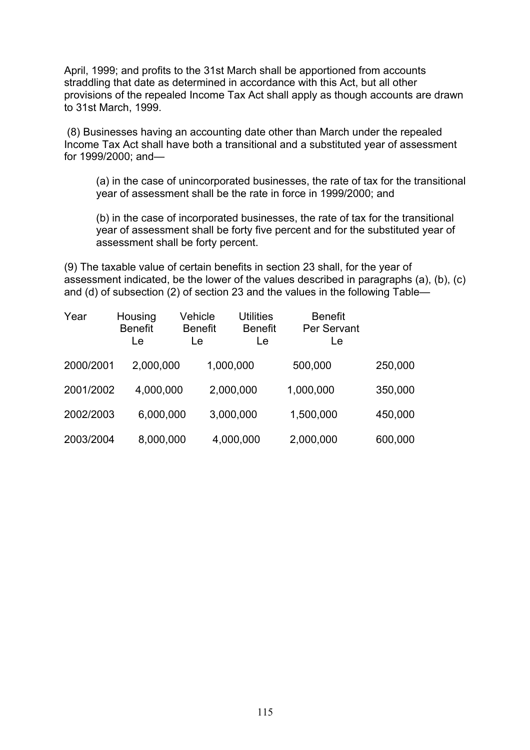April, 1999; and profits to the 31st March shall be apportioned from accounts straddling that date as determined in accordance with this Act, but all other provisions of the repealed Income Tax Act shall apply as though accounts are drawn to 31st March, 1999.

(8) Businesses having an accounting date other than March under the repealed Income Tax Act shall have both a transitional and a substituted year of assessment for 1999/2000; and—

(a) in the case of unincorporated businesses, the rate of tax for the transitional year of assessment shall be the rate in force in 1999/2000; and

(b) in the case of incorporated businesses, the rate of tax for the transitional year of assessment shall be forty five percent and for the substituted year of assessment shall be forty percent.

(9) The taxable value of certain benefits in section 23 shall, for the year of assessment indicated, be the lower of the values described in paragraphs (a), (b), (c) and (d) of subsection (2) of section 23 and the values in the following Table—

| Year      | Housing<br><b>Benefit</b><br>Le | Vehicle<br><b>Benefit</b><br>Le | <b>Utilities</b><br><b>Benefit</b><br>Le | <b>Benefit</b><br>Per Servant<br>Le |         |
|-----------|---------------------------------|---------------------------------|------------------------------------------|-------------------------------------|---------|
| 2000/2001 | 2,000,000                       |                                 | 1,000,000                                | 500,000                             | 250,000 |
| 2001/2002 | 4,000,000                       |                                 | 2,000,000                                | 1,000,000                           | 350,000 |
| 2002/2003 | 6,000,000                       |                                 | 3,000,000                                | 1,500,000                           | 450,000 |
| 2003/2004 | 8,000,000                       |                                 | 4,000,000                                | 2,000,000                           | 600,000 |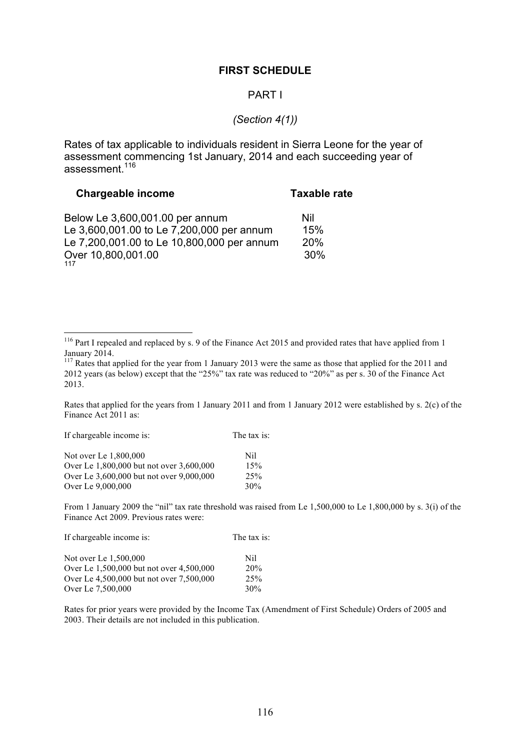#### **FIRST SCHEDULE**

#### PART I

#### *(Section 4(1))*

Rates of tax applicable to individuals resident in Sierra Leone for the year of assessment commencing 1st January, 2014 and each succeeding year of assessment<sup>116</sup>

| <b>Chargeable income</b>                   | <b>Taxable rate</b> |
|--------------------------------------------|---------------------|
| Below Le 3,600,001.00 per annum            | Nil                 |
| Le 3,600,001.00 to Le 7,200,000 per annum  | 15%                 |
| Le 7,200,001.00 to Le 10,800,000 per annum | 20%                 |
| Over 10,800,001.00                         | 30%                 |

Rates that applied for the years from 1 January 2011 and from 1 January 2012 were established by s. 2(c) of the Finance Act 2011 as:

If chargeable income is: The tax is:

| Not over Le 1,800,000                    | Nil |
|------------------------------------------|-----|
| Over Le 1,800,000 but not over 3,600,000 | 15% |
| Over Le 3,600,000 but not over 9,000,000 | 25% |
| Over Le 9,000,000                        | 30% |

From 1 January 2009 the "nil" tax rate threshold was raised from Le 1,500,000 to Le 1,800,000 by s. 3(i) of the Finance Act 2009. Previous rates were:

| If chargeable income is:                 | The tax is: |
|------------------------------------------|-------------|
| Not over Le 1,500,000                    | Nil         |
| Over Le 1,500,000 but not over 4,500,000 | 20%         |
| Over Le 4,500,000 but not over 7,500,000 | 25%         |
| Over Le 7,500,000                        | 30%         |

Rates for prior years were provided by the Income Tax (Amendment of First Schedule) Orders of 2005 and 2003. Their details are not included in this publication.

<sup>&</sup>lt;sup>116</sup> Part I repealed and replaced by s. 9 of the Finance Act 2015 and provided rates that have applied from 1 January 2014.

 $117$  Rates that applied for the year from 1 January 2013 were the same as those that applied for the 2011 and 2012 years (as below) except that the "25%" tax rate was reduced to "20%" as per s. 30 of the Finance Act 2013.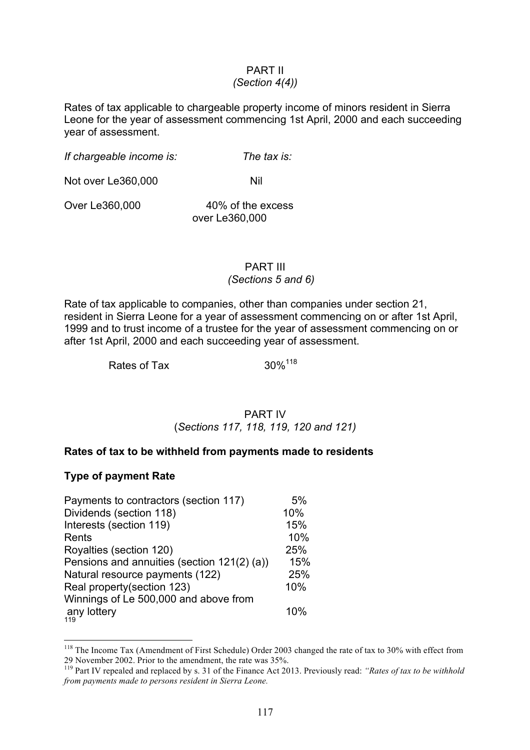# PART II

# *(Section 4(4))*

Rates of tax applicable to chargeable property income of minors resident in Sierra Leone for the year of assessment commencing 1st April, 2000 and each succeeding year of assessment.

*If chargeable income is: The tax is:* 

Not over Le360,000 Nil

Over Le360,000 40% of the excess

over Le360,000

# PART III *(Sections 5 and 6)*

Rate of tax applicable to companies, other than companies under section 21, resident in Sierra Leone for a year of assessment commencing on or after 1st April, 1999 and to trust income of a trustee for the year of assessment commencing on or after 1st April, 2000 and each succeeding year of assessment.

Rates of Tax 30%<sup>118</sup>

#### PART IV (*Sections 117, 118, 119, 120 and 121)*

#### **Rates of tax to be withheld from payments made to residents**

#### **Type of payment Rate**

| Payments to contractors (section 117)       | 5%  |
|---------------------------------------------|-----|
| Dividends (section 118)                     | 10% |
| Interests (section 119)                     | 15% |
| Rents                                       | 10% |
| Royalties (section 120)                     | 25% |
| Pensions and annuities (section 121(2) (a)) | 15% |
| Natural resource payments (122)             | 25% |
| Real property(section 123)                  | 10% |
| Winnings of Le 500,000 and above from       |     |
| any lottery<br>119                          | 10% |

<sup>&</sup>lt;sup>118</sup> The Income Tax (Amendment of First Schedule) Order 2003 changed the rate of tax to 30% with effect from 29 November 2002. Prior to the amendment, the rate was 35%.

<sup>119</sup> Part IV repealed and replaced by s. 31 of the Finance Act 2013. Previously read: *"Rates of tax to be withhold from payments made to persons resident in Sierra Leone.*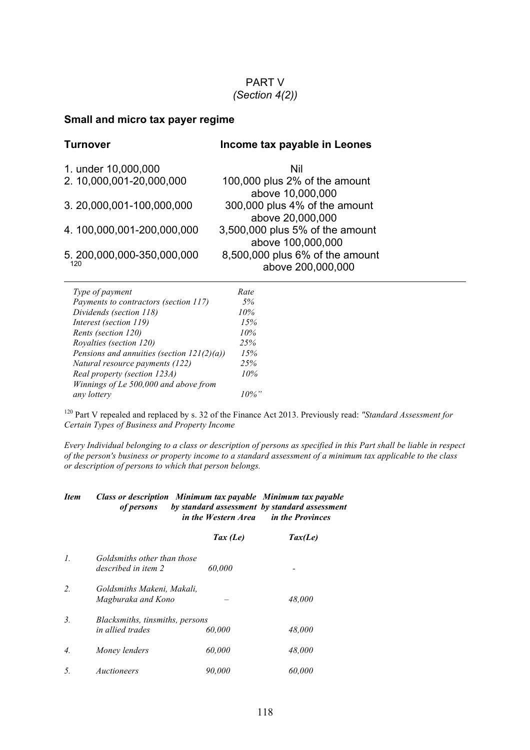#### PART V *(Section 4(2))*

## **Small and micro tax payer regime**

| <b>Turnover</b>                       | Income tax payable in Leones                         |
|---------------------------------------|------------------------------------------------------|
| 1. under 10,000,000                   | Nil                                                  |
| 2.10,000,001-20,000,000               | 100,000 plus 2% of the amount<br>above 10,000,000    |
| 3.20,000,001-100,000,000              | 300,000 plus 4% of the amount<br>above 20,000,000    |
| 4.100,000,001-200,000,000             | 3,500,000 plus 5% of the amount<br>above 100,000,000 |
| 5.200,000,000-350,000,000<br>120      | 8,500,000 plus 6% of the amount<br>above 200,000,000 |
| Type of payment                       | Rate                                                 |
| Payments to contractors (section 117) | 5%                                                   |
| Dividends (section 118)               | 10%                                                  |
|                                       |                                                      |

| Type of payment                               | Rate. |
|-----------------------------------------------|-------|
| Payments to contractors (section 117)         | 5%    |
| Dividends (section 118)                       | 10%   |
| Interest (section 119)                        | 15%   |
| Rents (section 120)                           | 10%   |
| Royalties (section 120)                       | 25%   |
| Pensions and annuities (section $121(2)(a)$ ) | 15%   |
| Natural resource payments (122)               | 25%   |
| Real property (section 123A)                  | 10%   |
| Winnings of Le 500,000 and above from         |       |
| any lottery                                   |       |
|                                               |       |

<sup>120</sup> Part V repealed and replaced by s. 32 of the Finance Act 2013. Previously read: *"Standard Assessment for Certain Types of Business and Property Income* 

*Every Individual belonging to a class or description of persons as specified in this Part shall be liable in respect of the person's business or property income to a standard assessment of a minimum tax applicable to the class or description of persons to which that person belongs.* 

#### *Item Class or description Minimum tax payable Minimum tax payable of persons by standard assessment by standard assessment in the Western Area in the Provinces*

|                  |                                                     | Tax $(Le)$ | $\textit{Tax}(Le)$ |
|------------------|-----------------------------------------------------|------------|--------------------|
| $\mathcal{I}$ .  | Goldsmiths other than those<br>described in item 2  | 60.000     |                    |
| 2.               | Goldsmiths Makeni, Makali,<br>Magburaka and Kono    |            | 48,000             |
| 3.               | Blacksmiths, tinsmiths, persons<br>in allied trades | 60.000     | 48.000             |
| $\overline{4}$ . | Money lenders                                       | 60,000     | 48,000             |
| 5.               | Auctioneers                                         | 90.000     | 60.000             |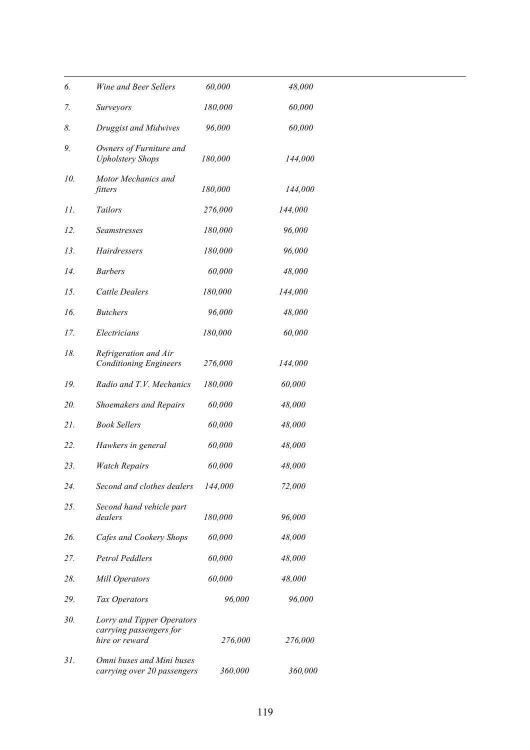| 6.  | Wine and Beer Sellers                                                   | 60,000  | 48,000  |
|-----|-------------------------------------------------------------------------|---------|---------|
| 7.  | <i>Surveyors</i>                                                        | 180,000 | 60,000  |
| 8.  | Druggist and Midwives                                                   | 96,000  | 60,000  |
| 9.  | Owners of Furniture and<br><b>Upholstery Shops</b>                      | 180,000 | 144,000 |
| 10. | Motor Mechanics and<br>fitters                                          | 180,000 | 144,000 |
| 11. | Tailors                                                                 | 276,000 | 144,000 |
| 12. | Seamstresses                                                            | 180,000 | 96,000  |
| 13. | Hairdressers                                                            | 180,000 | 96,000  |
| 14. | <b>Barbers</b>                                                          | 60,000  | 48,000  |
| 15. | <b>Cattle Dealers</b>                                                   | 180,000 | 144,000 |
| 16. | <b>Butchers</b>                                                         | 96,000  | 48,000  |
| 17. | Electricians                                                            | 180,000 | 60,000  |
| 18. | Refrigeration and Air<br><b>Conditioning Engineers</b>                  | 276,000 | 144,000 |
| 19. | Radio and T.V. Mechanics                                                | 180,000 | 60,000  |
| 20. | <b>Shoemakers and Repairs</b>                                           | 60,000  | 48,000  |
| 21. | <b>Book Sellers</b>                                                     | 60,000  | 48,000  |
| 22. | Hawkers in general                                                      | 60,000  | 48,000  |
| 23. | <b>Watch Repairs</b>                                                    | 60,000  | 48,000  |
| 24. | Second and clothes dealers                                              | 144,000 | 72,000  |
| 25. | Second hand vehicle part<br>dealers                                     | 180,000 | 96,000  |
| 26. | Cafes and Cookery Shops                                                 | 60,000  | 48,000  |
| 27. | <b>Petrol Peddlers</b>                                                  | 60,000  | 48,000  |
| 28. | <b>Mill Operators</b>                                                   | 60,000  | 48,000  |
| 29. | Tax Operators                                                           | 96,000  | 96,000  |
| 30. | Lorry and Tipper Operators<br>carrying passengers for<br>hire or reward | 276,000 | 276,000 |
| 31. | Omni buses and Mini buses<br>carrying over 20 passengers                | 360,000 | 360,000 |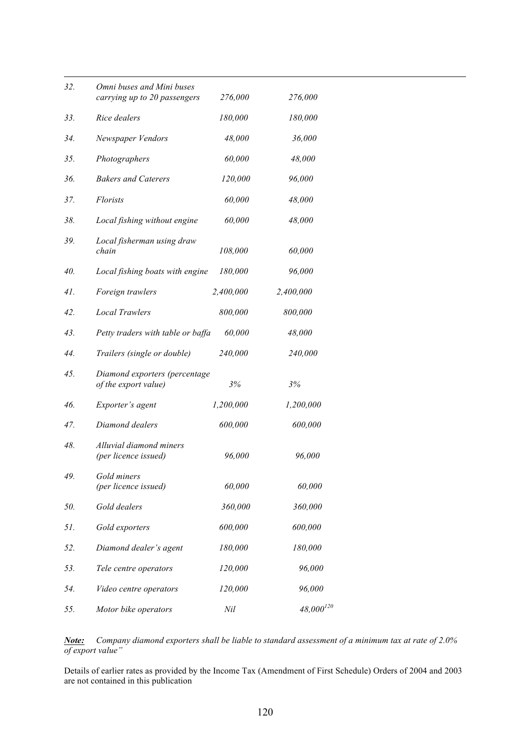| 32. | Omni buses and Mini buses<br>carrying up to 20 passengers | 276,000   | 276,000        |
|-----|-----------------------------------------------------------|-----------|----------------|
| 33. | Rice dealers                                              | 180,000   | 180,000        |
| 34. | Newspaper Vendors                                         | 48,000    | 36,000         |
| 35. | Photographers                                             | 60,000    | 48,000         |
| 36. | <b>Bakers and Caterers</b>                                | 120,000   | 96,000         |
| 37. | <i>Florists</i>                                           | 60,000    | 48,000         |
| 38. | Local fishing without engine                              | 60,000    | 48,000         |
| 39. | Local fisherman using draw<br>chain                       | 108,000   | 60,000         |
| 40. | Local fishing boats with engine                           | 180,000   | 96,000         |
| 41. | Foreign trawlers                                          | 2,400,000 | 2,400,000      |
| 42. | <b>Local Trawlers</b>                                     | 800,000   | 800,000        |
| 43. | Petty traders with table or baffa                         | 60,000    | 48,000         |
| 44. | Trailers (single or double)                               | 240,000   | 240,000        |
| 45. | Diamond exporters (percentage<br>of the export value)     | 3%        | 3%             |
| 46. | Exporter's agent                                          | 1,200,000 | 1,200,000      |
| 47. | Diamond dealers                                           | 600,000   | 600,000        |
| 48. | Alluvial diamond miners<br>(per licence issued)           | 96,000    | 96,000         |
| 49. | Gold miners<br>(per licence issued)                       | 60,000    | 60,000         |
| 50. | Gold dealers                                              | 360,000   | 360,000        |
| 51. | Gold exporters                                            | 600,000   | 600,000        |
| 52. | Diamond dealer's agent                                    | 180,000   | 180,000        |
| 53. | Tele centre operators                                     | 120,000   | 96,000         |
| 54. | Video centre operators                                    | 120,000   | 96,000         |
| 55. | Motor bike operators                                      | Nil       | $48,000^{120}$ |

*Note: Company diamond exporters shall be liable to standard assessment of a minimum tax at rate of 2.0% of export value"*

Details of earlier rates as provided by the Income Tax (Amendment of First Schedule) Orders of 2004 and 2003 are not contained in this publication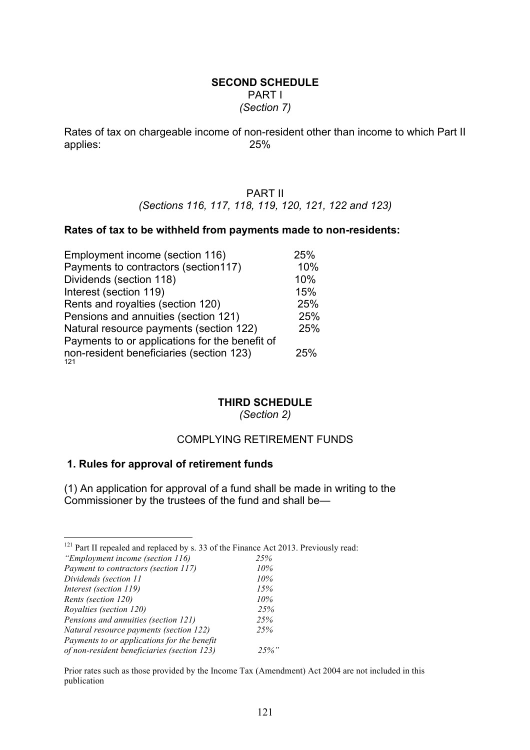#### **SECOND SCHEDULE** PART I *(Section 7)*

Rates of tax on chargeable income of non-resident other than income to which Part II applies: 25%

#### PART II

*(Sections 116, 117, 118, 119, 120, 121, 122 and 123)*

#### **Rates of tax to be withheld from payments made to non-residents:**

| Employment income (section 116)                 | 25% |
|-------------------------------------------------|-----|
| Payments to contractors (section117)            | 10% |
| Dividends (section 118)                         | 10% |
| Interest (section 119)                          | 15% |
| Rents and royalties (section 120)               | 25% |
| Pensions and annuities (section 121)            | 25% |
| Natural resource payments (section 122)         | 25% |
| Payments to or applications for the benefit of  |     |
| non-resident beneficiaries (section 123)<br>121 | 25% |

## **THIRD SCHEDULE**

*(Section 2)*

#### COMPLYING RETIREMENT FUNDS

#### **1. Rules for approval of retirement funds**

(1) An application for approval of a fund shall be made in writing to the Commissioner by the trustees of the fund and shall be—

| <sup>121</sup> Part II repealed and replaced by s. 33 of the Finance Act 2013. Previously read: |  |  |
|-------------------------------------------------------------------------------------------------|--|--|

| "Employment income (section 116)            | 25%      |
|---------------------------------------------|----------|
| Payment to contractors (section 117)        | 10%      |
| Dividends (section 11                       | 10%      |
| Interest (section 119)                      | 15%      |
| Rents (section 120)                         | 10%      |
| Royalties (section 120)                     | 25%      |
| Pensions and annuities (section 121)        | 25%      |
| Natural resource payments (section 122)     | 25%      |
| Payments to or applications for the benefit |          |
| of non-resident beneficiaries (section 123) | $25\%$ " |

Prior rates such as those provided by the Income Tax (Amendment) Act 2004 are not included in this publication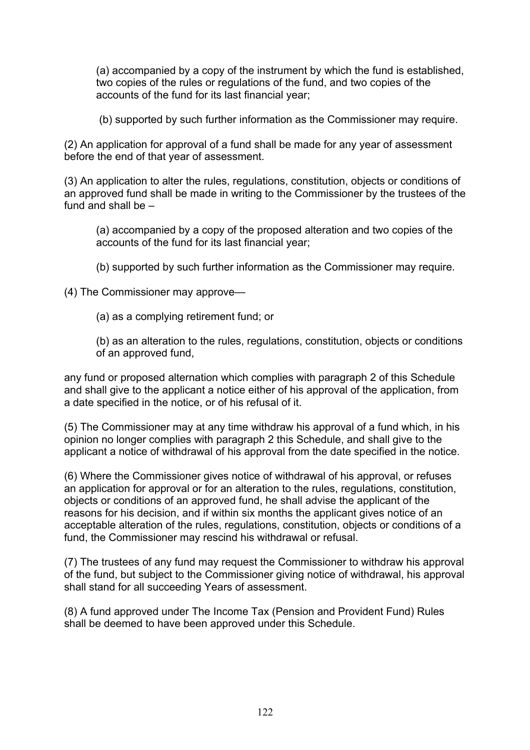(a) accompanied by a copy of the instrument by which the fund is established, two copies of the rules or regulations of the fund, and two copies of the accounts of the fund for its last financial year;

(b) supported by such further information as the Commissioner may require.

(2) An application for approval of a fund shall be made for any year of assessment before the end of that year of assessment.

(3) An application to alter the rules, regulations, constitution, objects or conditions of an approved fund shall be made in writing to the Commissioner by the trustees of the fund and shall be –

(a) accompanied by a copy of the proposed alteration and two copies of the accounts of the fund for its last financial year;

(b) supported by such further information as the Commissioner may require.

(4) The Commissioner may approve—

(a) as a complying retirement fund; or

(b) as an alteration to the rules, regulations, constitution, objects or conditions of an approved fund,

any fund or proposed alternation which complies with paragraph 2 of this Schedule and shall give to the applicant a notice either of his approval of the application, from a date specified in the notice, or of his refusal of it.

(5) The Commissioner may at any time withdraw his approval of a fund which, in his opinion no longer complies with paragraph 2 this Schedule, and shall give to the applicant a notice of withdrawal of his approval from the date specified in the notice.

(6) Where the Commissioner gives notice of withdrawal of his approval, or refuses an application for approval or for an alteration to the rules, regulations, constitution, objects or conditions of an approved fund, he shall advise the applicant of the reasons for his decision, and if within six months the applicant gives notice of an acceptable alteration of the rules, regulations, constitution, objects or conditions of a fund, the Commissioner may rescind his withdrawal or refusal.

(7) The trustees of any fund may request the Commissioner to withdraw his approval of the fund, but subject to the Commissioner giving notice of withdrawal, his approval shall stand for all succeeding Years of assessment.

(8) A fund approved under The Income Tax (Pension and Provident Fund) Rules shall be deemed to have been approved under this Schedule.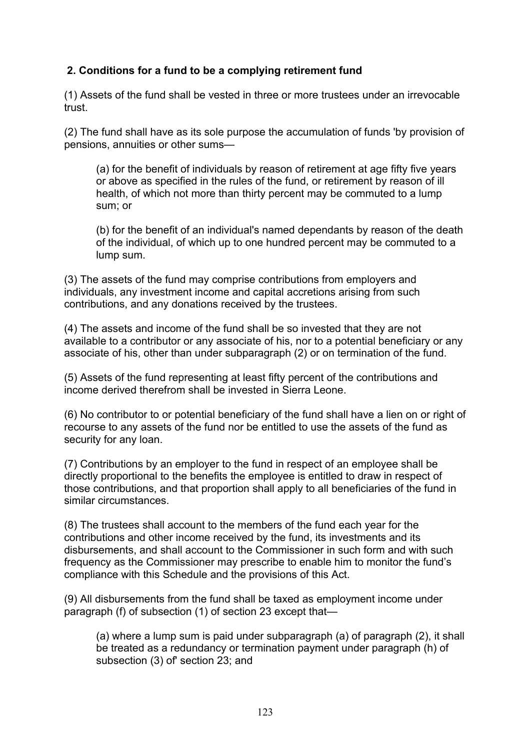# **2. Conditions for a fund to be a complying retirement fund**

(1) Assets of the fund shall be vested in three or more trustees under an irrevocable trust.

(2) The fund shall have as its sole purpose the accumulation of funds 'by provision of pensions, annuities or other sums—

(a) for the benefit of individuals by reason of retirement at age fifty five years or above as specified in the rules of the fund, or retirement by reason of ill health, of which not more than thirty percent may be commuted to a lump sum; or

(b) for the benefit of an individual's named dependants by reason of the death of the individual, of which up to one hundred percent may be commuted to a lump sum.

(3) The assets of the fund may comprise contributions from employers and individuals, any investment income and capital accretions arising from such contributions, and any donations received by the trustees.

(4) The assets and income of the fund shall be so invested that they are not available to a contributor or any associate of his, nor to a potential beneficiary or any associate of his, other than under subparagraph (2) or on termination of the fund.

(5) Assets of the fund representing at least fifty percent of the contributions and income derived therefrom shall be invested in Sierra Leone.

(6) No contributor to or potential beneficiary of the fund shall have a lien on or right of recourse to any assets of the fund nor be entitled to use the assets of the fund as security for any loan.

(7) Contributions by an employer to the fund in respect of an employee shall be directly proportional to the benefits the employee is entitled to draw in respect of those contributions, and that proportion shall apply to all beneficiaries of the fund in similar circumstances.

(8) The trustees shall account to the members of the fund each year for the contributions and other income received by the fund, its investments and its disbursements, and shall account to the Commissioner in such form and with such frequency as the Commissioner may prescribe to enable him to monitor the fund's compliance with this Schedule and the provisions of this Act.

(9) All disbursements from the fund shall be taxed as employment income under paragraph (f) of subsection (1) of section 23 except that—

(a) where a lump sum is paid under subparagraph (a) of paragraph (2), it shall be treated as a redundancy or termination payment under paragraph (h) of subsection (3) of' section 23; and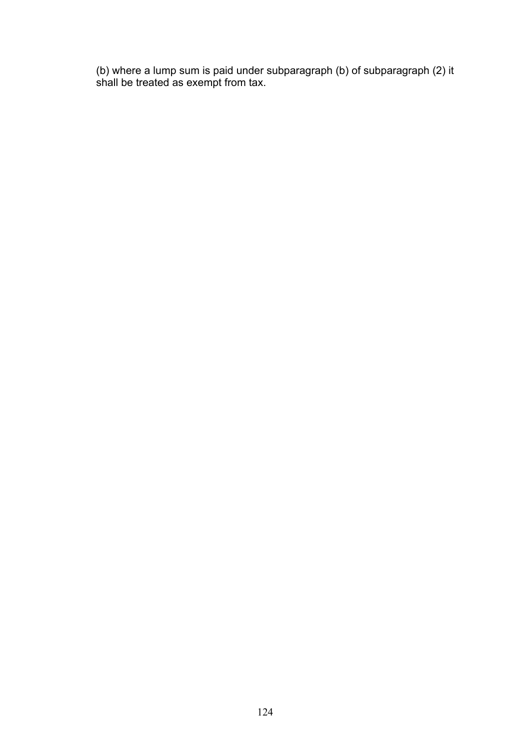(b) where a lump sum is paid under subparagraph (b) of subparagraph (2) it shall be treated as exempt from tax.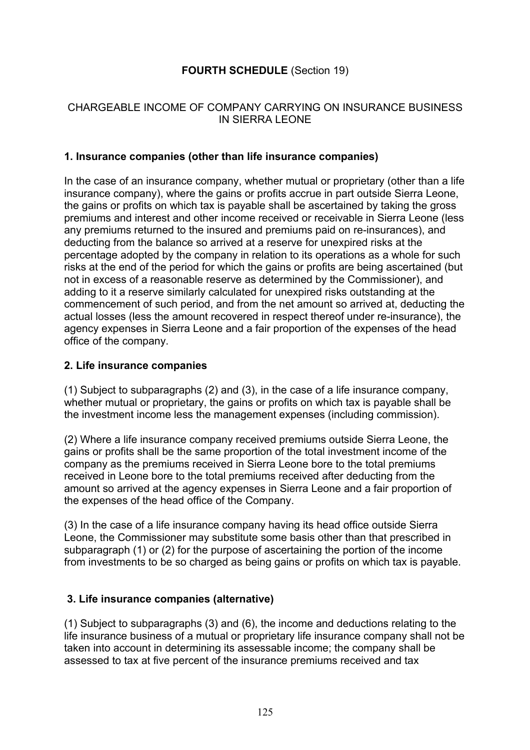# **FOURTH SCHEDULE** (Section 19)

# CHARGEABLE INCOME OF COMPANY CARRYING ON INSURANCE BUSINESS IN SIERRA LEONE

## **1. Insurance companies (other than life insurance companies)**

In the case of an insurance company, whether mutual or proprietary (other than a life insurance company), where the gains or profits accrue in part outside Sierra Leone, the gains or profits on which tax is payable shall be ascertained by taking the gross premiums and interest and other income received or receivable in Sierra Leone (less any premiums returned to the insured and premiums paid on re-insurances), and deducting from the balance so arrived at a reserve for unexpired risks at the percentage adopted by the company in relation to its operations as a whole for such risks at the end of the period for which the gains or profits are being ascertained (but not in excess of a reasonable reserve as determined by the Commissioner), and adding to it a reserve similarly calculated for unexpired risks outstanding at the commencement of such period, and from the net amount so arrived at, deducting the actual losses (less the amount recovered in respect thereof under re-insurance), the agency expenses in Sierra Leone and a fair proportion of the expenses of the head office of the company.

#### **2. Life insurance companies**

(1) Subject to subparagraphs (2) and (3), in the case of a life insurance company, whether mutual or proprietary, the gains or profits on which tax is payable shall be the investment income less the management expenses (including commission).

(2) Where a life insurance company received premiums outside Sierra Leone, the gains or profits shall be the same proportion of the total investment income of the company as the premiums received in Sierra Leone bore to the total premiums received in Leone bore to the total premiums received after deducting from the amount so arrived at the agency expenses in Sierra Leone and a fair proportion of the expenses of the head office of the Company.

(3) In the case of a life insurance company having its head office outside Sierra Leone, the Commissioner may substitute some basis other than that prescribed in subparagraph (1) or (2) for the purpose of ascertaining the portion of the income from investments to be so charged as being gains or profits on which tax is payable.

# **3. Life insurance companies (alternative)**

(1) Subject to subparagraphs (3) and (6), the income and deductions relating to the life insurance business of a mutual or proprietary life insurance company shall not be taken into account in determining its assessable income; the company shall be assessed to tax at five percent of the insurance premiums received and tax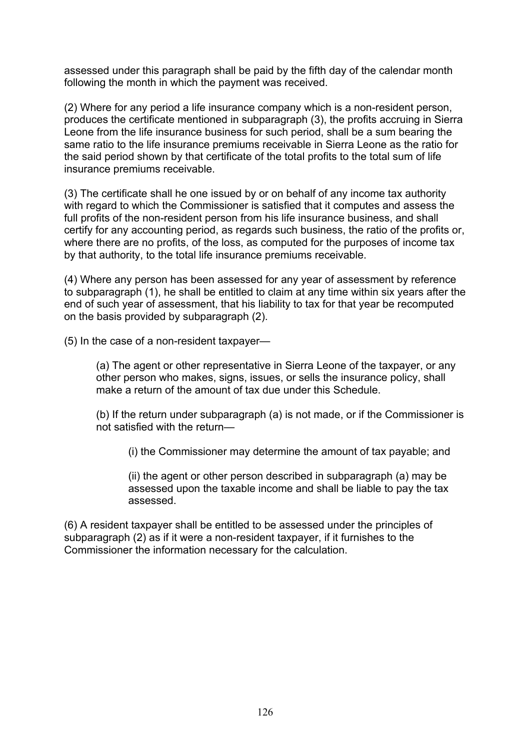assessed under this paragraph shall be paid by the fifth day of the calendar month following the month in which the payment was received.

(2) Where for any period a life insurance company which is a non-resident person, produces the certificate mentioned in subparagraph (3), the profits accruing in Sierra Leone from the life insurance business for such period, shall be a sum bearing the same ratio to the life insurance premiums receivable in Sierra Leone as the ratio for the said period shown by that certificate of the total profits to the total sum of life insurance premiums receivable.

(3) The certificate shall he one issued by or on behalf of any income tax authority with regard to which the Commissioner is satisfied that it computes and assess the full profits of the non-resident person from his life insurance business, and shall certify for any accounting period, as regards such business, the ratio of the profits or, where there are no profits, of the loss, as computed for the purposes of income tax by that authority, to the total life insurance premiums receivable.

(4) Where any person has been assessed for any year of assessment by reference to subparagraph (1), he shall be entitled to claim at any time within six years after the end of such year of assessment, that his liability to tax for that year be recomputed on the basis provided by subparagraph (2).

(5) In the case of a non-resident taxpayer—

(a) The agent or other representative in Sierra Leone of the taxpayer, or any other person who makes, signs, issues, or sells the insurance policy, shall make a return of the amount of tax due under this Schedule.

(b) If the return under subparagraph (a) is not made, or if the Commissioner is not satisfied with the return—

(i) the Commissioner may determine the amount of tax payable; and

(ii) the agent or other person described in subparagraph (a) may be assessed upon the taxable income and shall be liable to pay the tax assessed.

(6) A resident taxpayer shall be entitled to be assessed under the principles of subparagraph (2) as if it were a non-resident taxpayer, if it furnishes to the Commissioner the information necessary for the calculation.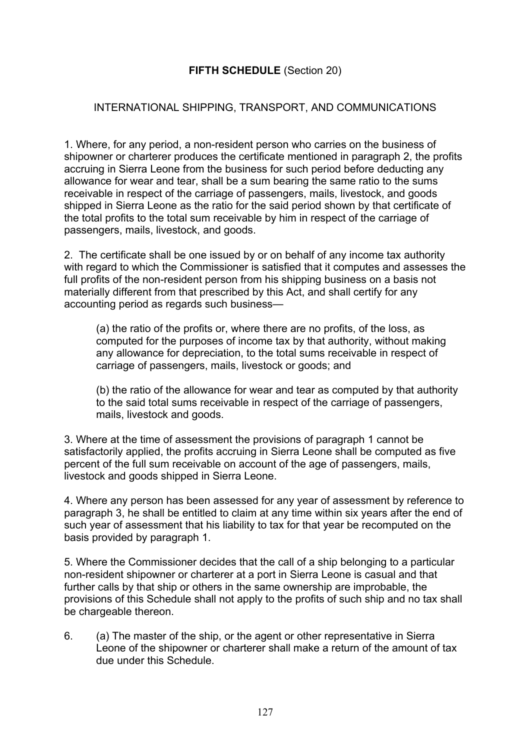# **FIFTH SCHEDULE** (Section 20)

## INTERNATIONAL SHIPPING, TRANSPORT, AND COMMUNICATIONS

1. Where, for any period, a non-resident person who carries on the business of shipowner or charterer produces the certificate mentioned in paragraph 2, the profits accruing in Sierra Leone from the business for such period before deducting any allowance for wear and tear, shall be a sum bearing the same ratio to the sums receivable in respect of the carriage of passengers, mails, livestock, and goods shipped in Sierra Leone as the ratio for the said period shown by that certificate of the total profits to the total sum receivable by him in respect of the carriage of passengers, mails, livestock, and goods.

2. The certificate shall be one issued by or on behalf of any income tax authority with regard to which the Commissioner is satisfied that it computes and assesses the full profits of the non-resident person from his shipping business on a basis not materially different from that prescribed by this Act, and shall certify for any accounting period as regards such business—

(a) the ratio of the profits or, where there are no profits, of the loss, as computed for the purposes of income tax by that authority, without making any allowance for depreciation, to the total sums receivable in respect of carriage of passengers, mails, livestock or goods; and

(b) the ratio of the allowance for wear and tear as computed by that authority to the said total sums receivable in respect of the carriage of passengers, mails, livestock and goods.

3. Where at the time of assessment the provisions of paragraph 1 cannot be satisfactorily applied, the profits accruing in Sierra Leone shall be computed as five percent of the full sum receivable on account of the age of passengers, mails, livestock and goods shipped in Sierra Leone.

4. Where any person has been assessed for any year of assessment by reference to paragraph 3, he shall be entitled to claim at any time within six years after the end of such year of assessment that his liability to tax for that year be recomputed on the basis provided by paragraph 1.

5. Where the Commissioner decides that the call of a ship belonging to a particular non-resident shipowner or charterer at a port in Sierra Leone is casual and that further calls by that ship or others in the same ownership are improbable, the provisions of this Schedule shall not apply to the profits of such ship and no tax shall be chargeable thereon.

6. (a) The master of the ship, or the agent or other representative in Sierra Leone of the shipowner or charterer shall make a return of the amount of tax due under this Schedule.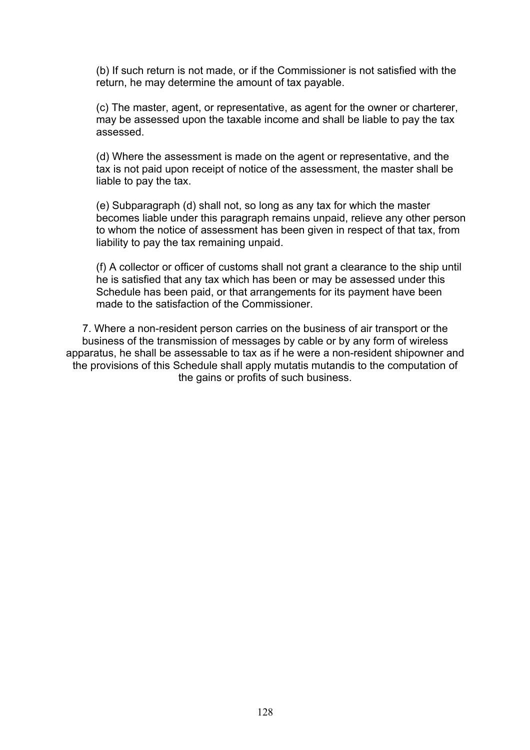(b) If such return is not made, or if the Commissioner is not satisfied with the return, he may determine the amount of tax payable.

(c) The master, agent, or representative, as agent for the owner or charterer, may be assessed upon the taxable income and shall be liable to pay the tax assessed.

(d) Where the assessment is made on the agent or representative, and the tax is not paid upon receipt of notice of the assessment, the master shall be liable to pay the tax.

(e) Subparagraph (d) shall not, so long as any tax for which the master becomes liable under this paragraph remains unpaid, relieve any other person to whom the notice of assessment has been given in respect of that tax, from liability to pay the tax remaining unpaid.

(f) A collector or officer of customs shall not grant a clearance to the ship until he is satisfied that any tax which has been or may be assessed under this Schedule has been paid, or that arrangements for its payment have been made to the satisfaction of the Commissioner.

7. Where a non-resident person carries on the business of air transport or the business of the transmission of messages by cable or by any form of wireless apparatus, he shall be assessable to tax as if he were a non-resident shipowner and the provisions of this Schedule shall apply mutatis mutandis to the computation of the gains or profits of such business.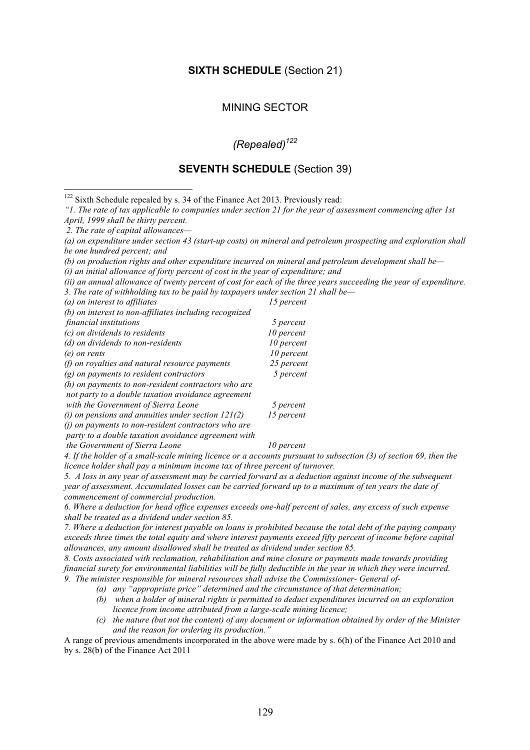#### **SIXTH SCHEDULE** (Section 21)

#### MINING SECTOR

# *(Repealed)122*

#### **SEVENTH SCHEDULE** (Section 39)

<sup>122</sup> Sixth Schedule repealed by s. 34 of the Finance Act 2013. Previously read:

*"1. The rate of tax applicable to companies under section 21 for the year of assessment commencing after 1st April, 1999 shall be thirty percent.* 

*2. The rate of capital allowances—*

*(a) on expenditure under section 43 (start-up costs) on mineral and petroleum prospecting and exploration shall be one hundred percent; and* 

*(b) on production rights and other expenditure incurred on mineral and petroleum development shall be—*

*(i) an initial allowance of forty percent of cost in the year of expenditure; and*

*(ii) an annual allowance of twenty percent of cost for each of the three years succeeding the year of expenditure.* 

*3. The rate of withholding tax to be paid by taxpayers under section 21 shall be— (a) on interest to affiliates 15 percent* 

| (b) on interest to non-affiliates including recognized |            |
|--------------------------------------------------------|------------|
| financial institutions                                 | 5 percent  |
| (c) on dividends to residents                          | 10 percent |
| (d) on dividends to non-residents                      | 10 percent |
| (e) on rents                                           | 10 percent |
| $(f)$ on royalties and natural resource payments       | 25 percent |
| $(g)$ on payments to resident contractors              | 5 percent  |
| (h) on payments to non-resident contractors who are    |            |
| not party to a double taxation avoidance agreement     |            |
| with the Government of Sierra Leone                    | 5 percent  |
| (i) on pensions and annuities under section $121(2)$   | 15 percent |
| $(i)$ on payments to non-resident contractors who are  |            |
| party to a double taxation avoidance agreement with    |            |

*the Government of Sierra Leone* 10 percent

*4. If the holder of a small-scale mining licence or a accounts pursuant to subsection (3) of section 69, then the licence holder shall pay a minimum income tax of three percent of turnover.*

*5. A loss in any year of assessment may be carried forward as a deduction against income of the subsequent year of assessment. Accumulated losses can be carried forward up to a maximum of ten years the date of commencement of commercial production.*

*6. Where a deduction for head office expenses exceeds one-half percent of sales, any excess of such expense shall be treated as a dividend under section 85.*

*7. Where a deduction for interest payable on loans is prohibited because the total debt of the paying company exceeds three times the total equity and where interest payments exceed fifty percent of income before capital allowances, any amount disallowed shall be treated as dividend under section 85.*

*8. Costs associated with reclamation, rehabilitation and mine closure or payments made towards providing financial surety for environmental liabilities will be fully deductible in the year in which they were incurred. 9. The minister responsible for mineral resources shall advise the Commissioner- General of-*

*(a) any "appropriate price" determined and the circumstance of that determination;*

- *(b) when a holder of mineral rights is permitted to deduct expenditures incurred on an exploration licence from income attributed from a large-scale mining licence;*
- *(c) the nature (but not the content) of any document or information obtained by order of the Minister and the reason for ordering its production."*

A range of previous amendments incorporated in the above were made by s. 6(h) of the Finance Act 2010 and by s. 28(b) of the Finance Act 2011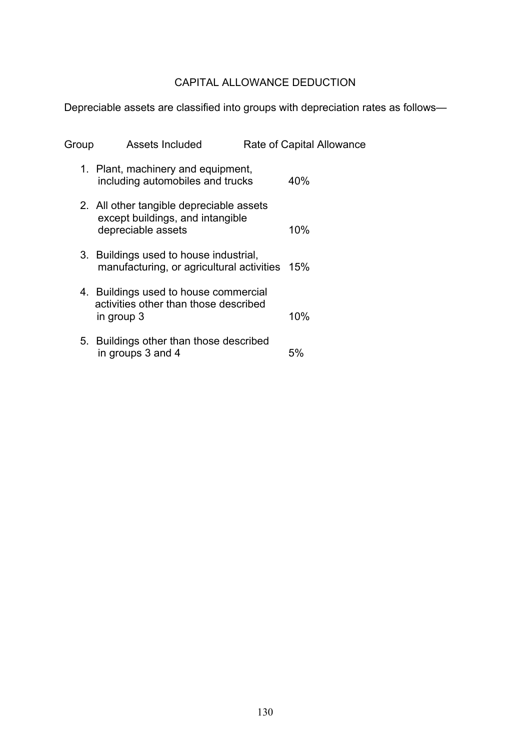# CAPITAL ALLOWANCE DEDUCTION

Depreciable assets are classified into groups with depreciation rates as follows—

| Group | <b>Assets Included</b>                                                                             | Rate of Capital Allowance |
|-------|----------------------------------------------------------------------------------------------------|---------------------------|
|       | 1. Plant, machinery and equipment,<br>including automobiles and trucks                             | 40%                       |
|       | 2. All other tangible depreciable assets<br>except buildings, and intangible<br>depreciable assets | 10%                       |
|       | 3. Buildings used to house industrial,<br>manufacturing, or agricultural activities 15%            |                           |
|       | 4. Buildings used to house commercial<br>activities other than those described<br>in group 3       | 10%                       |
|       | 5. Buildings other than those described<br>in groups 3 and 4                                       | 5%                        |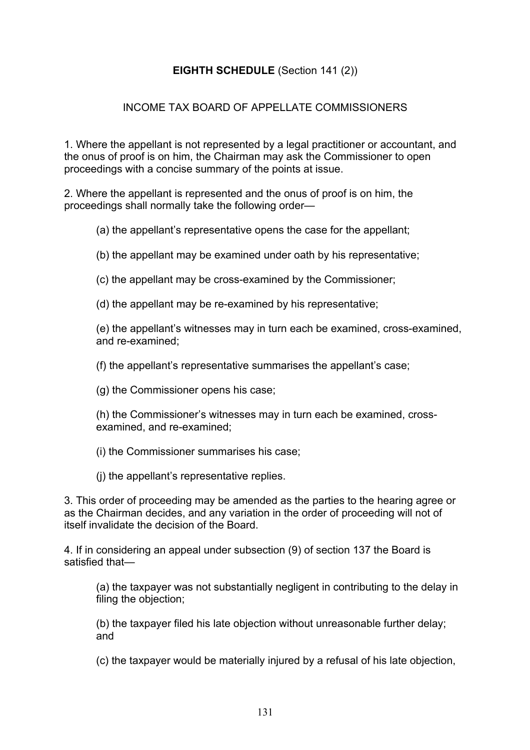# **EIGHTH SCHEDULE** (Section 141 (2))

## INCOME TAX BOARD OF APPELLATE COMMISSIONERS

1. Where the appellant is not represented by a legal practitioner or accountant, and the onus of proof is on him, the Chairman may ask the Commissioner to open proceedings with a concise summary of the points at issue.

2. Where the appellant is represented and the onus of proof is on him, the proceedings shall normally take the following order—

(a) the appellant's representative opens the case for the appellant;

(b) the appellant may be examined under oath by his representative;

(c) the appellant may be cross-examined by the Commissioner;

(d) the appellant may be re-examined by his representative;

(e) the appellant's witnesses may in turn each be examined, cross-examined, and re-examined;

(f) the appellant's representative summarises the appellant's case;

(g) the Commissioner opens his case;

(h) the Commissioner's witnesses may in turn each be examined, crossexamined, and re-examined;

(i) the Commissioner summarises his case;

(j) the appellant's representative replies.

3. This order of proceeding may be amended as the parties to the hearing agree or as the Chairman decides, and any variation in the order of proceeding will not of itself invalidate the decision of the Board.

4. If in considering an appeal under subsection (9) of section 137 the Board is satisfied that—

(a) the taxpayer was not substantially negligent in contributing to the delay in filing the objection;

(b) the taxpayer filed his late objection without unreasonable further delay; and

(c) the taxpayer would be materially injured by a refusal of his late objection,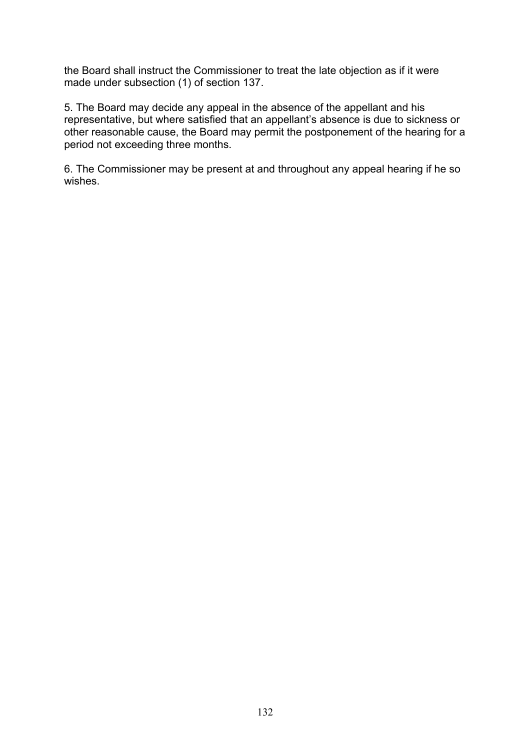the Board shall instruct the Commissioner to treat the late objection as if it were made under subsection (1) of section 137.

5. The Board may decide any appeal in the absence of the appellant and his representative, but where satisfied that an appellant's absence is due to sickness or other reasonable cause, the Board may permit the postponement of the hearing for a period not exceeding three months.

6. The Commissioner may be present at and throughout any appeal hearing if he so wishes.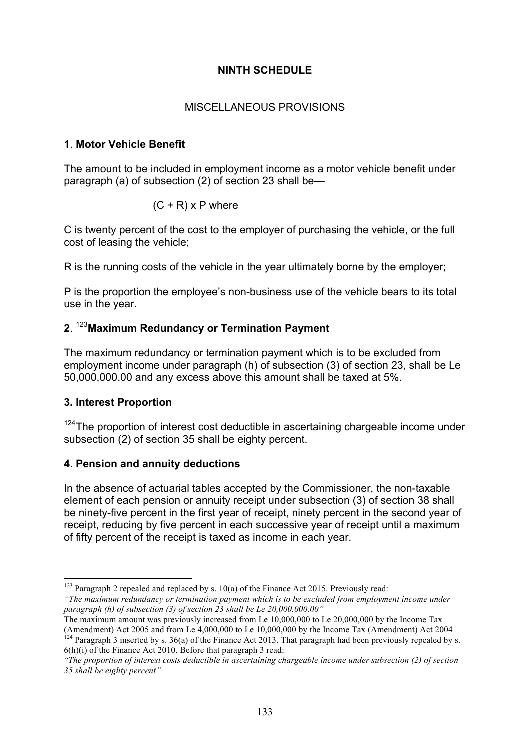# **NINTH SCHEDULE**

# MISCELLANEOUS PROVISIONS

# **1**. **Motor Vehicle Benefit**

The amount to be included in employment income as a motor vehicle benefit under paragraph (a) of subsection (2) of section 23 shall be—

$$
(C + R) \times P
$$
 where

C is twenty percent of the cost to the employer of purchasing the vehicle, or the full cost of leasing the vehicle;

R is the running costs of the vehicle in the year ultimately borne by the employer;

P is the proportion the employee's non-business use of the vehicle bears to its total use in the year.

# **2**. <sup>123</sup>**Maximum Redundancy or Termination Payment**

The maximum redundancy or termination payment which is to be excluded from employment income under paragraph (h) of subsection (3) of section 23, shall be Le 50,000,000.00 and any excess above this amount shall be taxed at 5%.

# **3. Interest Proportion**

 $124$ The proportion of interest cost deductible in ascertaining chargeable income under subsection (2) of section 35 shall be eighty percent.

# **4**. **Pension and annuity deductions**

In the absence of actuarial tables accepted by the Commissioner, the non-taxable element of each pension or annuity receipt under subsection (3) of section 38 shall be ninety-five percent in the first year of receipt, ninety percent in the second year of receipt, reducing by five percent in each successive year of receipt until a maximum of fifty percent of the receipt is taxed as income in each year.

6(h)(i) of the Finance Act 2010. Before that paragraph 3 read:

<sup>&</sup>lt;sup>123</sup> Paragraph 2 repealed and replaced by s. 10(a) of the Finance Act 2015. Previously read:

*<sup>&</sup>quot;The maximum redundancy or termination payment which is to be excluded from employment income under paragraph (h) of subsection (3) of section 23 shall be Le 20,000.000.00"*

The maximum amount was previously increased from Le 10,000,000 to Le 20,000,000 by the Income Tax (Amendment) Act 2005 and from Le  $4,000,000$  to Le  $10,000,000$  by the Income Tax (Amendment) Act 2004 <sup>124</sup> Paragraph 3 inserted by s. 36(a) of the Finance Act 2013. That paragraph had been previously repealed by s.

*<sup>&</sup>quot;The proportion of interest costs deductible in ascertaining chargeable income under subsection (2) of section 35 shall be eighty percent"*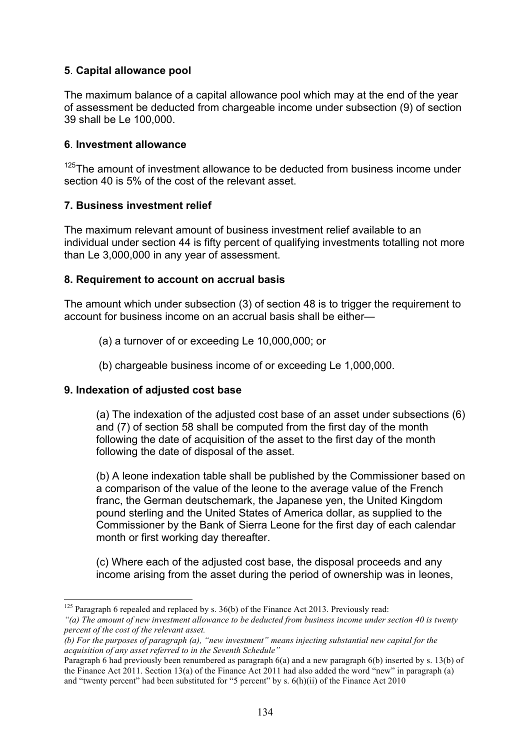# **5**. **Capital allowance pool**

The maximum balance of a capital allowance pool which may at the end of the year of assessment be deducted from chargeable income under subsection (9) of section 39 shall be Le 100,000.

#### **6**. **Investment allowance**

 $125$ The amount of investment allowance to be deducted from business income under section 40 is 5% of the cost of the relevant asset.

#### **7. Business investment relief**

The maximum relevant amount of business investment relief available to an individual under section 44 is fifty percent of qualifying investments totalling not more than Le 3,000,000 in any year of assessment.

#### **8. Requirement to account on accrual basis**

The amount which under subsection (3) of section 48 is to trigger the requirement to account for business income on an accrual basis shall be either—

- (a) a turnover of or exceeding Le 10,000,000; or
- (b) chargeable business income of or exceeding Le 1,000,000.

#### **9. Indexation of adjusted cost base**

(a) The indexation of the adjusted cost base of an asset under subsections (6) and (7) of section 58 shall be computed from the first day of the month following the date of acquisition of the asset to the first day of the month following the date of disposal of the asset.

(b) A leone indexation table shall be published by the Commissioner based on a comparison of the value of the leone to the average value of the French franc, the German deutschemark, the Japanese yen, the United Kingdom pound sterling and the United States of America dollar, as supplied to the Commissioner by the Bank of Sierra Leone for the first day of each calendar month or first working day thereafter.

(c) Where each of the adjusted cost base, the disposal proceeds and any income arising from the asset during the period of ownership was in leones,

<sup>&</sup>lt;sup>125</sup> Paragraph 6 repealed and replaced by s.  $36(b)$  of the Finance Act 2013. Previously read: *"(a) The amount of new investment allowance to be deducted from business income under section 40 is twenty percent of the cost of the relevant asset.*

*<sup>(</sup>b) For the purposes of paragraph (a), "new investment" means injecting substantial new capital for the acquisition of any asset referred to in the Seventh Schedule"*

Paragraph 6 had previously been renumbered as paragraph 6(a) and a new paragraph 6(b) inserted by s. 13(b) of the Finance Act 2011. Section 13(a) of the Finance Act 2011 had also added the word "new" in paragraph (a) and "twenty percent" had been substituted for "5 percent" by s. 6(h)(ii) of the Finance Act 2010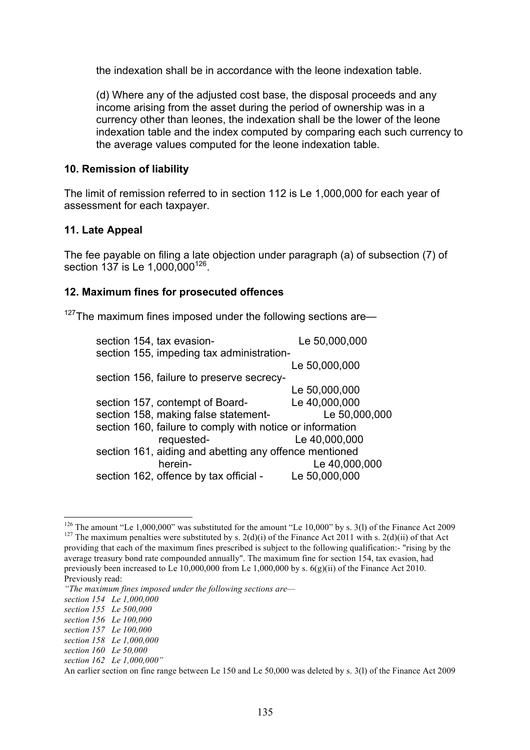the indexation shall be in accordance with the leone indexation table.

(d) Where any of the adjusted cost base, the disposal proceeds and any income arising from the asset during the period of ownership was in a currency other than leones, the indexation shall be the lower of the leone indexation table and the index computed by comparing each such currency to the average values computed for the leone indexation table.

#### **10. Remission of liability**

The limit of remission referred to in section 112 is Le 1,000,000 for each year of assessment for each taxpayer.

#### **11. Late Appeal**

The fee payable on filing a late objection under paragraph (a) of subsection (7) of section 137 is Le 1,000,000<sup>126</sup>.

#### **12. Maximum fines for prosecuted offences**

 $127$ The maximum fines imposed under the following sections are—

| section 154, tax evasion-                                 | Le 50,000,000 |  |
|-----------------------------------------------------------|---------------|--|
| section 155, impeding tax administration-                 |               |  |
|                                                           | Le 50,000,000 |  |
| section 156, failure to preserve secrecy-                 |               |  |
|                                                           | Le 50,000,000 |  |
| section 157, contempt of Board-                           | Le 40,000,000 |  |
| section 158, making false statement-                      | Le 50,000,000 |  |
| section 160, failure to comply with notice or information |               |  |
| requested-                                                | Le 40,000,000 |  |
| section 161, aiding and abetting any offence mentioned    |               |  |
| herein-                                                   | Le 40,000,000 |  |
| section 162, offence by tax official -                    | Le 50,000,000 |  |
|                                                           |               |  |

<sup>&</sup>lt;sup>126</sup> The amount "Le 1,000,000" was substituted for the amount "Le 10,000" by s. 3(l) of the Finance Act 2009 <sup>127</sup> The maximum penalties were substituted by s. 2(d)(i) of the Finance Act 2011 with s. 2(d)(ii) of that Act

providing that each of the maximum fines prescribed is subject to the following qualification:- "rising by the average treasury bond rate compounded annually". The maximum fine for section 154, tax evasion, had previously been increased to Le 10,000,000 from Le 1,000,000 by s. 6(g)(ii) of the Finance Act 2010. Previously read:

*<sup>&</sup>quot;The maximum fines imposed under the following sections are—*

*section 154 Le 1,000,000* 

*section 155 Le 500,000* 

*section 156 Le 100,000* 

*section 157 Le 100,000* 

*section 158 Le 1,000,000* 

*section 160 Le 50,000* 

*section 162 Le 1,000,000"*

An earlier section on fine range between Le 150 and Le 50,000 was deleted by s. 3(l) of the Finance Act 2009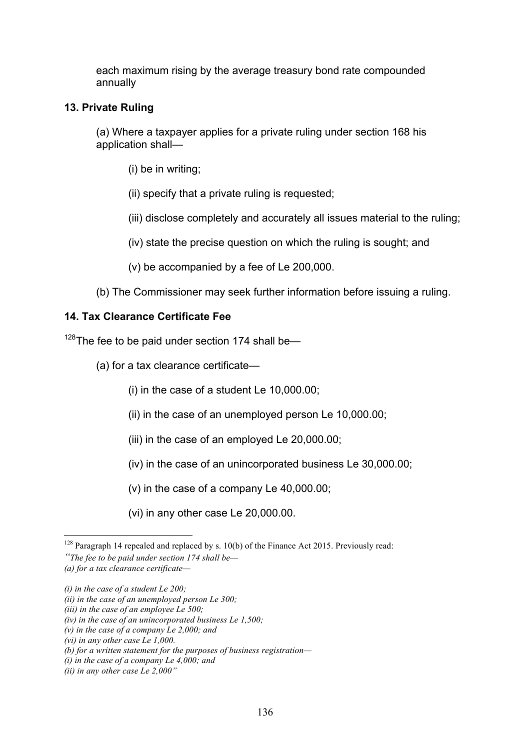each maximum rising by the average treasury bond rate compounded annually

#### **13. Private Ruling**

(a) Where a taxpayer applies for a private ruling under section 168 his application shall—

(i) be in writing;

(ii) specify that a private ruling is requested;

(iii) disclose completely and accurately all issues material to the ruling;

(iv) state the precise question on which the ruling is sought; and

(v) be accompanied by a fee of Le 200,000.

(b) The Commissioner may seek further information before issuing a ruling.

# **14. Tax Clearance Certificate Fee**

 $128$ The fee to be paid under section 174 shall be—

- (a) for a tax clearance certificate—
	- (i) in the case of a student Le 10,000.00;
	- (ii) in the case of an unemployed person Le 10,000.00;
	- (iii) in the case of an employed Le 20,000.00;
	- (iv) in the case of an unincorporated business Le 30,000.00;
	- (v) in the case of a company Le 40,000.00;
	- (vi) in any other case Le 20,000.00.

<sup>&</sup>lt;sup>128</sup> Paragraph 14 repealed and replaced by s. 10(b) of the Finance Act 2015. Previously read: *"The fee to be paid under section 174 shall be—*

*<sup>(</sup>a) for a tax clearance certificate—*

*<sup>(</sup>i) in the case of a student Le 200;* 

*<sup>(</sup>ii) in the case of an unemployed person Le 300;* 

*<sup>(</sup>iii) in the case of an employee Le 500;* 

*<sup>(</sup>iv) in the case of an unincorporated business Le 1,500;* 

*<sup>(</sup>v) in the case of a company Le 2,000; and* 

*<sup>(</sup>vi) in any other case Le 1,000.* 

*<sup>(</sup>b) for a written statement for the purposes of business registration—*

*<sup>(</sup>i) in the case of a company Le 4,000; and* 

*<sup>(</sup>ii) in any other case Le 2,000"*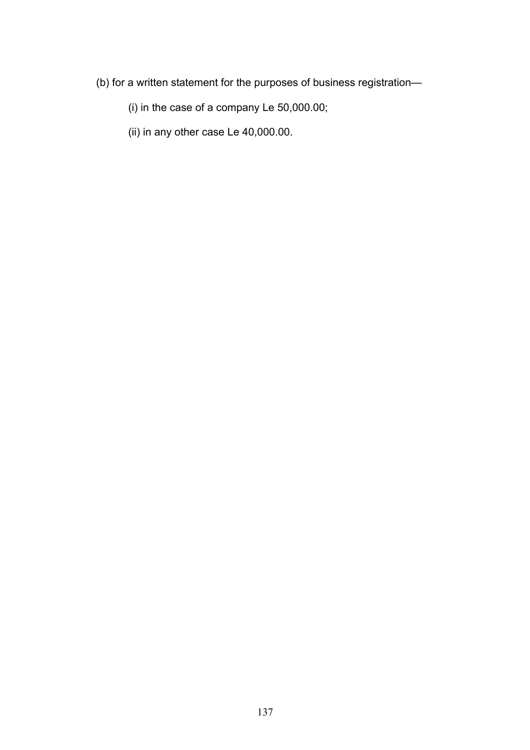(b) for a written statement for the purposes of business registration—

(i) in the case of a company Le 50,000.00;

(ii) in any other case Le 40,000.00.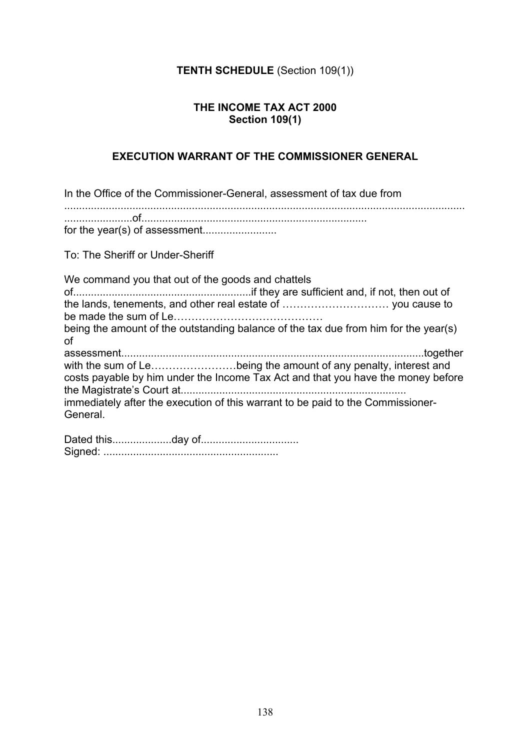# **TENTH SCHEDULE** (Section 109(1))

#### **THE INCOME TAX ACT 2000 Section 109(1)**

#### **EXECUTION WARRANT OF THE COMMISSIONER GENERAL**

In the Office of the Commissioner-General, assessment of tax due from ....................................................................................................................................... .......................of............................................................................ for the year(s) of assessment......................... To: The Sheriff or Under-Sheriff We command you that out of the goods and chattels of............................................................if they are sufficient and, if not, then out of the lands, tenements, and other real estate of ………………………… you cause to be made the sum of Le…………………………………… being the amount of the outstanding balance of the tax due from him for the year(s) of assessment......................................................................................................together with the sum of Le……………………being the amount of any penalty, interest and costs payable by him under the Income Tax Act and that you have the money before the Magistrate's Court at............................................................................ immediately after the execution of this warrant to be paid to the Commissioner-

Dated this....................day of................................. Signed: ...........................................................

General.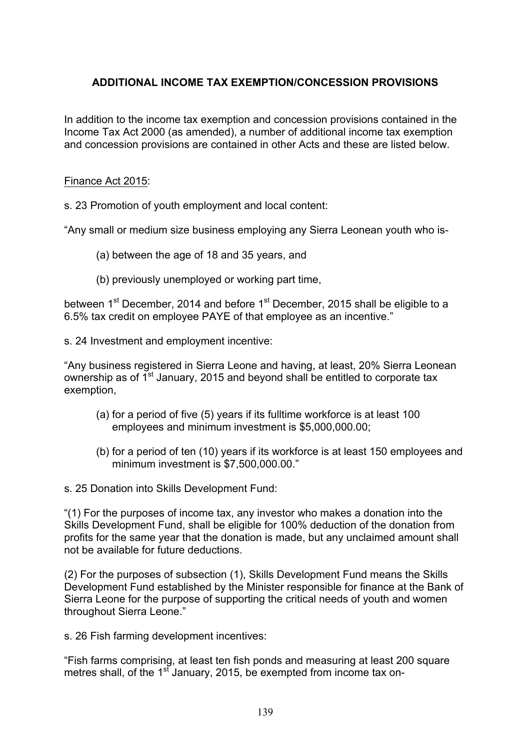# **ADDITIONAL INCOME TAX EXEMPTION/CONCESSION PROVISIONS**

In addition to the income tax exemption and concession provisions contained in the Income Tax Act 2000 (as amended), a number of additional income tax exemption and concession provisions are contained in other Acts and these are listed below.

#### Finance Act 2015:

s. 23 Promotion of youth employment and local content:

"Any small or medium size business employing any Sierra Leonean youth who is-

- (a) between the age of 18 and 35 years, and
- (b) previously unemployed or working part time,

between 1<sup>st</sup> December, 2014 and before 1<sup>st</sup> December, 2015 shall be eligible to a 6.5% tax credit on employee PAYE of that employee as an incentive."

s. 24 Investment and employment incentive:

"Any business registered in Sierra Leone and having, at least, 20% Sierra Leonean ownership as of  $1<sup>st</sup>$  January, 2015 and beyond shall be entitled to corporate tax exemption,

- (a) for a period of five (5) years if its fulltime workforce is at least 100 employees and minimum investment is \$5,000,000.00;
- (b) for a period of ten (10) years if its workforce is at least 150 employees and minimum investment is \$7,500,000.00."

s. 25 Donation into Skills Development Fund:

"(1) For the purposes of income tax, any investor who makes a donation into the Skills Development Fund, shall be eligible for 100% deduction of the donation from profits for the same year that the donation is made, but any unclaimed amount shall not be available for future deductions.

(2) For the purposes of subsection (1), Skills Development Fund means the Skills Development Fund established by the Minister responsible for finance at the Bank of Sierra Leone for the purpose of supporting the critical needs of youth and women throughout Sierra Leone."

s. 26 Fish farming development incentives:

"Fish farms comprising, at least ten fish ponds and measuring at least 200 square metres shall, of the  $1<sup>st</sup>$  January, 2015, be exempted from income tax on-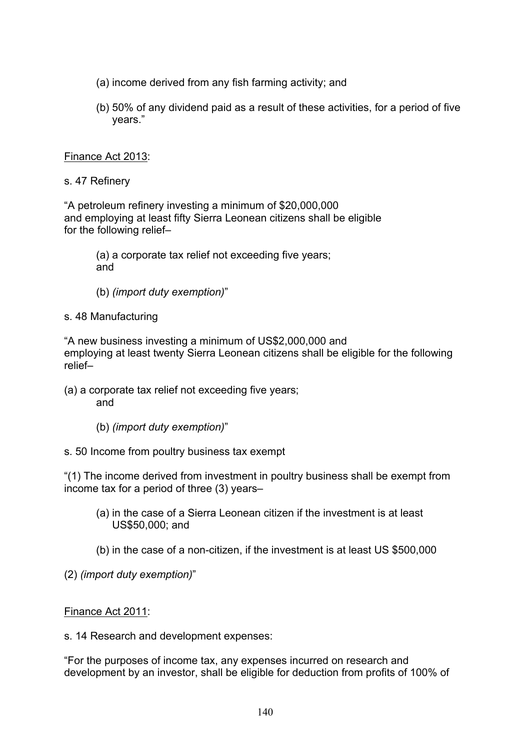- (a) income derived from any fish farming activity; and
- (b) 50% of any dividend paid as a result of these activities, for a period of five years."

#### Finance Act 2013:

s. 47 Refinery

"A petroleum refinery investing a minimum of \$20,000,000 and employing at least fifty Sierra Leonean citizens shall be eligible for the following relief–

(a) a corporate tax relief not exceeding five years; and

(b) *(import duty exemption)*"

#### s. 48 Manufacturing

"A new business investing a minimum of US\$2,000,000 and employing at least twenty Sierra Leonean citizens shall be eligible for the following relief–

- (a) a corporate tax relief not exceeding five years; and
	- (b) *(import duty exemption)*"
- s. 50 Income from poultry business tax exempt

"(1) The income derived from investment in poultry business shall be exempt from income tax for a period of three (3) years–

- (a) in the case of a Sierra Leonean citizen if the investment is at least US\$50,000; and
- (b) in the case of a non-citizen, if the investment is at least US \$500,000
- (2) *(import duty exemption)*"

# Finance Act 2011:

s. 14 Research and development expenses:

"For the purposes of income tax, any expenses incurred on research and development by an investor, shall be eligible for deduction from profits of 100% of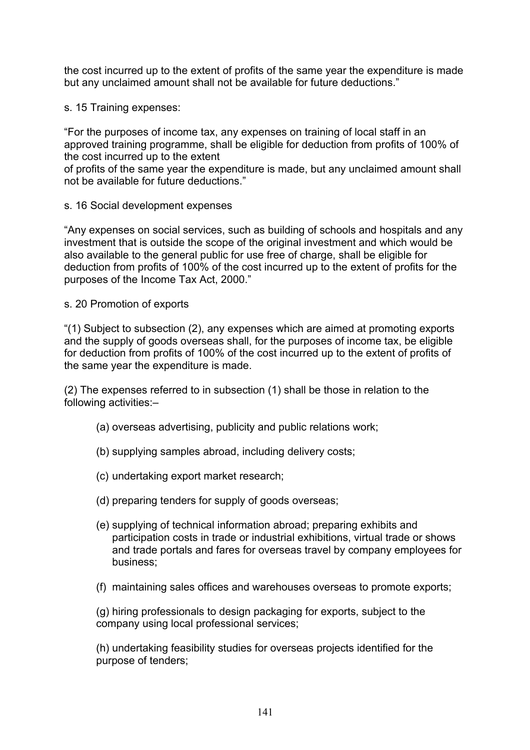the cost incurred up to the extent of profits of the same year the expenditure is made but any unclaimed amount shall not be available for future deductions."

s. 15 Training expenses:

"For the purposes of income tax, any expenses on training of local staff in an approved training programme, shall be eligible for deduction from profits of 100% of the cost incurred up to the extent

of profits of the same year the expenditure is made, but any unclaimed amount shall not be available for future deductions."

s. 16 Social development expenses

"Any expenses on social services, such as building of schools and hospitals and any investment that is outside the scope of the original investment and which would be also available to the general public for use free of charge, shall be eligible for deduction from profits of 100% of the cost incurred up to the extent of profits for the purposes of the Income Tax Act, 2000."

s. 20 Promotion of exports

"(1) Subject to subsection (2), any expenses which are aimed at promoting exports and the supply of goods overseas shall, for the purposes of income tax, be eligible for deduction from profits of 100% of the cost incurred up to the extent of profits of the same year the expenditure is made.

(2) The expenses referred to in subsection (1) shall be those in relation to the following activities:–

- (a) overseas advertising, publicity and public relations work;
- (b) supplying samples abroad, including delivery costs;
- (c) undertaking export market research;
- (d) preparing tenders for supply of goods overseas;
- (e) supplying of technical information abroad; preparing exhibits and participation costs in trade or industrial exhibitions, virtual trade or shows and trade portals and fares for overseas travel by company employees for business;
- (f) maintaining sales offices and warehouses overseas to promote exports;

(g) hiring professionals to design packaging for exports, subject to the company using local professional services;

(h) undertaking feasibility studies for overseas projects identified for the purpose of tenders;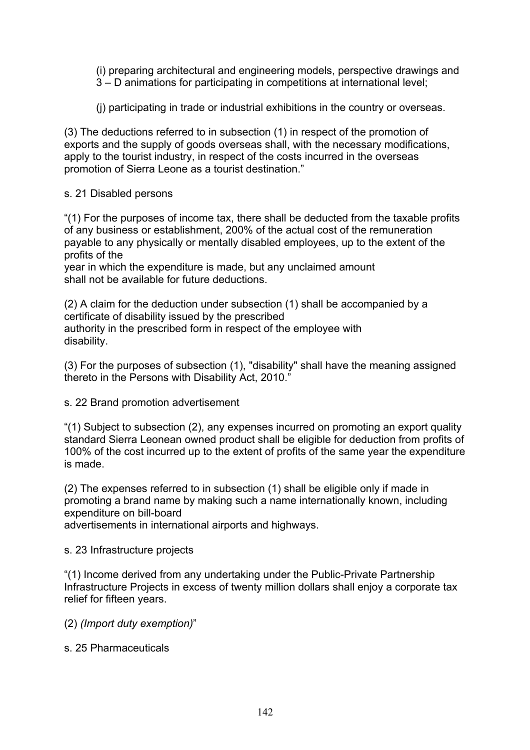(i) preparing architectural and engineering models, perspective drawings and 3 – D animations for participating in competitions at international level;

(j) participating in trade or industrial exhibitions in the country or overseas.

(3) The deductions referred to in subsection (1) in respect of the promotion of exports and the supply of goods overseas shall, with the necessary modifications, apply to the tourist industry, in respect of the costs incurred in the overseas promotion of Sierra Leone as a tourist destination."

#### s. 21 Disabled persons

"(1) For the purposes of income tax, there shall be deducted from the taxable profits of any business or establishment, 200% of the actual cost of the remuneration payable to any physically or mentally disabled employees, up to the extent of the profits of the

year in which the expenditure is made, but any unclaimed amount shall not be available for future deductions.

(2) A claim for the deduction under subsection (1) shall be accompanied by a certificate of disability issued by the prescribed authority in the prescribed form in respect of the employee with disability.

(3) For the purposes of subsection (1), "disability" shall have the meaning assigned thereto in the Persons with Disability Act, 2010."

s. 22 Brand promotion advertisement

"(1) Subject to subsection (2), any expenses incurred on promoting an export quality standard Sierra Leonean owned product shall be eligible for deduction from profits of 100% of the cost incurred up to the extent of profits of the same year the expenditure is made.

(2) The expenses referred to in subsection (1) shall be eligible only if made in promoting a brand name by making such a name internationally known, including expenditure on bill-board

advertisements in international airports and highways.

#### s. 23 Infrastructure projects

"(1) Income derived from any undertaking under the Public-Private Partnership Infrastructure Projects in excess of twenty million dollars shall enjoy a corporate tax relief for fifteen years.

(2) *(Import duty exemption)*"

s. 25 Pharmaceuticals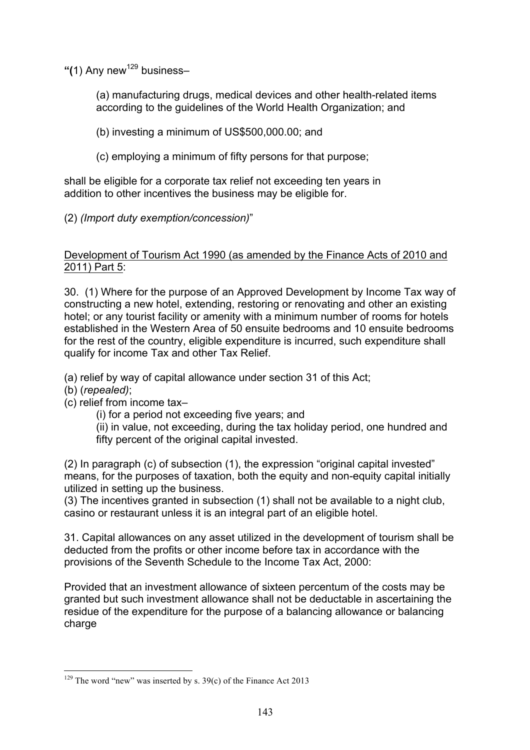**"(**1) Any new<sup>129</sup> business–

(a) manufacturing drugs, medical devices and other health-related items according to the guidelines of the World Health Organization; and

(b) investing a minimum of US\$500,000.00; and

(c) employing a minimum of fifty persons for that purpose;

shall be eligible for a corporate tax relief not exceeding ten years in addition to other incentives the business may be eligible for.

(2) *(Import duty exemption/concession)*"

# Development of Tourism Act 1990 (as amended by the Finance Acts of 2010 and 2011) Part 5:

30. (1) Where for the purpose of an Approved Development by Income Tax way of constructing a new hotel, extending, restoring or renovating and other an existing hotel; or any tourist facility or amenity with a minimum number of rooms for hotels established in the Western Area of 50 ensuite bedrooms and 10 ensuite bedrooms for the rest of the country, eligible expenditure is incurred, such expenditure shall qualify for income Tax and other Tax Relief.

(a) relief by way of capital allowance under section 31 of this Act;

- (b) (*repealed)*;
- (c) relief from income tax–
	- (i) for a period not exceeding five years; and

(ii) in value, not exceeding, during the tax holiday period, one hundred and fifty percent of the original capital invested.

(2) In paragraph (c) of subsection (1), the expression "original capital invested" means, for the purposes of taxation, both the equity and non-equity capital initially utilized in setting up the business.

(3) The incentives granted in subsection (1) shall not be available to a night club, casino or restaurant unless it is an integral part of an eligible hotel.

31. Capital allowances on any asset utilized in the development of tourism shall be deducted from the profits or other income before tax in accordance with the provisions of the Seventh Schedule to the Income Tax Act, 2000:

Provided that an investment allowance of sixteen percentum of the costs may be granted but such investment allowance shall not be deductable in ascertaining the residue of the expenditure for the purpose of a balancing allowance or balancing charge

<sup>&</sup>lt;sup>129</sup> The word "new" was inserted by s.  $39(c)$  of the Finance Act 2013